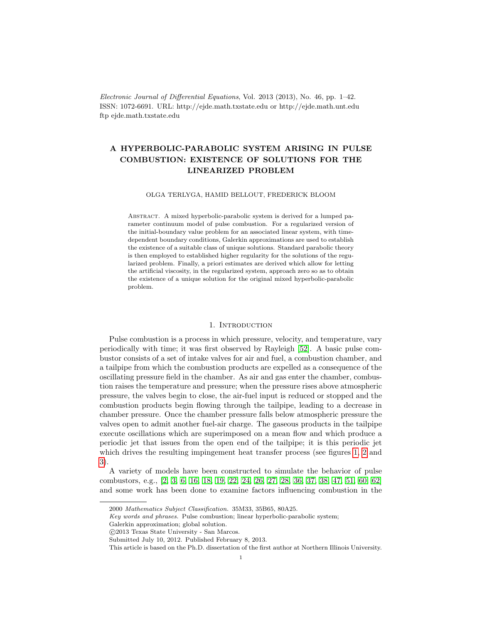Electronic Journal of Differential Equations, Vol. 2013 (2013), No. 46, pp. 1–42. ISSN: 1072-6691. URL: http://ejde.math.txstate.edu or http://ejde.math.unt.edu ftp ejde.math.txstate.edu

# A HYPERBOLIC-PARABOLIC SYSTEM ARISING IN PULSE COMBUSTION: EXISTENCE OF SOLUTIONS FOR THE LINEARIZED PROBLEM

#### OLGA TERLYGA, HAMID BELLOUT, FREDERICK BLOOM

ABSTRACT. A mixed hyperbolic-parabolic system is derived for a lumped parameter continuum model of pulse combustion. For a regularized version of the initial-boundary value problem for an associated linear system, with timedependent boundary conditions, Galerkin approximations are used to establish the existence of a suitable class of unique solutions. Standard parabolic theory is then employed to established higher regularity for the solutions of the regularized problem. Finally, a priori estimates are derived which allow for letting the artificial viscosity, in the regularized system, approach zero so as to obtain the existence of a unique solution for the original mixed hyperbolic-parabolic problem.

## 1. INTRODUCTION

Pulse combustion is a process in which pressure, velocity, and temperature, vary periodically with time; it was first observed by Rayleigh [\[52\]](#page-41-0). A basic pulse combustor consists of a set of intake valves for air and fuel, a combustion chamber, and a tailpipe from which the combustion products are expelled as a consequence of the oscillating pressure field in the chamber. As air and gas enter the chamber, combustion raises the temperature and pressure; when the pressure rises above atmospheric pressure, the valves begin to close, the air-fuel input is reduced or stopped and the combustion products begin flowing through the tailpipe, leading to a decrease in chamber pressure. Once the chamber pressure falls below atmospheric pressure the valves open to admit another fuel-air charge. The gaseous products in the tailpipe execute oscillations which are superimposed on a mean flow and which produce a periodic jet that issues from the open end of the tailpipe; it is this periodic jet which drives the resulting impingement heat transfer process (see figures [1,](#page-38-0) [2](#page-38-1) and [3\)](#page-39-0).

A variety of models have been constructed to simulate the behavior of pulse combustors, e.g., [\[2,](#page-38-2) [3,](#page-38-3) [6,](#page-39-1) [16,](#page-39-2) [18,](#page-39-3) [19,](#page-39-4) [22,](#page-40-0) [24,](#page-40-1) [26,](#page-40-2) [27,](#page-40-3) [28,](#page-40-4) [36,](#page-40-5) [37,](#page-40-6) [38,](#page-40-7) [47,](#page-41-1) [51,](#page-41-2) [60,](#page-41-3) [62\]](#page-41-4) and some work has been done to examine factors influencing combustion in the

<sup>2000</sup> Mathematics Subject Classification. 35M33, 35B65, 80A25.

Key words and phrases. Pulse combustion; linear hyperbolic-parabolic system;

Galerkin approximation; global solution.

c 2013 Texas State University - San Marcos.

Submitted July 10, 2012. Published February 8, 2013.

This article is based on the Ph.D. dissertation of the first author at Northern Illinois University.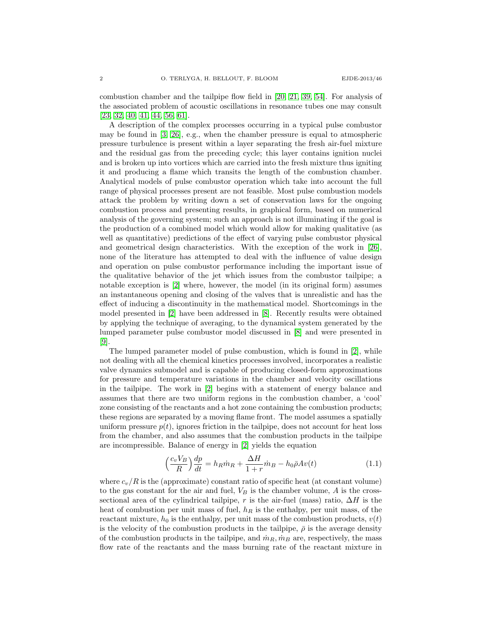combustion chamber and the tailpipe flow field in [\[20,](#page-39-5) [21,](#page-39-6) [39,](#page-40-8) [54\]](#page-41-5). For analysis of the associated problem of acoustic oscillations in resonance tubes one may consult [\[23,](#page-40-9) [32,](#page-40-10) [40,](#page-40-11) [41,](#page-40-12) [44,](#page-40-13) [56,](#page-41-6) [61\]](#page-41-7).

A description of the complex processes occurring in a typical pulse combustor may be found in [\[3,](#page-38-3) [26\]](#page-40-2), e.g., when the chamber pressure is equal to atmospheric pressure turbulence is present within a layer separating the fresh air-fuel mixture and the residual gas from the preceding cycle; this layer contains ignition nuclei and is broken up into vortices which are carried into the fresh mixture thus igniting it and producing a flame which transits the length of the combustion chamber. Analytical models of pulse combustor operation which take into account the full range of physical processes present are not feasible. Most pulse combustion models attack the problem by writing down a set of conservation laws for the ongoing combustion process and presenting results, in graphical form, based on numerical analysis of the governing system; such an approach is not illuminating if the goal is the production of a combined model which would allow for making qualitative (as well as quantitative) predictions of the effect of varying pulse combustor physical and geometrical design characteristics. With the exception of the work in [\[26\]](#page-40-2), none of the literature has attempted to deal with the influence of value design and operation on pulse combustor performance including the important issue of the qualitative behavior of the jet which issues from the combustor tailpipe; a notable exception is [\[2\]](#page-38-2) where, however, the model (in its original form) assumes an instantaneous opening and closing of the valves that is unrealistic and has the effect of inducing a discontinuity in the mathematical model. Shortcomings in the model presented in [\[2\]](#page-38-2) have been addressed in [\[8\]](#page-39-7). Recently results were obtained by applying the technique of averaging, to the dynamical system generated by the lumped parameter pulse combustor model discussed in [\[8\]](#page-39-7) and were presented in [\[9\]](#page-39-8).

The lumped parameter model of pulse combustion, which is found in [\[2\]](#page-38-2), while not dealing with all the chemical kinetics processes involved, incorporates a realistic valve dynamics submodel and is capable of producing closed-form approximations for pressure and temperature variations in the chamber and velocity oscillations in the tailpipe. The work in [\[2\]](#page-38-2) begins with a statement of energy balance and assumes that there are two uniform regions in the combustion chamber, a 'cool' zone consisting of the reactants and a hot zone containing the combustion products; these regions are separated by a moving flame front. The model assumes a spatially uniform pressure  $p(t)$ , ignores friction in the tailpipe, does not account for heat loss from the chamber, and also assumes that the combustion products in the tailpipe are incompressible. Balance of energy in [\[2\]](#page-38-2) yields the equation

<span id="page-1-0"></span>
$$
\left(\frac{c_v V_B}{R}\right) \frac{dp}{dt} = h_R \dot{m}_R + \frac{\Delta H}{1+r} \dot{m}_B - h_0 \bar{\rho} A v(t) \tag{1.1}
$$

where  $c_v/R$  is the (approximate) constant ratio of specific heat (at constant volume) to the gas constant for the air and fuel,  $V_B$  is the chamber volume,  $A$  is the crosssectional area of the cylindrical tailpipe, r is the air-fuel (mass) ratio,  $\Delta H$  is the heat of combustion per unit mass of fuel,  $h_R$  is the enthalpy, per unit mass, of the reactant mixture,  $h_0$  is the enthalpy, per unit mass of the combustion products,  $v(t)$ is the velocity of the combustion products in the tailpipe,  $\bar{\rho}$  is the average density of the combustion products in the tailpipe, and  $\dot{m}_R$ ,  $\dot{m}_B$  are, respectively, the mass flow rate of the reactants and the mass burning rate of the reactant mixture in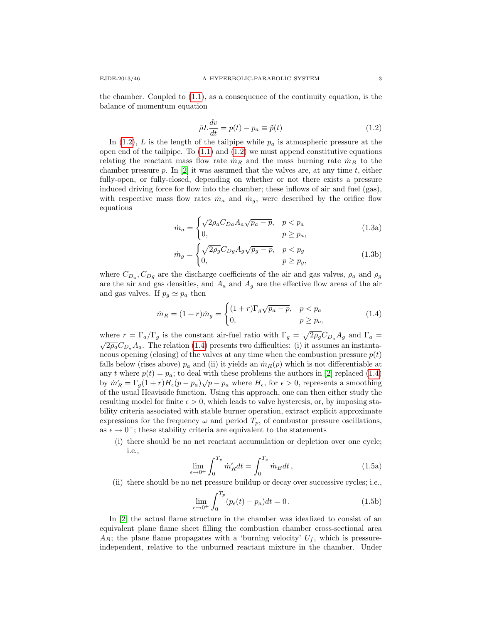the chamber. Coupled to  $(1.1)$ , as a consequence of the continuity equation, is the balance of momentum equation

<span id="page-2-0"></span>
$$
\bar{\rho}L\frac{dv}{dt} = p(t) - p_a \equiv \tilde{p}(t)
$$
\n(1.2)

In [\(1.2\)](#page-2-0), L is the length of the tailpipe while  $p_a$  is atmospheric pressure at the open end of the tailpipe. To  $(1.1)$  and  $(1.2)$  we must append constitutive equations relating the reactant mass flow rate  $\dot{m}_R$  and the mass burning rate  $\dot{m}_B$  to the chamber pressure p. In  $[2]$  it was assumed that the valves are, at any time t, either fully-open, or fully-closed, depending on whether or not there exists a pressure induced driving force for flow into the chamber; these inflows of air and fuel (gas), with respective mass flow rates  $\dot{m}_a$  and  $\dot{m}_g$ , were described by the orifice flow equations

$$
\dot{m}_a = \begin{cases}\n\sqrt{2\rho_a} C_{Da} A_a \sqrt{p_a - p}, & p < p_a \\
0, & p \ge p_a,\n\end{cases}
$$
\n(1.3a)

$$
\dot{m}_g = \begin{cases}\n\sqrt{2\rho_g} C_{Dg} A_g \sqrt{p_g - p}, & p < p_g \\
0, & p \ge p_g,\n\end{cases}
$$
\n(1.3b)

where  $C_{D_a}, C_{D_g}$  are the discharge coefficients of the air and gas valves,  $\rho_a$  and  $\rho_g$ are the air and gas densities, and  $A_a$  and  $A_g$  are the effective flow areas of the air and gas valves. If  $p_g \simeq p_a$  then

<span id="page-2-1"></span>
$$
\dot{m}_R = (1+r)\dot{m}_g = \begin{cases} (1+r)\Gamma_g\sqrt{p_a-p}, & p < p_a \\ 0, & p \ge p_a, \end{cases}
$$
(1.4)

where  $r = \Gamma_a/\Gamma_g$  is the constant air-fuel ratio with  $\Gamma_g = \sqrt{2\rho_g} C_{D_g} A_g$  and  $\Gamma_a = \sqrt{2\rho_g} C_{D_g} A_g$  $\sqrt{2\rho_a}C_{D_a}A_a$ . The relation [\(1.4\)](#page-2-1) presents two difficulties: (i) it assumes an instantaneous opening (closing) of the valves at any time when the combustion pressure  $p(t)$ falls below (rises above)  $p_a$  and (ii) it yields an  $\dot{m}_R(p)$  which is not differentiable at any t where  $p(t) = p_a$ ; to deal with these problems the authors in [\[2\]](#page-38-2) replaced [\(1.4\)](#page-2-1) by  $\dot{m}_R^{\epsilon} = \Gamma_g (1+r) H_{\epsilon}(p - p_a) \sqrt{p - p_a}$  where  $H_{\epsilon}$ , for  $\epsilon > 0$ , represents a smoothing of the usual Heaviside function. Using this approach, one can then either study the resulting model for finite  $\epsilon > 0$ , which leads to valve hysteresis, or, by imposing stability criteria associated with stable burner operation, extract explicit approximate expressions for the frequency  $\omega$  and period  $T_p$ , of combustor pressure oscillations, as  $\epsilon \to 0^+$ ; these stability criteria are equivalent to the statements

(i) there should be no net reactant accumulation or depletion over one cycle; i.e.,

$$
\lim_{\epsilon \to 0^+} \int_0^{T_p} \dot{m}_R^{\epsilon} dt = \int_0^{T_p} \dot{m}_B dt , \qquad (1.5a)
$$

(ii) there should be no net pressure buildup or decay over successive cycles; i.e.,

$$
\lim_{\epsilon \to 0^+} \int_0^{T_p} (p_\epsilon(t) - p_a) dt = 0.
$$
 (1.5b)

In [\[2\]](#page-38-2) the actual flame structure in the chamber was idealized to consist of an equivalent plane flame sheet filling the combustion chamber cross-sectional area  $A_B$ ; the plane flame propagates with a 'burning velocity'  $U_f$ , which is pressureindependent, relative to the unburned reactant mixture in the chamber. Under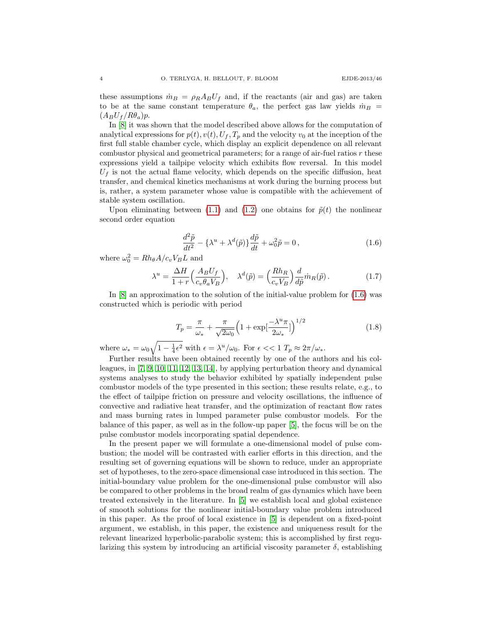these assumptions  $\dot{m}_B = \rho_R A_B U_f$  and, if the reactants (air and gas) are taken to be at the same constant temperature  $\theta_a$ , the perfect gas law yields  $\dot{m}_B$  =  $(A_B U_f / R\theta_a)p$ .

In [\[8\]](#page-39-7) it was shown that the model described above allows for the computation of analytical expressions for  $p(t)$ ,  $v(t)$ ,  $U_f$ ,  $T_p$  and the velocity  $v_0$  at the inception of the first full stable chamber cycle, which display an explicit dependence on all relevant combustor physical and geometrical parameters; for a range of air-fuel ratios r these expressions yield a tailpipe velocity which exhibits flow reversal. In this model  $U_f$  is not the actual flame velocity, which depends on the specific diffusion, heat transfer, and chemical kinetics mechanisms at work during the burning process but is, rather, a system parameter whose value is compatible with the achievement of stable system oscillation.

Upon eliminating between [\(1.1\)](#page-1-0) and [\(1.2\)](#page-2-0) one obtains for  $\tilde{p}(t)$  the nonlinear second order equation

<span id="page-3-0"></span>
$$
\frac{d^2\tilde{p}}{dt^2} - {\lambda^u + \lambda^d(\tilde{p})} \frac{d\tilde{p}}{dt} + \omega_0^2 \tilde{p} = 0, \qquad (1.6)
$$

where  $\omega_0^2 = Rh_\theta A/c_v V_B L$  and

$$
\lambda^{u} = \frac{\Delta H}{1+r} \left( \frac{A_B U_f}{c_v \theta_a V_B} \right), \quad \lambda^{d}(\tilde{p}) = \left( \frac{R h_R}{c_v V_B} \right) \frac{d}{d\tilde{p}} \dot{m}_R(\tilde{p}). \tag{1.7}
$$

In [\[8\]](#page-39-7) an approximation to the solution of the initial-value problem for [\(1.6\)](#page-3-0) was constructed which is periodic with period

$$
T_p = \frac{\pi}{\omega_*} + \frac{\pi}{\sqrt{2\omega_0}} \left( 1 + \exp\left[\frac{-\lambda^u \pi}{2\omega_*}\right] \right)^{1/2}
$$
 (1.8)

where  $\omega_* = \omega_0 \sqrt{1 - \frac{1}{4} \epsilon^2}$  with  $\epsilon = \lambda^u/\omega_0$ . For  $\epsilon \ll 1$   $T_p \approx 2\pi/\omega_*$ .

Further results have been obtained recently by one of the authors and his colleagues, in [\[7,](#page-39-9) [9,](#page-39-8) [10,](#page-39-10) [11,](#page-39-11) [12,](#page-39-12) [13,](#page-39-13) [14\]](#page-39-14), by applying perturbation theory and dynamical systems analyses to study the behavior exhibited by spatially independent pulse combustor models of the type presented in this section; these results relate, e.g., to the effect of tailpipe friction on pressure and velocity oscillations, the influence of convective and radiative heat transfer, and the optimization of reactant flow rates and mass burning rates in lumped parameter pulse combustor models. For the balance of this paper, as well as in the follow-up paper [\[5\]](#page-39-15), the focus will be on the pulse combustor models incorporating spatial dependence.

In the present paper we will formulate a one-dimensional model of pulse combustion; the model will be contrasted with earlier efforts in this direction, and the resulting set of governing equations will be shown to reduce, under an appropriate set of hypotheses, to the zero-space dimensional case introduced in this section. The initial-boundary value problem for the one-dimensional pulse combustor will also be compared to other problems in the broad realm of gas dynamics which have been treated extensively in the literature. In [\[5\]](#page-39-15) we establish local and global existence of smooth solutions for the nonlinear initial-boundary value problem introduced in this paper. As the proof of local existence in [\[5\]](#page-39-15) is dependent on a fixed-point argument, we establish, in this paper, the existence and uniqueness result for the relevant linearized hyperbolic-parabolic system; this is accomplished by first regularizing this system by introducing an artificial viscosity parameter  $\delta$ , establishing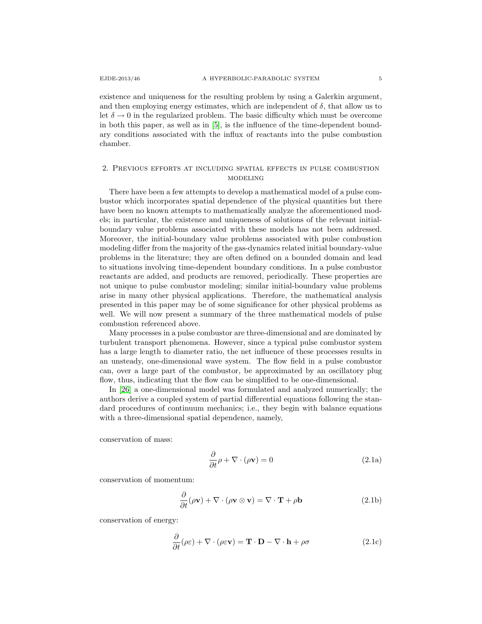existence and uniqueness for the resulting problem by using a Galerkin argument, and then employing energy estimates, which are independent of  $\delta$ , that allow us to let  $\delta \to 0$  in the regularized problem. The basic difficulty which must be overcome in both this paper, as well as in [\[5\]](#page-39-15), is the influence of the time-dependent boundary conditions associated with the influx of reactants into the pulse combustion chamber.

# 2. Previous efforts at including spatial effects in pulse combustion modeling

There have been a few attempts to develop a mathematical model of a pulse combustor which incorporates spatial dependence of the physical quantities but there have been no known attempts to mathematically analyze the aforementioned models; in particular, the existence and uniqueness of solutions of the relevant initialboundary value problems associated with these models has not been addressed. Moreover, the initial-boundary value problems associated with pulse combustion modeling differ from the majority of the gas-dynamics related initial boundary-value problems in the literature; they are often defined on a bounded domain and lead to situations involving time-dependent boundary conditions. In a pulse combustor reactants are added, and products are removed, periodically. These properties are not unique to pulse combustor modeling; similar initial-boundary value problems arise in many other physical applications. Therefore, the mathematical analysis presented in this paper may be of some significance for other physical problems as well. We will now present a summary of the three mathematical models of pulse combustion referenced above.

Many processes in a pulse combustor are three-dimensional and are dominated by turbulent transport phenomena. However, since a typical pulse combustor system has a large length to diameter ratio, the net influence of these processes results in an unsteady, one-dimensional wave system. The flow field in a pulse combustor can, over a large part of the combustor, be approximated by an oscillatory plug flow, thus, indicating that the flow can be simplified to be one-dimensional.

In [\[26\]](#page-40-2) a one-dimensional model was formulated and analyzed numerically; the authors derive a coupled system of partial differential equations following the standard procedures of continuum mechanics; i.e., they begin with balance equations with a three-dimensional spatial dependence, namely,

conservation of mass:

$$
\frac{\partial}{\partial t}\rho + \nabla \cdot (\rho \mathbf{v}) = 0 \tag{2.1a}
$$

conservation of momentum:

$$
\frac{\partial}{\partial t}(\rho \mathbf{v}) + \nabla \cdot (\rho \mathbf{v} \otimes \mathbf{v}) = \nabla \cdot \mathbf{T} + \rho \mathbf{b}
$$
 (2.1b)

conservation of energy:

$$
\frac{\partial}{\partial t}(\rho \varepsilon) + \nabla \cdot (\rho \varepsilon \mathbf{v}) = \mathbf{T} \cdot \mathbf{D} - \nabla \cdot \mathbf{h} + \rho \sigma \tag{2.1c}
$$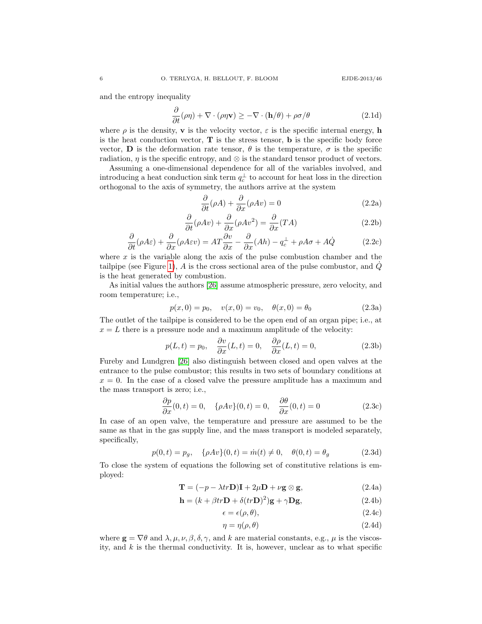and the entropy inequality

$$
\frac{\partial}{\partial t}(\rho \eta) + \nabla \cdot (\rho \eta \mathbf{v}) \ge -\nabla \cdot (\mathbf{h}/\theta) + \rho \sigma/\theta \tag{2.1d}
$$

where  $\rho$  is the density, **v** is the velocity vector,  $\varepsilon$  is the specific internal energy, **h** is the heat conduction vector,  $\bf{T}$  is the stress tensor,  $\bf{b}$  is the specific body force vector, **D** is the deformation rate tensor,  $\theta$  is the temperature,  $\sigma$  is the specific radiation,  $\eta$  is the specific entropy, and ⊗ is the standard tensor product of vectors.

Assuming a one-dimensional dependence for all of the variables involved, and introducing a heat conduction sink term  $q_c^{\perp}$  to account for heat loss in the direction orthogonal to the axis of symmetry, the authors arrive at the system

<span id="page-5-0"></span>
$$
\frac{\partial}{\partial t}(\rho A) + \frac{\partial}{\partial x}(\rho Av) = 0
$$
\n(2.2a)

$$
\frac{\partial}{\partial t}(\rho Av) + \frac{\partial}{\partial x}(\rho Av^2) = \frac{\partial}{\partial x}(TA)
$$
\n(2.2b)

$$
\frac{\partial}{\partial t}(\rho A \varepsilon) + \frac{\partial}{\partial x}(\rho A \varepsilon v) = AT \frac{\partial v}{\partial x} - \frac{\partial}{\partial x}(Ah) - q_c^{\perp} + \rho A \sigma + A\dot{Q}
$$
(2.2c)

where  $x$  is the variable along the axis of the pulse combustion chamber and the tailpipe (see Figure [1\)](#page-38-0), A is the cross sectional area of the pulse combustor, and  $\dot{Q}$ is the heat generated by combustion.

As initial values the authors [\[26\]](#page-40-2) assume atmospheric pressure, zero velocity, and room temperature; i.e.,

$$
p(x, 0) = p_0, \quad v(x, 0) = v_0, \quad \theta(x, 0) = \theta_0
$$
\n(2.3a)

The outlet of the tailpipe is considered to be the open end of an organ pipe; i.e., at  $x = L$  there is a pressure node and a maximum amplitude of the velocity:

$$
p(L,t) = p_0, \quad \frac{\partial v}{\partial x}(L,t) = 0, \quad \frac{\partial \rho}{\partial x}(L,t) = 0,
$$
\n(2.3b)

Fureby and Lundgren [\[26\]](#page-40-2) also distinguish between closed and open valves at the entrance to the pulse combustor; this results in two sets of boundary conditions at  $x = 0$ . In the case of a closed valve the pressure amplitude has a maximum and the mass transport is zero; i.e.,

$$
\frac{\partial p}{\partial x}(0,t) = 0, \quad \{\rho A v\}(0,t) = 0, \quad \frac{\partial \theta}{\partial x}(0,t) = 0 \tag{2.3c}
$$

In case of an open valve, the temperature and pressure are assumed to be the same as that in the gas supply line, and the mass transport is modeled separately, specifically,

$$
p(0,t) = p_g, \quad \{\rho A v\}(0,t) = \dot{m}(t) \neq 0, \quad \theta(0,t) = \theta_g \tag{2.3d}
$$

To close the system of equations the following set of constitutive relations is employed:

$$
\mathbf{T} = (-p - \lambda tr \mathbf{D})\mathbf{I} + 2\mu \mathbf{D} + \nu \mathbf{g} \otimes \mathbf{g},
$$
 (2.4a)

$$
\mathbf{h} = (k + \beta tr \mathbf{D} + \delta (tr \mathbf{D})^2) \mathbf{g} + \gamma \mathbf{D} \mathbf{g},
$$
 (2.4b)

$$
\epsilon = \epsilon(\rho, \theta), \tag{2.4c}
$$

$$
\eta = \eta(\rho, \theta) \tag{2.4d}
$$

where  $\mathbf{g} = \nabla \theta$  and  $\lambda, \mu, \nu, \beta, \delta, \gamma$ , and k are material constants, e.g.,  $\mu$  is the viscosity, and  $k$  is the thermal conductivity. It is, however, unclear as to what specific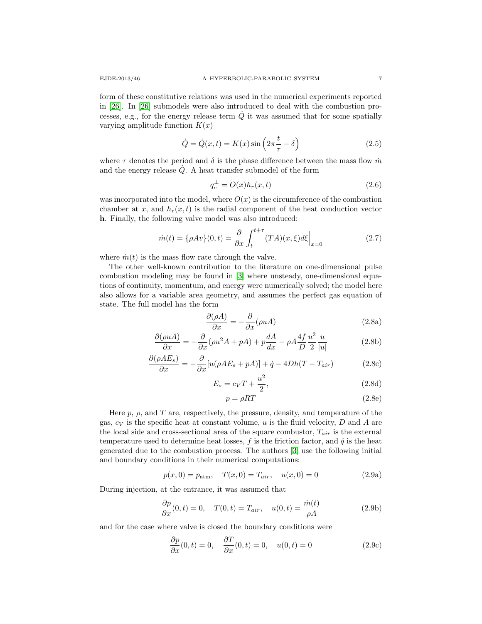form of these constitutive relations was used in the numerical experiments reported in [\[26\]](#page-40-2). In [\[26\]](#page-40-2) submodels were also introduced to deal with the combustion processes, e.g., for the energy release term  $\dot{Q}$  it was assumed that for some spatially varying amplitude function  $K(x)$ 

$$
\dot{Q} = \dot{Q}(x, t) = K(x) \sin\left(2\pi \frac{t}{\tau} - \delta\right)
$$
\n(2.5)

where  $\tau$  denotes the period and  $\delta$  is the phase difference between the mass flow  $\dot{m}$ and the energy release  $\dot{Q}$ . A heat transfer submodel of the form

$$
q_c^{\perp} = O(x)h_r(x,t) \tag{2.6}
$$

was incorporated into the model, where  $O(x)$  is the circumference of the combustion chamber at x, and  $h_r(x, t)$  is the radial component of the heat conduction vector h. Finally, the following valve model was also introduced:

$$
\dot{m}(t) = \{\rho A v\}(0, t) = \frac{\partial}{\partial x} \int_{t}^{t+\tau} (TA)(x, \xi) d\xi \Big|_{x=0}
$$
\n(2.7)

where  $\dot{m}(t)$  is the mass flow rate through the valve.

The other well-known contribution to the literature on one-dimensional pulse combustion modeling may be found in [\[3\]](#page-38-3) where unsteady, one-dimensional equations of continuity, momentum, and energy were numerically solved; the model here also allows for a variable area geometry, and assumes the perfect gas equation of state. The full model has the form

<span id="page-6-0"></span>
$$
\frac{\partial(\rho A)}{\partial x} = -\frac{\partial}{\partial x}(\rho u A) \tag{2.8a}
$$

$$
\frac{\partial(\rho uA)}{\partial x} = -\frac{\partial}{\partial x}(\rho u^2 A + pA) + p\frac{dA}{dx} - \rho A \frac{4f}{D} \frac{u^2}{2} \frac{u}{|u|}
$$
(2.8b)

$$
\frac{\partial(\rho AE_s)}{\partial x} = -\frac{\partial}{\partial x}[u(\rho AE_s + pA)] + \dot{q} - 4Dh(T - T_{air})
$$
\n(2.8c)

$$
E_s = c_V T + \frac{u^2}{2},\tag{2.8d}
$$

$$
p = \rho RT \tag{2.8e}
$$

Here  $p, \rho$ , and T are, respectively, the pressure, density, and temperature of the gas,  $c_V$  is the specific heat at constant volume, u is the fluid velocity, D and A are the local side and cross-sectional area of the square combustor,  $T_{air}$  is the external temperature used to determine heat losses,  $f$  is the friction factor, and  $\dot{q}$  is the heat generated due to the combustion process. The authors [\[3\]](#page-38-3) use the following initial and boundary conditions in their numerical computations:

$$
p(x,0) = p_{\text{atm}}, \quad T(x,0) = T_{air}, \quad u(x,0) = 0 \tag{2.9a}
$$

During injection, at the entrance, it was assumed that

$$
\frac{\partial p}{\partial x}(0,t) = 0, \quad T(0,t) = T_{air}, \quad u(0,t) = \frac{\dot{m}(t)}{\rho A}
$$
\n(2.9b)

and for the case where valve is closed the boundary conditions were

$$
\frac{\partial p}{\partial x}(0,t) = 0, \quad \frac{\partial T}{\partial x}(0,t) = 0, \quad u(0,t) = 0 \tag{2.9c}
$$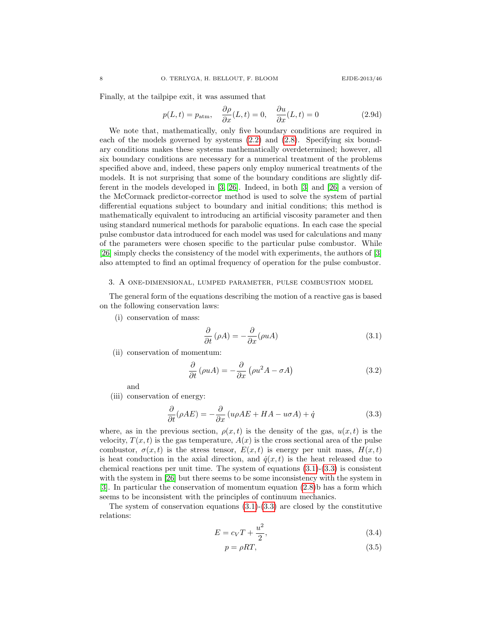Finally, at the tailpipe exit, it was assumed that

$$
p(L,t) = p_{\text{atm}}, \quad \frac{\partial \rho}{\partial x}(L,t) = 0, \quad \frac{\partial u}{\partial x}(L,t) = 0 \tag{2.9d}
$$

We note that, mathematically, only five boundary conditions are required in each of the models governed by systems [\(2.2\)](#page-5-0) and [\(2.8\)](#page-6-0). Specifying six boundary conditions makes these systems mathematically overdetermined; however, all six boundary conditions are necessary for a numerical treatment of the problems specified above and, indeed, these papers only employ numerical treatments of the models. It is not surprising that some of the boundary conditions are slightly different in the models developed in [\[3,](#page-38-3) [26\]](#page-40-2). Indeed, in both [\[3\]](#page-38-3) and [\[26\]](#page-40-2) a version of the McCormack predictor-corrector method is used to solve the system of partial differential equations subject to boundary and initial conditions; this method is mathematically equivalent to introducing an artificial viscosity parameter and then using standard numerical methods for parabolic equations. In each case the special pulse combustor data introduced for each model was used for calculations and many of the parameters were chosen specific to the particular pulse combustor. While [\[26\]](#page-40-2) simply checks the consistency of the model with experiments, the authors of [\[3\]](#page-38-3) also attempted to find an optimal frequency of operation for the pulse combustor.

#### 3. A one-dimensional, lumped parameter, pulse combustion model

The general form of the equations describing the motion of a reactive gas is based on the following conservation laws:

(i) conservation of mass:

<span id="page-7-0"></span>
$$
\frac{\partial}{\partial t} \left( \rho A \right) = -\frac{\partial}{\partial x} (\rho u A) \tag{3.1}
$$

(ii) conservation of momentum:

$$
\frac{\partial}{\partial t} \left( \rho u A \right) = -\frac{\partial}{\partial x} \left( \rho u^2 A - \sigma A \right) \tag{3.2}
$$

and

(iii) conservation of energy:

<span id="page-7-1"></span>
$$
\frac{\partial}{\partial t}(\rho AE) = -\frac{\partial}{\partial x}(u\rho AE + HA - u\sigma A) + \dot{q}
$$
\n(3.3)

where, as in the previous section,  $\rho(x,t)$  is the density of the gas,  $u(x,t)$  is the velocity,  $T(x, t)$  is the gas temperature,  $A(x)$  is the cross sectional area of the pulse combustor,  $\sigma(x, t)$  is the stress tensor,  $E(x, t)$  is energy per unit mass,  $H(x, t)$ is heat conduction in the axial direction, and  $\dot{q}(x,t)$  is the heat released due to chemical reactions per unit time. The system of equations  $(3.1)-(3.3)$  $(3.1)-(3.3)$  is consistent with the system in [\[26\]](#page-40-2) but there seems to be some inconsistency with the system in [\[3\]](#page-38-3). In particular the conservation of momentum equation [\(2.8\)](#page-6-0)b has a form which seems to be inconsistent with the principles of continuum mechanics.

The system of conservation equations  $(3.1)-(3.3)$  $(3.1)-(3.3)$  are closed by the constitutive relations:

$$
E = c_V T + \frac{u^2}{2},\tag{3.4}
$$

<span id="page-7-3"></span><span id="page-7-2"></span>
$$
p = \rho RT,\tag{3.5}
$$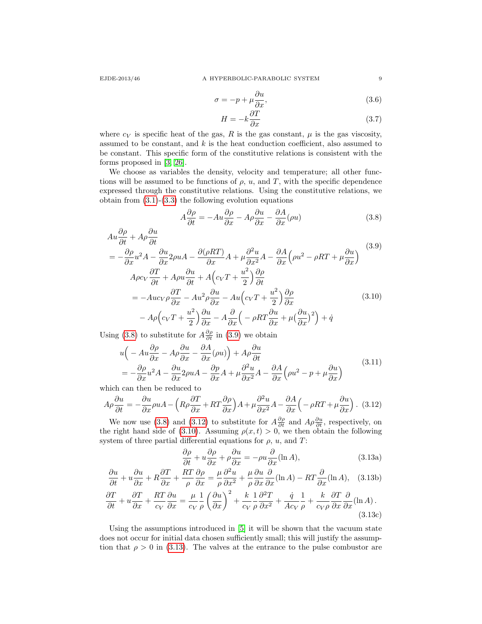$$
\sigma = -p + \mu \frac{\partial u}{\partial x},\tag{3.6}
$$

<span id="page-8-5"></span><span id="page-8-0"></span>
$$
H = -k \frac{\partial T}{\partial x} \tag{3.7}
$$

where  $c_V$  is specific heat of the gas, R is the gas constant,  $\mu$  is the gas viscosity, assumed to be constant, and  $k$  is the heat conduction coefficient, also assumed to be constant. This specific form of the constitutive relations is consistent with the forms proposed in [\[3,](#page-38-3) [26\]](#page-40-2).

We choose as variables the density, velocity and temperature; all other functions will be assumed to be functions of  $\rho$ ,  $u$ , and  $T$ , with the specific dependence expressed through the constitutive relations. Using the constitutive relations, we obtain from  $(3.1)-(3.3)$  $(3.1)-(3.3)$  the following evolution equations

<span id="page-8-3"></span><span id="page-8-1"></span>
$$
A\frac{\partial \rho}{\partial t} = -Au\frac{\partial \rho}{\partial x} - A\rho \frac{\partial u}{\partial x} - \frac{\partial A}{\partial x}(\rho u)
$$
(3.8)

$$
Au\frac{\partial\rho}{\partial t} + A\rho\frac{\partial u}{\partial t}
$$
  
=  $-\frac{\partial\rho}{\partial x}u^2A - \frac{\partial u}{\partial x}2\rho uA - \frac{\partial(\rho RT)}{\partial x}A + \mu\frac{\partial^2 u}{\partial x^2}A - \frac{\partial A}{\partial x}\left(\rho u^2 - \rho RT + \mu\frac{\partial u}{\partial x}\right)$   

$$
A\rho c_V\frac{\partial T}{\partial t} + A\rho u\frac{\partial u}{\partial t} + A\left(c_VT + \frac{u^2}{2}\right)\frac{\partial\rho}{\partial t}
$$
  
=  $-Au c_V \rho \frac{\partial T}{\partial x} - Au^2 \rho \frac{\partial u}{\partial x} - Au\left(c_VT + \frac{u^2}{2}\right)\frac{\partial\rho}{\partial x}$   
 $- A\rho\left(c_VT + \frac{u^2}{2}\right)\frac{\partial u}{\partial x} - A\frac{\partial}{\partial x}\left(-\rho RT\frac{\partial u}{\partial x} + \mu\left(\frac{\partial u}{\partial x}\right)^2\right) + \dot{q}$  (3.10)

Using [\(3.8\)](#page-8-0) to substitute for  $A\frac{\partial \rho}{\partial t}$  in [\(3.9\)](#page-8-1) we obtain

$$
u\left(-Au\frac{\partial\rho}{\partial x} - A\rho\frac{\partial u}{\partial x} - \frac{\partial A}{\partial x}(\rho u)\right) + A\rho\frac{\partial u}{\partial t}
$$
  
=  $-\frac{\partial\rho}{\partial x}u^2A - \frac{\partial u}{\partial x}2\rho uA - \frac{\partial p}{\partial x}A + \mu\frac{\partial^2 u}{\partial x^2}A - \frac{\partial A}{\partial x}\left(\rho u^2 - p + \mu\frac{\partial u}{\partial x}\right)$  (3.11)

which can then be reduced to

<span id="page-8-2"></span>
$$
A\rho \frac{\partial u}{\partial t} = -\frac{\partial u}{\partial x}\rho u A - \left(R\rho \frac{\partial T}{\partial x} + RT\frac{\partial \rho}{\partial x}\right)A + \mu \frac{\partial^2 u}{\partial x^2}A - \frac{\partial A}{\partial x}\left(-\rho RT + \mu \frac{\partial u}{\partial x}\right). \tag{3.12}
$$

We now use [\(3.8\)](#page-8-0) and [\(3.12\)](#page-8-2) to substitute for  $A\frac{\partial \rho}{\partial t}$  and  $A\rho \frac{\partial u}{\partial t}$ , respectively, on the right hand side of [\(3.10\)](#page-8-3). Assuming  $\rho(x, t) > 0$ , we then obtain the following system of three partial differential equations for  $\rho$ ,  $u$ , and  $T$ :

<span id="page-8-4"></span>
$$
\frac{\partial \rho}{\partial t} + u \frac{\partial \rho}{\partial x} + \rho \frac{\partial u}{\partial x} = -\rho u \frac{\partial}{\partial x} (\ln A), \qquad (3.13a)
$$

$$
\frac{\partial u}{\partial t} + u \frac{\partial u}{\partial x} + R \frac{\partial T}{\partial x} + \frac{RT}{\rho} \frac{\partial \rho}{\partial x} = \frac{\mu}{\rho} \frac{\partial^2 u}{\partial x^2} + \frac{\mu}{\rho} \frac{\partial u}{\partial x} \frac{\partial}{\partial x} (\ln A) - RT \frac{\partial}{\partial x} (\ln A), \quad (3.13b)
$$

$$
\frac{\partial T}{\partial t} + u \frac{\partial T}{\partial x} + \frac{RT}{c_V} \frac{\partial u}{\partial x} = \frac{\mu}{c_V} \frac{1}{\rho} \left( \frac{\partial u}{\partial x} \right)^2 + \frac{k}{c_V} \frac{1}{\rho} \frac{\partial^2 T}{\partial x^2} + \frac{\dot{q}}{A c_V} \frac{1}{\rho} + \frac{k}{c_V \rho} \frac{\partial T}{\partial x} \frac{\partial}{\partial x} (\ln A). \tag{3.13c}
$$

Using the assumptions introduced in [\[5\]](#page-39-15) it will be shown that the vacuum state does not occur for initial data chosen sufficiently small; this will justify the assumption that  $\rho > 0$  in [\(3.13\)](#page-8-4). The valves at the entrance to the pulse combustor are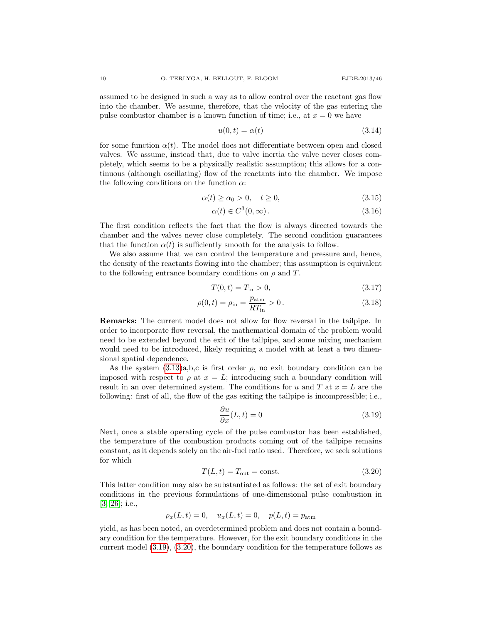assumed to be designed in such a way as to allow control over the reactant gas flow into the chamber. We assume, therefore, that the velocity of the gas entering the pulse combustor chamber is a known function of time; i.e., at  $x = 0$  we have

<span id="page-9-2"></span>
$$
u(0,t) = \alpha(t) \tag{3.14}
$$

for some function  $\alpha(t)$ . The model does not differentiate between open and closed valves. We assume, instead that, due to valve inertia the valve never closes completely, which seems to be a physically realistic assumption; this allows for a continuous (although oscillating) flow of the reactants into the chamber. We impose the following conditions on the function  $\alpha$ :

$$
\alpha(t) \ge \alpha_0 > 0, \quad t \ge 0,\tag{3.15}
$$

<span id="page-9-6"></span><span id="page-9-5"></span>
$$
\alpha(t) \in C^3(0, \infty). \tag{3.16}
$$

The first condition reflects the fact that the flow is always directed towards the chamber and the valves never close completely. The second condition guarantees that the function  $\alpha(t)$  is sufficiently smooth for the analysis to follow.

We also assume that we can control the temperature and pressure and, hence, the density of the reactants flowing into the chamber; this assumption is equivalent to the following entrance boundary conditions on  $\rho$  and T.

<span id="page-9-4"></span><span id="page-9-3"></span>
$$
T(0,t) = T_{\text{in}} > 0,\t\t(3.17)
$$

$$
\rho(0, t) = \rho_{\rm in} = \frac{p_{\rm atm}}{RT_{\rm in}} > 0.
$$
\n(3.18)

Remarks: The current model does not allow for flow reversal in the tailpipe. In order to incorporate flow reversal, the mathematical domain of the problem would need to be extended beyond the exit of the tailpipe, and some mixing mechanism would need to be introduced, likely requiring a model with at least a two dimensional spatial dependence.

As the system  $(3.13)a,b,c$  is first order  $\rho$ , no exit boundary condition can be imposed with respect to  $\rho$  at  $x = L$ ; introducing such a boundary condition will result in an over determined system. The conditions for u and T at  $x = L$  are the following: first of all, the flow of the gas exiting the tailpipe is incompressible; i.e.,

<span id="page-9-0"></span>
$$
\frac{\partial u}{\partial x}(L,t) = 0\tag{3.19}
$$

Next, once a stable operating cycle of the pulse combustor has been established, the temperature of the combustion products coming out of the tailpipe remains constant, as it depends solely on the air-fuel ratio used. Therefore, we seek solutions for which

<span id="page-9-1"></span>
$$
T(L,t) = T_{\text{out}} = \text{const.}\tag{3.20}
$$

This latter condition may also be substantiated as follows: the set of exit boundary conditions in the previous formulations of one-dimensional pulse combustion in [\[3,](#page-38-3) [26\]](#page-40-2); i.e.,

$$
\rho_x(L,t) = 0
$$
,  $u_x(L,t) = 0$ ,  $p(L,t) = p_{\text{atm}}$ 

yield, as has been noted, an overdetermined problem and does not contain a boundary condition for the temperature. However, for the exit boundary conditions in the current model [\(3.19\)](#page-9-0), [\(3.20\)](#page-9-1), the boundary condition for the temperature follows as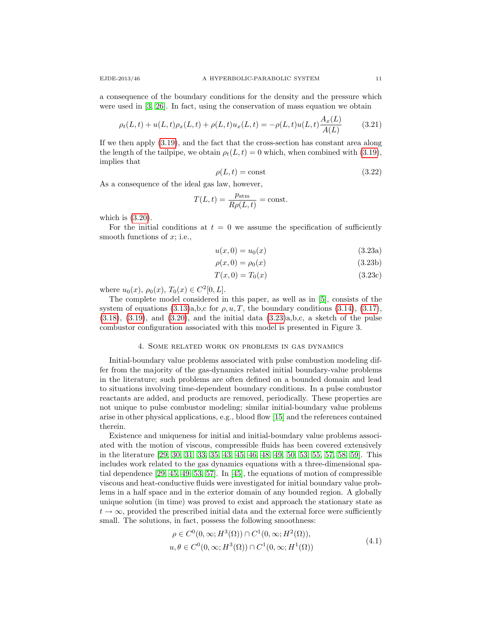a consequence of the boundary conditions for the density and the pressure which were used in [\[3,](#page-38-3) [26\]](#page-40-2). In fact, using the conservation of mass equation we obtain

$$
\rho_t(L,t) + u(L,t)\rho_x(L,t) + \rho(L,t)u_x(L,t) = -\rho(L,t)u(L,t)\frac{A_x(L)}{A(L)}
$$
(3.21)

If we then apply [\(3.19\)](#page-9-0), and the fact that the cross-section has constant area along the length of the tailpipe, we obtain  $\rho_t(L, t) = 0$  which, when combined with [\(3.19\)](#page-9-0), implies that

$$
\rho(L, t) = \text{const} \tag{3.22}
$$

As a consequence of the ideal gas law, however,

$$
T(L,t) = \frac{p_{\text{atm}}}{R\rho(L,t)} = \text{const.}
$$

which is  $(3.20)$ .

For the initial conditions at  $t = 0$  we assume the specification of sufficiently smooth functions of  $x$ ; i.e.,

<span id="page-10-0"></span>
$$
u(x,0) = u_0(x) \tag{3.23a}
$$

$$
\rho(x,0) = \rho_0(x) \tag{3.23b}
$$

$$
T(x,0) = T_0(x)
$$
 (3.23c)

where  $u_0(x)$ ,  $\rho_0(x)$ ,  $T_0(x) \in C^2[0,L]$ .

The complete model considered in this paper, as well as in [\[5\]](#page-39-15), consists of the system of equations  $(3.13)a,b,c$  for  $\rho, u, T$ , the boundary conditions  $(3.14), (3.17),$  $(3.14), (3.17),$  $(3.14), (3.17),$  $(3.18)$ ,  $(3.19)$ , and  $(3.20)$ , and the initial data  $(3.23)a$ , b, c, a sketch of the pulse combustor configuration associated with this model is presented in Figure 3.

### 4. Some related work on problems in gas dynamics

Initial-boundary value problems associated with pulse combustion modeling differ from the majority of the gas-dynamics related initial boundary-value problems in the literature; such problems are often defined on a bounded domain and lead to situations involving time-dependent boundary conditions. In a pulse combustor reactants are added, and products are removed, periodically. These properties are not unique to pulse combustor modeling; similar initial-boundary value problems arise in other physical applications, e.g., blood flow [\[15\]](#page-39-16) and the references contained therein.

Existence and uniqueness for initial and initial-boundary value problems associated with the motion of viscous, compressible fluids has been covered extensively in the literature [\[29,](#page-40-14) [30,](#page-40-15) [31,](#page-40-16) [33,](#page-40-17) [35,](#page-40-18) [43,](#page-40-19) [45,](#page-41-8) [46,](#page-41-9) [48,](#page-41-10) [49,](#page-41-11) [50,](#page-41-12) [53,](#page-41-13) [55,](#page-41-14) [57,](#page-41-15) [58,](#page-41-16) [59\]](#page-41-17). This includes work related to the gas dynamics equations with a three-dimensional spatial dependence [\[29,](#page-40-14) [45,](#page-41-8) [49,](#page-41-11) [53,](#page-41-13) [57\]](#page-41-15). In [\[45\]](#page-41-8), the equations of motion of compressible viscous and heat-conductive fluids were investigated for initial boundary value problems in a half space and in the exterior domain of any bounded region. A globally unique solution (in time) was proved to exist and approach the stationary state as  $t \to \infty$ , provided the prescribed initial data and the external force were sufficiently small. The solutions, in fact, possess the following smoothness:

$$
\rho \in C^0(0,\infty; H^3(\Omega)) \cap C^1(0,\infty; H^2(\Omega)),
$$
  

$$
u, \theta \in C^0(0,\infty; H^3(\Omega)) \cap C^1(0,\infty; H^1(\Omega))
$$
\n
$$
(4.1)
$$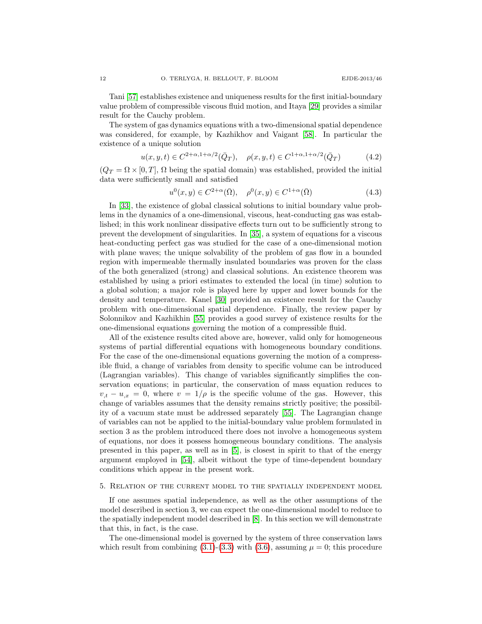Tani [\[57\]](#page-41-15) establishes existence and uniqueness results for the first initial-boundary value problem of compressible viscous fluid motion, and Itaya [\[29\]](#page-40-14) provides a similar result for the Cauchy problem.

The system of gas dynamics equations with a two-dimensional spatial dependence was considered, for example, by Kazhikhov and Vaigant [\[58\]](#page-41-16). In particular the existence of a unique solution

$$
u(x, y, t) \in C^{2+\alpha, 1+\alpha/2}(\bar{Q}_T), \quad \rho(x, y, t) \in C^{1+\alpha, 1+\alpha/2}(\bar{Q}_T)
$$
(4.2)

 $(Q_T = \Omega \times [0, T], \Omega$  being the spatial domain) was established, provided the initial data were sufficiently small and satisfied

$$
u^{0}(x,y) \in C^{2+\alpha}(\bar{\Omega}), \quad \rho^{0}(x,y) \in C^{1+\alpha}(\bar{\Omega})
$$
\n(4.3)

In [\[33\]](#page-40-17), the existence of global classical solutions to initial boundary value problems in the dynamics of a one-dimensional, viscous, heat-conducting gas was established; in this work nonlinear dissipative effects turn out to be sufficiently strong to prevent the development of singularities. In [\[35\]](#page-40-18), a system of equations for a viscous heat-conducting perfect gas was studied for the case of a one-dimensional motion with plane waves; the unique solvability of the problem of gas flow in a bounded region with impermeable thermally insulated boundaries was proven for the class of the both generalized (strong) and classical solutions. An existence theorem was established by using a priori estimates to extended the local (in time) solution to a global solution; a major role is played here by upper and lower bounds for the density and temperature. Kanel [\[30\]](#page-40-15) provided an existence result for the Cauchy problem with one-dimensional spatial dependence. Finally, the review paper by Solonnikov and Kazhikhin [\[55\]](#page-41-14) provides a good survey of existence results for the one-dimensional equations governing the motion of a compressible fluid.

All of the existence results cited above are, however, valid only for homogeneous systems of partial differential equations with homogeneous boundary conditions. For the case of the one-dimensional equations governing the motion of a compressible fluid, a change of variables from density to specific volume can be introduced (Lagrangian variables). This change of variables significantly simplifies the conservation equations; in particular, the conservation of mass equation reduces to  $v_{,t} - u_{,x} = 0$ , where  $v = 1/\rho$  is the specific volume of the gas. However, this change of variables assumes that the density remains strictly positive; the possibility of a vacuum state must be addressed separately [\[55\]](#page-41-14). The Lagrangian change of variables can not be applied to the initial-boundary value problem formulated in section 3 as the problem introduced there does not involve a homogeneous system of equations, nor does it possess homogeneous boundary conditions. The analysis presented in this paper, as well as in [\[5\]](#page-39-15), is closest in spirit to that of the energy argument employed in [\[54\]](#page-41-5), albeit without the type of time-dependent boundary conditions which appear in the present work.

#### 5. Relation of the current model to the spatially independent model

If one assumes spatial independence, as well as the other assumptions of the model described in section 3, we can expect the one-dimensional model to reduce to the spatially independent model described in [\[8\]](#page-39-7). In this section we will demonstrate that this, in fact, is the case.

The one-dimensional model is governed by the system of three conservation laws which result from combining [\(3.1\)](#page-7-0)-[\(3.3\)](#page-7-1) with [\(3.6\)](#page-8-5), assuming  $\mu = 0$ ; this procedure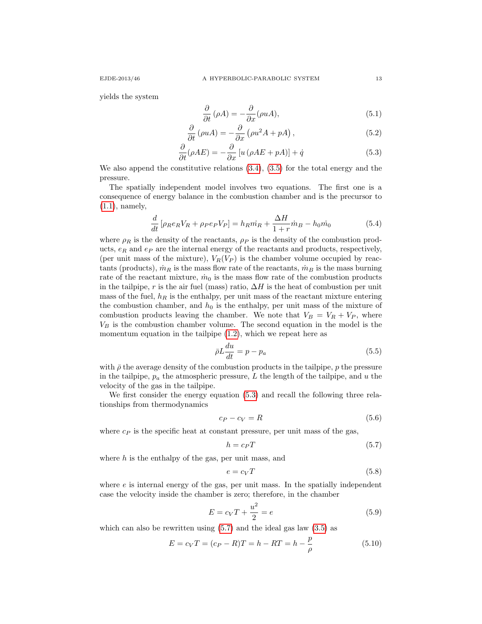yields the system

<span id="page-12-4"></span><span id="page-12-0"></span>
$$
\frac{\partial}{\partial t}(\rho A) = -\frac{\partial}{\partial x}(\rho u A),\tag{5.1}
$$

$$
\frac{\partial}{\partial t} \left( \rho u A \right) = -\frac{\partial}{\partial x} \left( \rho u^2 A + p A \right), \tag{5.2}
$$

$$
\frac{\partial}{\partial t}(\rho AE) = -\frac{\partial}{\partial x}\left[u\left(\rho AE + pA\right)\right] + \dot{q} \tag{5.3}
$$

We also append the constitutive relations [\(3.4\)](#page-7-2), [\(3.5\)](#page-7-3) for the total energy and the pressure.

The spatially independent model involves two equations. The first one is a consequence of energy balance in the combustion chamber and is the precursor to [\(1.1\)](#page-1-0), namely,

<span id="page-12-2"></span>
$$
\frac{d}{dt}\left[\rho_R e_R V_R + \rho_P e_P V_P\right] = h_R m_R + \frac{\Delta H}{1+r} \dot{m}_B - h_0 \dot{m}_0 \tag{5.4}
$$

where  $\rho_R$  is the density of the reactants,  $\rho_P$  is the density of the combustion products,  $e_R$  and  $e_P$  are the internal energy of the reactants and products, respectively, (per unit mass of the mixture),  $V_R(V_P)$  is the chamber volume occupied by reactants (products),  $\dot{m}_R$  is the mass flow rate of the reactants,  $\dot{m}_B$  is the mass burning rate of the reactant mixture,  $\dot{m}_0$  is the mass flow rate of the combustion products in the tailpipe, r is the air fuel (mass) ratio,  $\Delta H$  is the heat of combustion per unit mass of the fuel,  $h_R$  is the enthalpy, per unit mass of the reactant mixture entering the combustion chamber, and  $h_0$  is the enthalpy, per unit mass of the mixture of combustion products leaving the chamber. We note that  $V_B = V_R + V_P$ , where  $V_B$  is the combustion chamber volume. The second equation in the model is the momentum equation in the tailpipe [\(1.2\)](#page-2-0), which we repeat here as

<span id="page-12-3"></span>
$$
\bar{\rho}L\frac{du}{dt} = p - p_a \tag{5.5}
$$

with  $\bar{\rho}$  the average density of the combustion products in the tailpipe, p the pressure in the tailpipe,  $p_a$  the atmospheric pressure, L the length of the tailpipe, and u the velocity of the gas in the tailpipe.

We first consider the energy equation [\(5.3\)](#page-12-0) and recall the following three relationships from thermodynamics

$$
c_P - c_V = R \tag{5.6}
$$

where  $c_P$  is the specific heat at constant pressure, per unit mass of the gas,

<span id="page-12-1"></span>
$$
h = c_P T \tag{5.7}
$$

where  $h$  is the enthalpy of the gas, per unit mass, and

$$
e = c_V T \tag{5.8}
$$

where  $e$  is internal energy of the gas, per unit mass. In the spatially independent case the velocity inside the chamber is zero; therefore, in the chamber

$$
E = c_V T + \frac{u^2}{2} = e \tag{5.9}
$$

which can also be rewritten using  $(5.7)$  and the ideal gas law  $(3.5)$  as

$$
E = c_V T = (c_P - R)T = h - RT = h - \frac{p}{\rho}
$$
\n(5.10)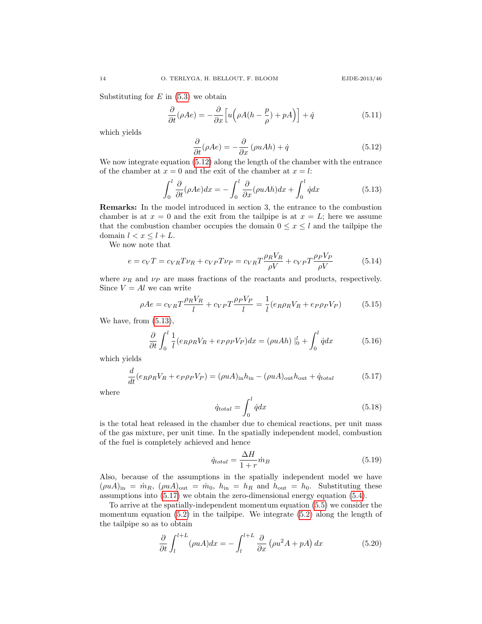Substituting for  $E$  in  $(5.3)$  we obtain

$$
\frac{\partial}{\partial t}(\rho Ae) = -\frac{\partial}{\partial x}\Big[u\Big(\rho A(h - \frac{p}{\rho}) + pA\Big)\Big] + \dot{q}
$$
\n(5.11)

which yields

<span id="page-13-0"></span>
$$
\frac{\partial}{\partial t}(\rho Ae) = -\frac{\partial}{\partial x}(\rho uAh) + \dot{q}
$$
\n(5.12)

We now integrate equation  $(5.12)$  along the length of the chamber with the entrance of the chamber at  $x = 0$  and the exit of the chamber at  $x = l$ :

<span id="page-13-1"></span>
$$
\int_0^l \frac{\partial}{\partial t} (\rho A e) dx = -\int_0^l \frac{\partial}{\partial x} (\rho u A h) dx + \int_0^l \dot{q} dx \tag{5.13}
$$

Remarks: In the model introduced in section 3, the entrance to the combustion chamber is at  $x = 0$  and the exit from the tailpipe is at  $x = L$ ; here we assume that the combustion chamber occupies the domain  $0 \leq x \leq l$  and the tailpipe the domain  $l < x \leq l + L$ .

We now note that

$$
e = c_V T = c_{VR} T \nu_R + c_{VP} T \nu_P = c_{VR} T \frac{\rho_R V_R}{\rho V} + c_{VP} T \frac{\rho_P V_P}{\rho V}
$$
(5.14)

where  $\nu_R$  and  $\nu_P$  are mass fractions of the reactants and products, respectively. Since  $V = Al$  we can write

$$
\rho Ae = c_{VR}T\frac{\rho_R V_R}{l} + c_{VP}T\frac{\rho_P V_P}{l} = \frac{1}{l}(e_R \rho_R V_R + e_P \rho_P V_P) \tag{5.15}
$$

We have, from [\(5.13\)](#page-13-1),

$$
\frac{\partial}{\partial t} \int_0^l \frac{1}{l} (e_R \rho_R V_R + e_P \rho_P V_P) dx = (\rho u Ah) \Big|_0^l + \int_0^l \dot{q} dx \tag{5.16}
$$

which yields

<span id="page-13-2"></span>
$$
\frac{d}{dt}(e_R \rho_R V_R + e_P \rho_P V_P) = (\rho u A)_{\text{in}} h_{\text{in}} - (\rho u A)_{\text{out}} h_{\text{out}} + \dot{q}_{\text{total}} \tag{5.17}
$$

where

$$
\dot{q}_{total} = \int_0^l \dot{q} dx \tag{5.18}
$$

is the total heat released in the chamber due to chemical reactions, per unit mass of the gas mixture, per unit time. In the spatially independent model, combustion of the fuel is completely achieved and hence

$$
\dot{q}_{total} = \frac{\Delta H}{1 + r} \dot{m}_B \tag{5.19}
$$

Also, because of the assumptions in the spatially independent model we have  $(\rho u A)_{\text{in}} = \dot{m}_R$ ,  $(\rho u A)_{\text{out}} = \dot{m}_0$ ,  $h_{\text{in}} = h_R$  and  $h_{\text{out}} = h_0$ . Substituting these assumptions into [\(5.17\)](#page-13-2) we obtain the zero-dimensional energy equation [\(5.4\)](#page-12-2).

To arrive at the spatially-independent momentum equation [\(5.5\)](#page-12-3) we consider the momentum equation  $(5.2)$  in the tailpipe. We integrate  $(5.2)$  along the length of the tailpipe so as to obtain

$$
\frac{\partial}{\partial t} \int_{l}^{l+L} (\rho u A) dx = - \int_{l}^{l+L} \frac{\partial}{\partial x} (\rho u^{2} A + p A) dx \tag{5.20}
$$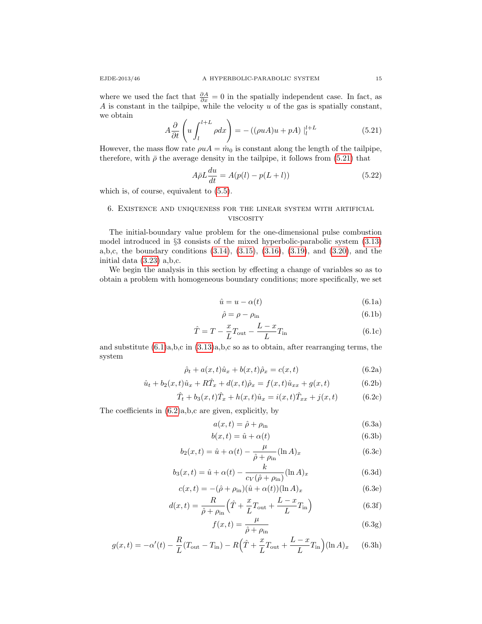where we used the fact that  $\frac{\partial A}{\partial x} = 0$  in the spatially independent case. In fact, as A is constant in the tailpipe, while the velocity  $u$  of the gas is spatially constant, we obtain

<span id="page-14-0"></span>
$$
A\frac{\partial}{\partial t}\left(u\int_{l}^{l+L}\rho dx\right) = -\left((\rho u A)u + pA\right)\Big|_{l}^{l+L}
$$
\n(5.21)

However, the mass flow rate  $\rho u = \dot{m}_0$  is constant along the length of the tailpipe, therefore, with  $\bar{\rho}$  the average density in the tailpipe, it follows from [\(5.21\)](#page-14-0) that

$$
A\bar{\rho}L\frac{du}{dt} = A(p(l) - p(L+l))\tag{5.22}
$$

which is, of course, equivalent to [\(5.5\)](#page-12-3).

# 6. Existence and uniqueness for the linear system with artificial **VISCOSITY**

The initial-boundary value problem for the one-dimensional pulse combustion model introduced in §3 consists of the mixed hyperbolic-parabolic system [\(3.13\)](#page-8-4) a,b,c, the boundary conditions [\(3.14\)](#page-9-2), [\(3.15\)](#page-9-5), [\(3.16\)](#page-9-6), [\(3.19\)](#page-9-0), and [\(3.20\)](#page-9-1), and the initial data [\(3.23\)](#page-10-0) a,b,c.

<span id="page-14-1"></span>We begin the analysis in this section by effecting a change of variables so as to obtain a problem with homogeneous boundary conditions; more specifically, we set

$$
\hat{u} = u - \alpha(t) \tag{6.1a}
$$

$$
\hat{\rho} = \rho - \rho_{\rm in} \tag{6.1b}
$$

$$
\hat{T} = T - \frac{x}{L}T_{\text{out}} - \frac{L - x}{L}T_{\text{in}} \tag{6.1c}
$$

<span id="page-14-2"></span>and substitute  $(6.1)a,b,c$  in  $(3.13)a,b,c$  so as to obtain, after rearranging terms, the system

$$
\hat{\rho}_t + a(x, t)\hat{u}_x + b(x, t)\hat{\rho}_x = c(x, t)
$$
\n(6.2a)

$$
\hat{u}_t + b_2(x, t)\hat{u}_x + R\hat{T}_x + d(x, t)\hat{\rho}_x = f(x, t)\hat{u}_{xx} + g(x, t)
$$
\n(6.2b)

$$
\hat{T}_t + b_3(x, t)\hat{T}_x + h(x, t)\hat{u}_x = i(x, t)\hat{T}_{xx} + j(x, t)
$$
(6.2c)

The coefficients in [\(6.2\)](#page-14-2)a,b,c are given, explicitly, by

<span id="page-14-3"></span>
$$
a(x,t) = \hat{\rho} + \rho_{\text{in}} \tag{6.3a}
$$

$$
b(x,t) = \hat{u} + \alpha(t) \tag{6.3b}
$$

$$
b_2(x,t) = \hat{u} + \alpha(t) - \frac{\mu}{\hat{\rho} + \rho_{\text{in}}} (\ln A)_x \tag{6.3c}
$$

$$
b_3(x,t) = \hat{u} + \alpha(t) - \frac{k}{c_V(\hat{\rho} + \rho_{\text{in}})} (\ln A)_x
$$
 (6.3d)

$$
c(x,t) = -(\hat{\rho} + \rho_{\rm in})(\hat{u} + \alpha(t))(\ln A)_x \tag{6.3e}
$$

$$
d(x,t) = \frac{R}{\hat{\rho} + \rho_{\text{in}}} \left( \hat{T} + \frac{x}{L} T_{\text{out}} + \frac{L - x}{L} T_{\text{in}} \right)
$$
(6.3f)

$$
f(x,t) = \frac{\mu}{\hat{\rho} + \rho_{\text{in}}} \tag{6.3g}
$$

$$
g(x,t) = -\alpha'(t) - \frac{R}{L}(T_{\text{out}} - T_{\text{in}}) - R(\hat{T} + \frac{x}{L}T_{\text{out}} + \frac{L-x}{L}T_{\text{in}})(\ln A)_x \quad (6.3h)
$$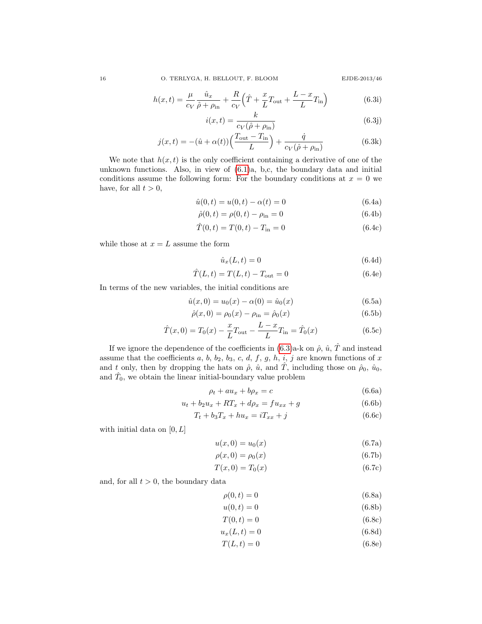$$
h(x,t) = \frac{\mu}{c_V} \frac{\hat{u}_x}{\hat{\rho} + \rho_{\text{in}}} + \frac{R}{c_V} \left(\hat{T} + \frac{x}{L} T_{\text{out}} + \frac{L - x}{L} T_{\text{in}}\right)
$$
(6.3i)

$$
i(x,t) = \frac{k}{c_V(\hat{\rho} + \rho_{\rm in})}
$$
\n(6.3j)

$$
j(x,t) = -(\hat{u} + \alpha(t))\left(\frac{T_{\text{out}} - T_{\text{in}}}{L}\right) + \frac{\dot{q}}{c_V(\hat{\rho} + \rho_{\text{in}})}
$$
(6.3k)

We note that  $h(x, t)$  is the only coefficient containing a derivative of one of the unknown functions. Also, in view of [\(6.1\)](#page-14-1)a, b,c, the boundary data and initial conditions assume the following form: For the boundary conditions at  $x = 0$  we have, for all  $t > 0$ ,

$$
\hat{u}(0,t) = u(0,t) - \alpha(t) = 0 \tag{6.4a}
$$

$$
\hat{\rho}(0,t) = \rho(0,t) - \rho_{\rm in} = 0 \tag{6.4b}
$$

$$
\hat{T}(0,t) = T(0,t) - T_{\text{in}} = 0 \tag{6.4c}
$$

while those at  $x = L$  assume the form

$$
\hat{u}_x(L,t) = 0 \tag{6.4d}
$$

$$
\hat{T}(L,t) = T(L,t) - T_{\text{out}} = 0 \tag{6.4e}
$$

In terms of the new variables, the initial conditions are

$$
\hat{u}(x,0) = u_0(x) - \alpha(0) = \hat{u}_0(x)
$$
\n(6.5a)

$$
\hat{\rho}(x,0) = \rho_0(x) - \rho_{\rm in} = \hat{\rho}_0(x) \tag{6.5b}
$$

$$
\hat{T}(x,0) = T_0(x) - \frac{x}{L}T_{\text{out}} - \frac{L-x}{L}T_{\text{in}} = \hat{T}_0(x)
$$
\n(6.5c)

If we ignore the dependence of the coefficients in  $(6.3)$ a-k on  $\hat{\rho}$ ,  $\hat{u}$ ,  $\hat{T}$  and instead assume that the coefficients  $a, b, b_2, b_3, c, d, f, g, h, i, j$  are known functions of x and t only, then by dropping the hats on  $\hat{\rho}$ ,  $\hat{u}$ , and  $\hat{T}$ , including those on  $\hat{\rho}_0$ ,  $\hat{u}_0$ , and  $\hat{T}_0$ , we obtain the linear initial-boundary value problem

<span id="page-15-0"></span>
$$
\rho_t + au_x + b\rho_x = c \tag{6.6a}
$$

$$
u_t + b_2 u_x + RT_x + d\rho_x = fu_{xx} + g \tag{6.6b}
$$

<span id="page-15-1"></span>
$$
T_t + b_3 T_x + h u_x = iT_{xx} + j \tag{6.6c}
$$

with initial data on  $[0, L]$ 

$$
u(x,0) = u_0(x) \tag{6.7a}
$$

$$
\rho(x,0) = \rho_0(x) \tag{6.7b}
$$

$$
T(x,0) = T_0(x) \tag{6.7c}
$$

and, for all  $t > 0$ , the boundary data

<span id="page-15-2"></span>
$$
\rho(0,t) = 0 \tag{6.8a}
$$

$$
u(0,t) = 0 \tag{6.8b}
$$

$$
T(0,t) = 0 \tag{6.8c}
$$

$$
u_x(L,t) = 0 \tag{6.8d}
$$

$$
T(L,t) = 0 \tag{6.8e}
$$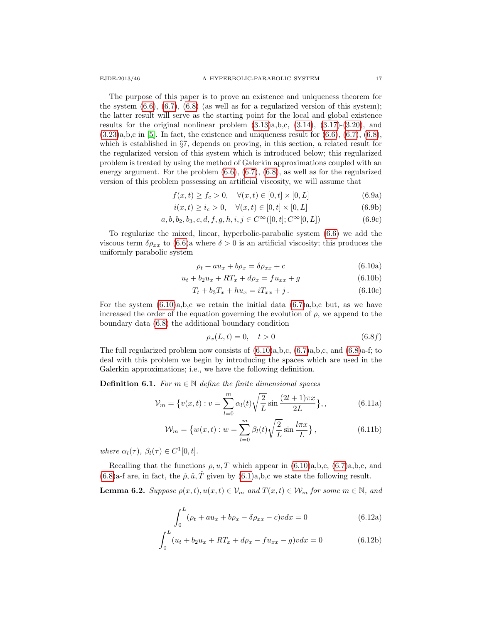The purpose of this paper is to prove an existence and uniqueness theorem for the system  $(6.6)$ ,  $(6.7)$ ,  $(6.8)$  (as well as for a regularized version of this system); the latter result will serve as the starting point for the local and global existence results for the original nonlinear problem  $(3.13)a$ , b,c,  $(3.14)$ ,  $(3.17)-(3.20)$  $(3.17)-(3.20)$ , and  $(3.23)a,b,c$  $(3.23)a,b,c$  in [\[5\]](#page-39-15). In fact, the existence and uniqueness result for  $(6.6)$ ,  $(6.7)$ ,  $(6.8)$ , which is established in §7, depends on proving, in this section, a related result for the regularized version of this system which is introduced below; this regularized problem is treated by using the method of Galerkin approximations coupled with an energy argument. For the problem  $(6.6)$ ,  $(6.7)$ ,  $(6.8)$ , as well as for the regularized version of this problem possessing an artificial viscosity, we will assume that

$$
f(x,t) \ge f_c > 0, \quad \forall (x,t) \in [0,t] \times [0,L]
$$
 (6.9a)

$$
i(x,t) \ge i_c > 0, \quad \forall (x,t) \in [0,t] \times [0,L] \tag{6.9b}
$$

$$
a, b, b_2, b_3, c, d, f, g, h, i, j \in C^{\infty}([0, t]; C^{\infty}[0, L])
$$
\n(6.9c)

To regularize the mixed, linear, hyperbolic-parabolic system [\(6.6\)](#page-15-0) we add the viscous term  $\delta \rho_{xx}$  to [\(6.6\)](#page-15-0)a where  $\delta > 0$  is an artificial viscosity; this produces the uniformly parabolic system

<span id="page-16-3"></span><span id="page-16-0"></span>
$$
\rho_t + au_x + b\rho_x = \delta\rho_{xx} + c \tag{6.10a}
$$

$$
u_t + b_2 u_x + RT_x + d\rho_x = fu_{xx} + g \tag{6.10b}
$$

$$
T_t + b_3 T_x + h u_x = iT_{xx} + j.
$$
 (6.10c)

For the system  $(6.10)a,b,c$  we retain the initial data  $(6.7)a,b,c$  but, as we have increased the order of the equation governing the evolution of  $\rho$ , we append to the boundary data [\(6.8\)](#page-15-2) the additional boundary condition

<span id="page-16-4"></span>
$$
\rho_x(L, t) = 0, \quad t > 0 \tag{6.8f}
$$

The full regularized problem now consists of  $(6.10)a,b,c, (6.7)a,b,c, and (6.8)a-f$  $(6.10)a,b,c, (6.7)a,b,c, and (6.8)a-f$  $(6.10)a,b,c, (6.7)a,b,c, and (6.8)a-f$  $(6.10)a,b,c, (6.7)a,b,c, and (6.8)a-f$  $(6.10)a,b,c, (6.7)a,b,c, and (6.8)a-f$ ; to deal with this problem we begin by introducing the spaces which are used in the Galerkin approximations; i.e., we have the following definition.

**Definition 6.1.** For  $m \in \mathbb{N}$  define the finite dimensional spaces

$$
\mathcal{V}_m = \{ v(x, t) : v = \sum_{l=0}^m \alpha_l(t) \sqrt{\frac{2}{L}} \sin \frac{(2l+1)\pi x}{2L} \},\,
$$
\n(6.11a)

$$
\mathcal{W}_m = \left\{ w(x,t) : w = \sum_{l=0}^m \beta_l(t) \sqrt{\frac{2}{L}} \sin \frac{l \pi x}{L} \right\},\tag{6.11b}
$$

where  $\alpha_l(\tau)$ ,  $\beta_l(\tau) \in C^1[0, t]$ .

Recalling that the functions  $\rho, u, T$  which appear in [\(6.10\)](#page-16-0)a,b,c, [\(6.7\)](#page-15-1)a,b,c, and  $(6.8)$ a-f are, in fact, the  $\hat{\rho}$ ,  $\hat{u}$ ,  $\hat{T}$  given by  $(6.1)$ a, b, c we state the following result.

<span id="page-16-2"></span><span id="page-16-1"></span>**Lemma 6.2.** Suppose  $\rho(x, t), u(x, t) \in V_m$  and  $T(x, t) \in W_m$  for some  $m \in \mathbb{N}$ , and

$$
\int_{0}^{L} (\rho_t + au_x + b\rho_x - \delta\rho_{xx} - c)v dx = 0
$$
\n(6.12a)

$$
\int_0^L (u_t + b_2 u_x + RT_x + d\rho_x - fu_{xx} - g)v dx = 0
$$
\n(6.12b)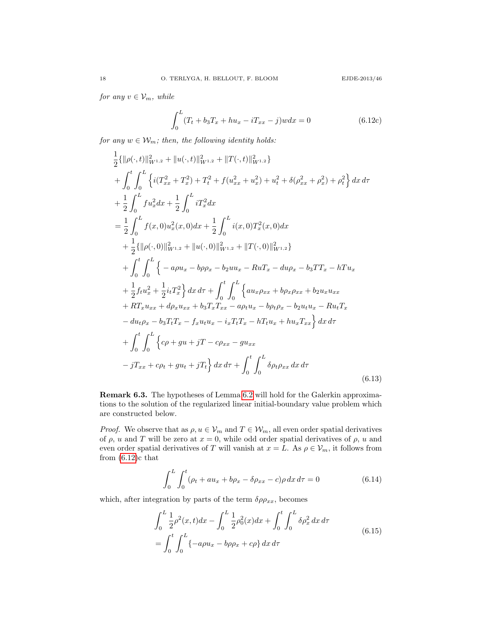for any  $v \in V_m$ , while

$$
\int_{0}^{L} (T_t + b_3 T_x + h u_x - i T_{xx} - j) w dx = 0
$$
\n(6.12c)

for any  $w \in \mathcal{W}_m$ ; then, the following identity holds:

<span id="page-17-1"></span>
$$
\frac{1}{2}\{\|\rho(\cdot,t)\|_{W^{1,2}}^{2} + \|u(\cdot,t)\|_{W^{1,2}}^{2} + \|T(\cdot,t)\|_{W^{1,2}}^{2}\}\n+ \int_{0}^{t} \int_{0}^{L} \left\{i(T_{xx}^{2} + T_{x}^{2}) + T_{t}^{2} + f(u_{xx}^{2} + u_{x}^{2}) + u_{t}^{2} + \delta(\rho_{xx}^{2} + \rho_{x}^{2}) + \rho_{t}^{2}\right\} dx d\tau\n+ \frac{1}{2} \int_{0}^{L} f u_{x}^{2} dx + \frac{1}{2} \int_{0}^{L} i T_{x}^{2} dx\n= \frac{1}{2} \int_{0}^{L} f(x,0) u_{x}^{2}(x,0) dx + \frac{1}{2} \int_{0}^{L} i(x,0) T_{x}^{2}(x,0) dx\n+ \frac{1}{2}\{ \|\rho(\cdot,0)\|_{W^{1,2}}^{2} + \|u(\cdot,0)\|_{W^{1,2}}^{2} + \|T(\cdot,0)\|_{W^{1,2}}^{2} \}\n+ \int_{0}^{t} \int_{0}^{L} \left\{ -a\rho u_{x} - b\rho\rho_{x} - b_{2} u u_{x} - R u T_{x} - d u \rho_{x} - b_{3} T T_{x} - h T u_{x}\n+ \frac{1}{2} f_{t} u_{x}^{2} + \frac{1}{2} i_{t} T_{x}^{2} \right\} dx d\tau + \int_{0}^{t} \int_{0}^{L} \left\{ a u_{x} \rho_{xx} + b\rho_{x} \rho_{xx} + b_{2} u_{x} u_{xx}\n+ R T_{x} u_{xx} + d\rho_{x} u_{xx} + b_{3} T_{x} T_{xx} - a\rho_{t} u_{x} - b\rho_{t} \rho_{x} - b_{2} u_{t} u_{x} - R u_{t} T_{x}\n- du_{t} \rho_{x} - b_{3} T_{t} T_{x} - f_{x} u_{t} u_{x} - i_{x} T_{t} T_{x} - h T_{t} u_{x} + h u_{x} T_{xx}\n\right\} dx d\tau\n+ \int_{0}^{t} \int_{0}^{L} \left\{c\rho + g u + jT - c\rho_{xx} - g u_{xx}\n- jT_{xx} + c\rho_{t} + g
$$

Remark 6.3. The hypotheses of Lemma [6.2](#page-16-1) will hold for the Galerkin approximations to the solution of the regularized linear initial-boundary value problem which are constructed below.

*Proof.* We observe that as  $\rho, u \in V_m$  and  $T \in \mathcal{W}_m$ , all even order spatial derivatives of  $\rho$ , u and T will be zero at  $x = 0$ , while odd order spatial derivatives of  $\rho$ , u and even order spatial derivatives of T will vanish at  $x = L$ . As  $\rho \in V_m$ , it follows from from  $(6.12)c$  that

$$
\int_{0}^{L} \int_{0}^{t} (\rho_t + au_x + b\rho_x - \delta\rho_{xx} - c)\rho \, dx \, d\tau = 0 \tag{6.14}
$$

which, after integration by parts of the term  $\delta \rho \rho_{xx}$ , becomes

<span id="page-17-0"></span>
$$
\int_{0}^{L} \frac{1}{2} \rho^{2}(x, t) dx - \int_{0}^{L} \frac{1}{2} \rho_{0}^{2}(x) dx + \int_{0}^{t} \int_{0}^{L} \delta \rho_{x}^{2} dx d\tau
$$
\n
$$
= \int_{0}^{t} \int_{0}^{L} \{-a\rho u_{x} - b\rho \rho_{x} + c\rho\} dx d\tau
$$
\n(6.15)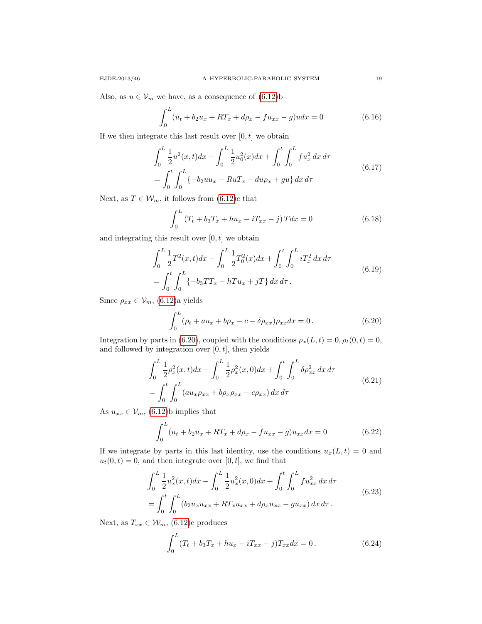Also, as  $u \in V_m$  we have, as a consequence of  $(6.12)$ b

$$
\int_{0}^{L} (u_t + b_2 u_x + RT_x + d\rho_x - fu_{xx} - g)u dx = 0
$$
\n(6.16)

If we then integrate this last result over  $[0, t]$  we obtain

<span id="page-18-2"></span>
$$
\int_0^L \frac{1}{2} u^2(x, t) dx - \int_0^L \frac{1}{2} u_0^2(x) dx + \int_0^t \int_0^L f u_x^2 dx d\tau
$$
\n
$$
= \int_0^t \int_0^L \{-b_2 u u_x - R u T_x - du \rho_x + gu\} dx d\tau
$$
\n(6.17)

Next, as  $T \in \mathcal{W}_m$ , it follows from [\(6.12\)](#page-16-2)c that

$$
\int_{0}^{L} (T_t + b_3 T_x + h u_x - iT_{xx} - j) T dx = 0
$$
\n(6.18)

and integrating this result over  $[0, t]$  we obtain

<span id="page-18-3"></span>
$$
\int_0^L \frac{1}{2} T^2(x, t) dx - \int_0^L \frac{1}{2} T_0^2(x) dx + \int_0^t \int_0^L i T_x^2 dx d\tau
$$
\n
$$
= \int_0^t \int_0^L \{-b_3 T T_x - h T u_x + jT\} dx d\tau.
$$
\n(6.19)

Since  $\rho_{xx}\in \mathcal{V}_m,\, (6.12)$  $\rho_{xx}\in \mathcal{V}_m,\, (6.12)$ a yields

<span id="page-18-0"></span>
$$
\int_0^L (\rho_t + au_x + b\rho_x - c - \delta \rho_{xx}) \rho_{xx} dx = 0.
$$
 (6.20)

Integration by parts in [\(6.20\)](#page-18-0), coupled with the conditions  $\rho_x(L, t) = 0, \rho_t(0, t) = 0$ , and followed by integration over  $[0, t]$ , then yields

<span id="page-18-4"></span>
$$
\int_{0}^{L} \frac{1}{2} \rho_x^2(x, t) dx - \int_{0}^{L} \frac{1}{2} \rho_x^2(x, 0) dx + \int_{0}^{t} \int_{0}^{L} \delta \rho_{xx}^2 dx d\tau
$$
\n
$$
= \int_{0}^{t} \int_{0}^{L} (au_x \rho_{xx} + b \rho_x \rho_{xx} - c \rho_{xx}) dx d\tau
$$
\n(6.21)

As  $u_{xx} \in \mathcal{V}_m$ , [\(6.12\)](#page-16-2)b implies that

$$
\int_{0}^{L} (u_t + b_2 u_x + RT_x + d\rho_x - fu_{xx} - g)u_{xx} dx = 0
$$
\n(6.22)

If we integrate by parts in this last identity, use the conditions  $u_x(L, t) = 0$  and  $u_t(0, t) = 0$ , and then integrate over [0, t], we find that

<span id="page-18-5"></span>
$$
\int_{0}^{L} \frac{1}{2} u_x^2(x, t) dx - \int_{0}^{L} \frac{1}{2} u_x^2(x, 0) dx + \int_{0}^{t} \int_{0}^{L} f u_{xx}^2 dx d\tau
$$
\n
$$
= \int_{0}^{t} \int_{0}^{L} (b_2 u_x u_{xx} + RT_x u_{xx} + d\rho_x u_{xx} - gu_{xx}) dx d\tau.
$$
\n(6.23)

Next, as  $T_{xx} \in \mathcal{W}_m$ , [\(6.12\)](#page-16-2)c produces

<span id="page-18-1"></span>
$$
\int_0^L (T_t + b_3 T_x + h u_x - iT_{xx} - j) T_{xx} dx = 0.
$$
 (6.24)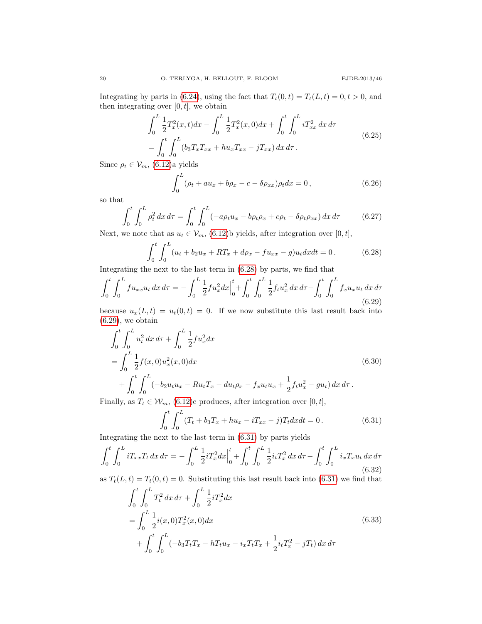Integrating by parts in [\(6.24\)](#page-18-1), using the fact that  $T_t(0, t) = T_t(L, t) = 0, t > 0$ , and then integrating over  $[0,t],$  we obtain

<span id="page-19-3"></span>
$$
\int_{0}^{L} \frac{1}{2} T_{x}^{2}(x, t) dx - \int_{0}^{L} \frac{1}{2} T_{x}^{2}(x, 0) dx + \int_{0}^{t} \int_{0}^{L} i T_{xx}^{2} dx d\tau
$$
\n
$$
= \int_{0}^{t} \int_{0}^{L} (b_{3} T_{x} T_{xx} + h u_{x} T_{xx} - j T_{xx}) dx d\tau.
$$
\n(6.25)

Since  $\rho_t \in \mathcal{V}_m$ , [\(6.12\)](#page-16-2)a yields

$$
\int_0^L (\rho_t + au_x + b\rho_x - c - \delta \rho_{xx}) \rho_t dx = 0, \qquad (6.26)
$$

so that

<span id="page-19-4"></span>
$$
\int_0^t \int_0^L \rho_t^2 dx d\tau = \int_0^t \int_0^L (-a\rho_t u_x - b\rho_t \rho_x + c\rho_t - \delta\rho_t \rho_{xx}) dx d\tau \tag{6.27}
$$

Next, we note that as  $u_t \in \mathcal{V}_m$ , [\(6.12\)](#page-16-2)b yields, after integration over [0, t],

<span id="page-19-0"></span>
$$
\int_0^t \int_0^L (u_t + b_2 u_x + RT_x + d\rho_x - fu_{xx} - g)u_t dx dt = 0.
$$
 (6.28)

Integrating the next to the last term in [\(6.28\)](#page-19-0) by parts, we find that

<span id="page-19-1"></span>
$$
\int_0^t \int_0^L fu_{xx} u_t \, dx \, d\tau = -\int_0^L \frac{1}{2} f u_x^2 dx \Big|_0^t + \int_0^t \int_0^L \frac{1}{2} f_t u_x^2 \, dx \, d\tau - \int_0^t \int_0^L f_x u_x u_t \, dx \, d\tau \tag{6.29}
$$

because  $u_x(L, t) = u_t(0, t) = 0$ . If we now substitute this last result back into  $(6.29)$ , we obtain

<span id="page-19-5"></span>
$$
\int_{0}^{t} \int_{0}^{L} u_{t}^{2} dx d\tau + \int_{0}^{L} \frac{1}{2} f u_{x}^{2} dx
$$
\n
$$
= \int_{0}^{L} \frac{1}{2} f(x, 0) u_{x}^{2}(x, 0) dx
$$
\n
$$
+ \int_{0}^{t} \int_{0}^{L} (-b_{2} u_{t} u_{x} - R u_{t} T_{x} - du_{t} \rho_{x} - f_{x} u_{t} u_{x} + \frac{1}{2} f_{t} u_{x}^{2} - g u_{t}) dx d\tau.
$$
\n(6.30)

Finally, as  $T_t \in \mathcal{W}_m$ , [\(6.12\)](#page-16-2)c produces, after integration over [0, t],

<span id="page-19-2"></span>
$$
\int_0^t \int_0^L (T_t + b_3 T_x + h u_x - iT_{xx} - j) T_t dx dt = 0.
$$
 (6.31)

Integrating the next to the last term in [\(6.31\)](#page-19-2) by parts yields

$$
\int_0^t \int_0^L i T_{xx} T_t \, dx \, d\tau = -\int_0^L \frac{1}{2} i T_x^2 dx \Big|_0^t + \int_0^t \int_0^L \frac{1}{2} i_t T_x^2 \, dx \, d\tau - \int_0^t \int_0^L i_x T_x u_t \, dx \, d\tau \tag{6.32}
$$

as  $T_t(L, t) = T_t(0, t) = 0$ . Substituting this last result back into [\(6.31\)](#page-19-2) we find that

<span id="page-19-6"></span>
$$
\int_{0}^{t} \int_{0}^{L} T_{t}^{2} dx d\tau + \int_{0}^{L} \frac{1}{2} i T_{x}^{2} dx
$$
\n
$$
= \int_{0}^{L} \frac{1}{2} i(x, 0) T_{x}^{2}(x, 0) dx
$$
\n
$$
+ \int_{0}^{t} \int_{0}^{L} (-b_{3} T_{t} T_{x} - h T_{t} u_{x} - i_{x} T_{t} T_{x} + \frac{1}{2} i_{t} T_{x}^{2} - j T_{t}) dx d\tau
$$
\n(6.33)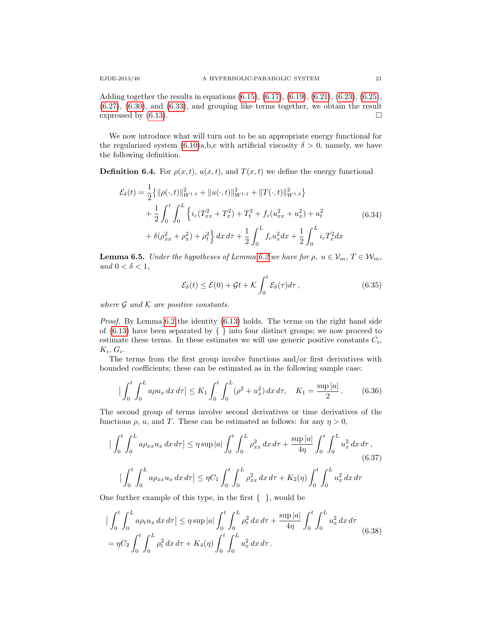Adding together the results in equations [\(6.15\)](#page-17-0), [\(6.17\)](#page-18-2), [\(6.19\)](#page-18-3), [\(6.21\)](#page-18-4), [\(6.23\)](#page-18-5), [\(6.25\)](#page-19-3), [\(6.27\)](#page-19-4), [\(6.30\)](#page-19-5), and [\(6.33\)](#page-19-6), and grouping like terms together, we obtain the result expressed by  $(6.13)$ .

We now introduce what will turn out to be an appropriate energy functional for the regularized system  $(6.10)a,b,c$  with artificial viscosity  $\delta > 0$ , namely, we have the following definition.

**Definition 6.4.** For  $\rho(x, t)$ ,  $u(x, t)$ , and  $T(x, t)$  we define the energy functional

<span id="page-20-2"></span>
$$
\mathcal{E}_{\delta}(t) = \frac{1}{2} \{ ||\rho(\cdot, t)||_{W^{1,2}}^2 + ||u(\cdot, t)||_{W^{1,2}}^2 + ||T(\cdot, t)||_{W^{1,2}}^2 \} \n+ \frac{1}{2} \int_0^t \int_0^L \left\{ i_c(T_{xx}^2 + T_x^2) + T_t^2 + f_c(u_{xx}^2 + u_x^2) + u_t^2 \right. \n+ \delta(\rho_{xx}^2 + \rho_x^2) + \rho_t^2 \right\} dx \, d\tau + \frac{1}{2} \int_0^L f_c u_x^2 dx + \frac{1}{2} \int_0^L i_c T_x^2 dx
$$
\n(6.34)

<span id="page-20-1"></span>**Lemma 6.5.** Under the hypotheses of Lemma [6.2](#page-16-1) we have for  $\rho, u \in V_m, T \in \mathcal{W}_m$ , and  $0 < \delta < 1$ ,

<span id="page-20-0"></span>
$$
\mathcal{E}_{\delta}(t) \le \mathcal{E}(0) + \mathcal{G}t + \mathcal{K} \int_0^t \mathcal{E}_{\delta}(\tau) d\tau, \qquad (6.35)
$$

where  $\mathcal G$  and  $\mathcal K$  are positive constants.

*Proof.* By Lemma  $6.2$  the identity  $(6.13)$  holds. The terms on the right hand side of  $(6.13)$  have been separated by  $\{\}\$ into four distinct groups; we now proceed to estimate these terms. In these estimates we will use generic positive constants  $C_i$ ,  $K_i, G_i.$ 

The terms from the first group involve functions and/or first derivatives with bounded coefficients; these can be estimated as in the following sample case:

$$
\left| \int_0^t \int_0^L a\rho u_x \, dx \, d\tau \right| \le K_1 \int_0^t \int_0^L (\rho^2 + u_x^2) \, dx \, d\tau, \quad K_1 = \frac{\sup |a|}{2} \,. \tag{6.36}
$$

The second group of terms involve second derivatives or time derivatives of the functions  $\rho$ ,  $u$ , and T. These can be estimated as follows: for any  $\eta > 0$ ,

$$
\left| \int_{0}^{t} \int_{0}^{L} a \rho_{xx} u_{x} \, dx \, d\tau \right| \leq \eta \sup |a| \int_{0}^{t} \int_{0}^{L} \rho_{xx}^{2} \, dx \, d\tau + \frac{\sup |a|}{4\eta} \int_{0}^{t} \int_{0}^{L} u_{x}^{2} \, dx \, d\tau ,
$$
\n
$$
\left| \int_{0}^{t} \int_{0}^{L} a \rho_{xx} u_{x} \, dx \, d\tau \right| \leq \eta C_{1} \int_{0}^{t} \int_{0}^{L} \rho_{xx}^{2} \, dx \, d\tau + K_{2}(\eta) \int_{0}^{t} \int_{0}^{L} u_{x}^{2} \, dx \, d\tau
$$
\n
$$
(6.37)
$$

One further example of this type, in the first  $\{\}$ , would be

$$
\left| \int_0^t \int_0^L a \rho_t u_x \, dx \, d\tau \right| \leq \eta \sup |a| \int_0^t \int_0^L \rho_t^2 \, dx \, d\tau + \frac{\sup |a|}{4\eta} \int_0^t \int_0^L u_x^2 \, dx \, d\tau
$$
\n
$$
= \eta C_2 \int_0^t \int_0^L \rho_t^2 \, dx \, d\tau + K_4(\eta) \int_0^t \int_0^L u_x^2 \, dx \, d\tau \,.
$$
\n(6.38)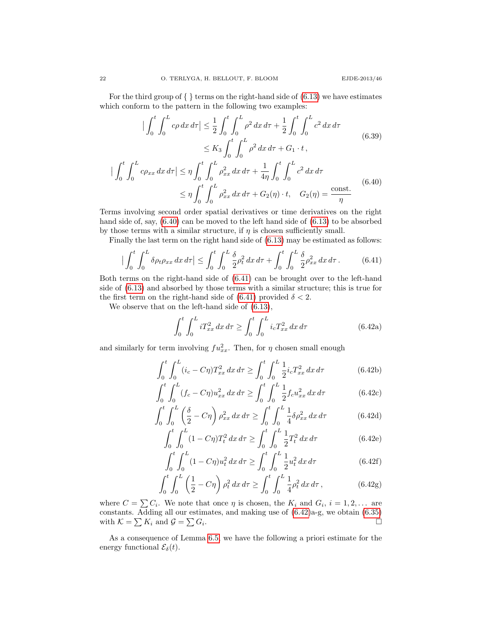For the third group of  $\{\}$  terms on the right-hand side of  $(6.13)$  we have estimates which conform to the pattern in the following two examples:

$$
\left| \int_{0}^{t} \int_{0}^{L} c\rho \, dx \, d\tau \right| \leq \frac{1}{2} \int_{0}^{t} \int_{0}^{L} \rho^{2} \, dx \, d\tau + \frac{1}{2} \int_{0}^{t} \int_{0}^{L} c^{2} \, dx \, d\tau
$$
\n
$$
\leq K_{3} \int_{0}^{t} \int_{0}^{L} \rho^{2} \, dx \, d\tau + G_{1} \cdot t \,,
$$
\n
$$
\left| \int_{0}^{t} \int_{0}^{L} c\rho_{xx} \, dx \, d\tau \right| \leq \eta \int_{0}^{t} \int_{0}^{L} \rho_{xx}^{2} \, dx \, d\tau + \frac{1}{4\eta} \int_{0}^{t} \int_{0}^{L} c^{2} \, dx \, d\tau
$$
\n
$$
\leq \eta \int_{0}^{t} \int_{0}^{L} \rho_{xx}^{2} \, dx \, d\tau + G_{2}(\eta) \cdot t, \quad G_{2}(\eta) = \frac{\text{const.}}{\eta} \tag{6.40}
$$

Terms involving second order spatial derivatives or time derivatives on the right hand side of, say,  $(6.40)$  can be moved to the left hand side of  $(6.13)$  to be absorbed by those terms with a similar structure, if  $\eta$  is chosen sufficiently small.

Finally the last term on the right hand side of [\(6.13\)](#page-17-1) may be estimated as follows:

<span id="page-21-1"></span>
$$
\left| \int_0^t \int_0^L \delta \rho_t \rho_{xx} \, dx \, d\tau \right| \le \int_0^t \int_0^L \frac{\delta}{2} \rho_t^2 \, dx \, d\tau + \int_0^t \int_0^L \frac{\delta}{2} \rho_{xx}^2 \, dx \, d\tau \,. \tag{6.41}
$$

Both terms on the right-hand side of [\(6.41\)](#page-21-1) can be brought over to the left-hand side of [\(6.13\)](#page-17-1) and absorbed by those terms with a similar structure; this is true for the first term on the right-hand side of [\(6.41\)](#page-21-1) provided  $\delta < 2$ .

We observe that on the left-hand side of [\(6.13\)](#page-17-1),

<span id="page-21-2"></span><span id="page-21-0"></span>
$$
\int_0^t \int_0^L i T_{xx}^2 \, dx \, d\tau \ge \int_0^t \int_0^L i_c T_{xx}^2 \, dx \, d\tau \tag{6.42a}
$$

and similarly for term involving  $fu_{xx}^2$ . Then, for  $\eta$  chosen small enough

$$
\int_0^t \int_0^L (i_c - C\eta) T_{xx}^2 dx d\tau \ge \int_0^t \int_0^L \frac{1}{2} i_c T_{xx}^2 dx d\tau \tag{6.42b}
$$

$$
\int_0^t \int_0^L (f_c - C\eta) u_{xx}^2 dx d\tau \ge \int_0^t \int_0^L \frac{1}{2} f_c u_{xx}^2 dx d\tau \tag{6.42c}
$$

$$
\int_{0}^{t} \int_{0}^{L} \left(\frac{\delta}{2} - C\eta\right) \rho_{xx}^{2} dx d\tau \ge \int_{0}^{t} \int_{0}^{L} \frac{1}{4} \delta \rho_{xx}^{2} dx d\tau \tag{6.42d}
$$

$$
\int_0^t \int_0^L (1 - C\eta) T_t^2 \, dx \, d\tau \ge \int_0^t \int_0^L \frac{1}{2} T_t^2 \, dx \, d\tau \tag{6.42e}
$$

$$
\int_0^t \int_0^L (1 - C\eta) u_t^2 \, dx \, d\tau \ge \int_0^t \int_0^L \frac{1}{2} u_t^2 \, dx \, d\tau \tag{6.42f}
$$

$$
\int_0^t \int_0^L \left(\frac{1}{2} - C\eta\right) \rho_t^2 \, dx \, d\tau \ge \int_0^t \int_0^L \frac{1}{4} \rho_t^2 \, dx \, d\tau \,,\tag{6.42g}
$$

where  $C = \sum C_i$ . We note that once  $\eta$  is chosen, the  $K_i$  and  $G_i$ ,  $i = 1, 2, \ldots$  are constants. Adding all our estimates, and making use of [\(6.42\)](#page-21-2)a-g, we obtain [\(6.35\)](#page-20-0) with  $\mathcal{K} = \sum K_i$  and  $\mathcal{G} = \sum G_i$ .

<span id="page-21-3"></span>As a consequence of Lemma [6.5,](#page-20-1) we have the following a priori estimate for the energy functional  $\mathcal{E}_{\delta}(t)$ .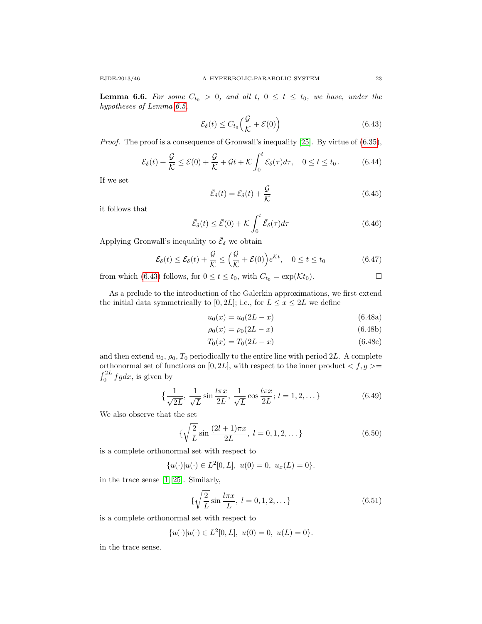**Lemma 6.6.** For some  $C_{t_0} > 0$ , and all t,  $0 \le t \le t_0$ , we have, under the hypotheses of Lemma [6.5,](#page-20-1)

<span id="page-22-0"></span>
$$
\mathcal{E}_{\delta}(t) \le C_{t_0} \left( \frac{\mathcal{G}}{\mathcal{K}} + \mathcal{E}(0) \right) \tag{6.43}
$$

Proof. The proof is a consequence of Gronwall's inequality [\[25\]](#page-40-20). By virtue of  $(6.35)$ ,

$$
\mathcal{E}_{\delta}(t) + \frac{\mathcal{G}}{\mathcal{K}} \le \mathcal{E}(0) + \frac{\mathcal{G}}{\mathcal{K}} + \mathcal{G}t + \mathcal{K} \int_0^t \mathcal{E}_{\delta}(\tau) d\tau, \quad 0 \le t \le t_0.
$$
 (6.44)

If we set

$$
\bar{\mathcal{E}}_{\delta}(t) = \mathcal{E}_{\delta}(t) + \frac{\mathcal{G}}{\mathcal{K}}\tag{6.45}
$$

it follows that

$$
\bar{\mathcal{E}}_{\delta}(t) \le \bar{\mathcal{E}}(0) + \mathcal{K} \int_0^t \bar{\mathcal{E}}_{\delta}(\tau) d\tau \tag{6.46}
$$

Applying Gronwall's inequality to  $\bar{\mathcal{E}}_{\delta}$  we obtain

$$
\mathcal{E}_{\delta}(t) \le \mathcal{E}_{\delta}(t) + \frac{\mathcal{G}}{\mathcal{K}} \le \left(\frac{\mathcal{G}}{\mathcal{K}} + \mathcal{E}(0)\right) e^{\mathcal{K}t}, \quad 0 \le t \le t_0 \tag{6.47}
$$

from which [\(6.43\)](#page-22-0) follows, for  $0 \le t \le t_0$ , with  $C_{t_0} = \exp(\mathcal{K}t_0)$ .

As a prelude to the introduction of the Galerkin approximations, we first extend the initial data symmetrically to [0, 2L]; i.e., for  $L \leq x \leq 2L$  we define

$$
u_0(x) = u_0(2L - x) \tag{6.48a}
$$

$$
\rho_0(x) = \rho_0(2L - x) \tag{6.48b}
$$

$$
T_0(x) = T_0(2L - x) \tag{6.48c}
$$

and then extend  $u_0$ ,  $\rho_0$ ,  $T_0$  periodically to the entire line with period 2L. A complete orthonormal set of functions on  $[0, 2L],$  with respect to the inner product  $< f,g >= \,$  $\int_0^{2L} fg dx$ , is given by

$$
\{\frac{1}{\sqrt{2L}}, \frac{1}{\sqrt{L}}\sin\frac{l\pi x}{2L}, \frac{1}{\sqrt{L}}\cos\frac{l\pi x}{2L}; l = 1, 2, \dots\}
$$
 (6.49)

We also observe that the set

$$
\{\sqrt{\frac{2}{L}}\sin\frac{(2l+1)\pi x}{2L}, \ l=0,1,2,\dots\}
$$
 (6.50)

is a complete orthonormal set with respect to

$$
\{u(\cdot)|u(\cdot)\in L^2[0,L],\ u(0)=0,\ u_x(L)=0\}.
$$

in the trace sense [\[1,](#page-38-4) [25\]](#page-40-20). Similarly,

$$
\{\sqrt{\frac{2}{L}}\sin\frac{l\pi x}{L}, \ l = 0, 1, 2, \dots\}
$$
 (6.51)

is a complete orthonormal set with respect to

$$
{u(\cdot)|u(\cdot) \in L^2[0,L], \ u(0) = 0, \ u(L) = 0}.
$$

in the trace sense.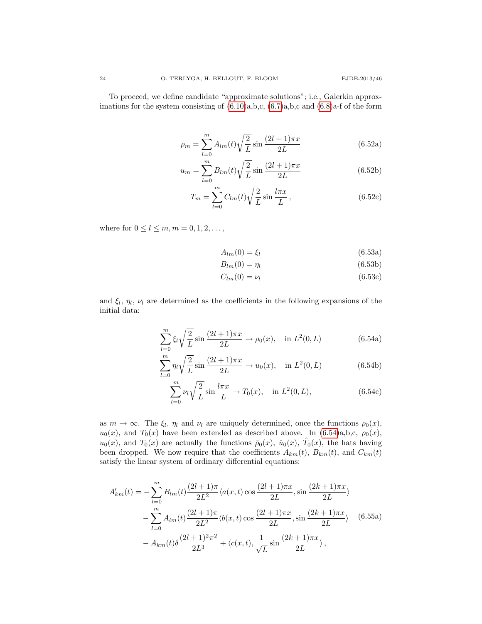<span id="page-23-2"></span>To proceed, we define candidate "approximate solutions"; i.e., Galerkin approximations for the system consisting of  $(6.10)a,b,c, (6.7)a,b,c$  $(6.10)a,b,c, (6.7)a,b,c$  $(6.10)a,b,c, (6.7)a,b,c$  and  $(6.8)a$ -f of the form

$$
\rho_m = \sum_{l=0}^{m} A_{lm}(t) \sqrt{\frac{2}{L}} \sin \frac{(2l+1)\pi x}{2L}
$$
 (6.52a)

$$
u_m = \sum_{l=0}^{m} B_{lm}(t) \sqrt{\frac{2}{L}} \sin \frac{(2l+1)\pi x}{2L}
$$
 (6.52b)

$$
T_m = \sum_{l=0}^{m} C_{lm}(t) \sqrt{\frac{2}{L}} \sin \frac{l\pi x}{L}, \qquad (6.52c)
$$

where for  $0 \le l \le m, m = 0, 1, 2, ...$ ,

<span id="page-23-3"></span>
$$
A_{lm}(0) = \xi_l \tag{6.53a}
$$

$$
B_{lm}(0) = \eta_l \tag{6.53b}
$$

$$
C_{lm}(0) = \nu_l \tag{6.53c}
$$

and  $\xi_l$ ,  $\eta_l$ ,  $\nu_l$  are determined as the coefficients in the following expansions of the initial data:

<span id="page-23-0"></span>
$$
\sum_{l=0}^{m} \xi_l \sqrt{\frac{2}{L}} \sin \frac{(2l+1)\pi x}{2L} \to \rho_0(x), \quad \text{in } L^2(0, L)
$$
 (6.54a)

$$
\sum_{l=0}^{m} \eta_l \sqrt{\frac{2}{L}} \sin \frac{(2l+1)\pi x}{2L} \to u_0(x), \quad \text{in } L^2(0, L)
$$
 (6.54b)

<span id="page-23-1"></span>
$$
\sum_{l=0}^{m} \nu_l \sqrt{\frac{2}{L}} \sin \frac{l \pi x}{L} \to T_0(x), \quad \text{in } L^2(0, L), \tag{6.54c}
$$

as  $m \to \infty$ . The  $\xi_l$ ,  $\eta_l$  and  $\nu_l$  are uniquely determined, once the functions  $\rho_0(x)$ ,  $u_0(x)$ , and  $T_0(x)$  have been extended as described above. In [\(6.54\)](#page-23-0)a,b,c,  $\rho_0(x)$ ,  $u_0(x)$ , and  $T_0(x)$  are actually the functions  $\hat{\rho}_0(x)$ ,  $\hat{u}_0(x)$ ,  $\hat{T}_0(x)$ , the hats having been dropped. We now require that the coefficients  $A_{km}(t)$ ,  $B_{km}(t)$ , and  $C_{km}(t)$ satisfy the linear system of ordinary differential equations:

$$
A'_{km}(t) = -\sum_{l=0}^{m} B_{lm}(t) \frac{(2l+1)\pi}{2L^2} \langle a(x,t) \cos \frac{(2l+1)\pi x}{2L}, \sin \frac{(2k+1)\pi x}{2L} \rangle
$$
  

$$
-\sum_{l=0}^{m} A_{lm}(t) \frac{(2l+1)\pi}{2L^2} \langle b(x,t) \cos \frac{(2l+1)\pi x}{2L}, \sin \frac{(2k+1)\pi x}{2L} \rangle
$$
(6.55a)  

$$
-A_{km}(t) \delta \frac{(2l+1)^2 \pi^2}{2L^3} + \langle c(x,t), \frac{1}{\sqrt{L}} \sin \frac{(2k+1)\pi x}{2L} \rangle,
$$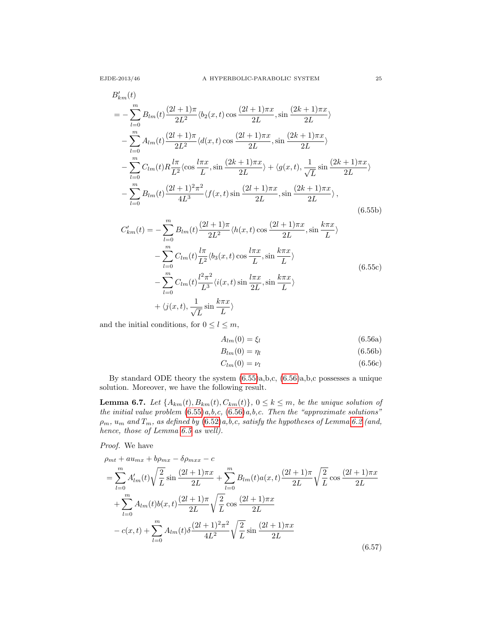$$
B'_{km}(t)
$$
  
=  $-\sum_{l=0}^{m} B_{lm}(t) \frac{(2l+1)\pi}{2L^2} \langle b_2(x,t) \cos \frac{(2l+1)\pi x}{2L}, \sin \frac{(2k+1)\pi x}{2L} \rangle$   
 $-\sum_{l=0}^{m} A_{lm}(t) \frac{(2l+1)\pi}{2L^2} \langle d(x,t) \cos \frac{(2l+1)\pi x}{2L}, \sin \frac{(2k+1)\pi x}{2L} \rangle$   
 $-\sum_{l=0}^{m} C_{lm}(t) R \frac{l\pi}{L^2} \langle \cos \frac{l\pi x}{L}, \sin \frac{(2k+1)\pi x}{2L} \rangle + \langle g(x,t), \frac{1}{\sqrt{L}} \sin \frac{(2k+1)\pi x}{2L} \rangle$   
 $-\sum_{l=0}^{m} B_{lm}(t) \frac{(2l+1)^2 \pi^2}{4L^3} \langle f(x,t) \sin \frac{(2l+1)\pi x}{2L}, \sin \frac{(2k+1)\pi x}{2L} \rangle,$   
(6.55b)

$$
C'_{km}(t) = -\sum_{l=0}^{m} B_{lm}(t) \frac{(2l+1)\pi}{2L^2} \langle h(x,t) \cos \frac{(2l+1)\pi x}{2L}, \sin \frac{k\pi x}{L} \rangle
$$
  

$$
-\sum_{l=0}^{m} C_{lm}(t) \frac{l\pi}{L^2} \langle b_3(x,t) \cos \frac{l\pi x}{L}, \sin \frac{k\pi x}{L} \rangle
$$
  

$$
-\sum_{l=0}^{m} C_{lm}(t) \frac{l^2 \pi^2}{L^3} \langle i(x,t) \sin \frac{l\pi x}{2L}, \sin \frac{k\pi x}{L} \rangle
$$
  

$$
+ \langle j(x,t), \frac{1}{\sqrt{L}} \sin \frac{k\pi x}{L} \rangle
$$
 (6.55c)

and the initial conditions, for  $0 \le l \le m$ ,

<span id="page-24-0"></span>
$$
A_{lm}(0) = \xi_l \tag{6.56a}
$$

$$
B_{lm}(0) = \eta_l \tag{6.56b}
$$

$$
C_{lm}(0) = \nu_l \tag{6.56c}
$$

By standard ODE theory the system [\(6.55\)](#page-23-1)a,b,c, [\(6.56\)](#page-24-0)a,b,c possesses a unique solution. Moreover, we have the following result.

<span id="page-24-2"></span>**Lemma 6.7.** Let  $\{A_{km}(t), B_{km}(t), C_{km}(t)\}\$ ,  $0 \le k \le m$ , be the unique solution of the initial value problem  $(6.55)a,b,c, (6.56)a,b,c.$  $(6.55)a,b,c, (6.56)a,b,c.$  $(6.55)a,b,c, (6.56)a,b,c.$  $(6.55)a,b,c, (6.56)a,b,c.$  Then the "approximate solutions"  $\rho_m$ ,  $u_m$  and  $T_m$ , as defined by  $(6.52)a,b,c$  $(6.52)a,b,c$ , satisfy the hypotheses of Lemma [6.2](#page-16-1) (and, hence, those of Lemma [6.5](#page-20-1) as well).

Proof. We have

<span id="page-24-1"></span>
$$
\rho_{mt} + au_{mx} + b\rho_{mx} - \delta\rho_{mx} - c
$$
\n
$$
= \sum_{l=0}^{m} A'_{lm}(t) \sqrt{\frac{2}{L}} \sin \frac{(2l+1)\pi x}{2L} + \sum_{l=0}^{m} B_{lm}(t) a(x, t) \frac{(2l+1)\pi}{2L} \sqrt{\frac{2}{L}} \cos \frac{(2l+1)\pi x}{2L}
$$
\n
$$
+ \sum_{l=0}^{m} A_{lm}(t) b(x, t) \frac{(2l+1)\pi}{2L} \sqrt{\frac{2}{L}} \cos \frac{(2l+1)\pi x}{2L}
$$
\n
$$
- c(x, t) + \sum_{l=0}^{m} A_{lm}(t) \delta \frac{(2l+1)^2 \pi^2}{4L^2} \sqrt{\frac{2}{L}} \sin \frac{(2l+1)\pi x}{2L}
$$
\n(6.57)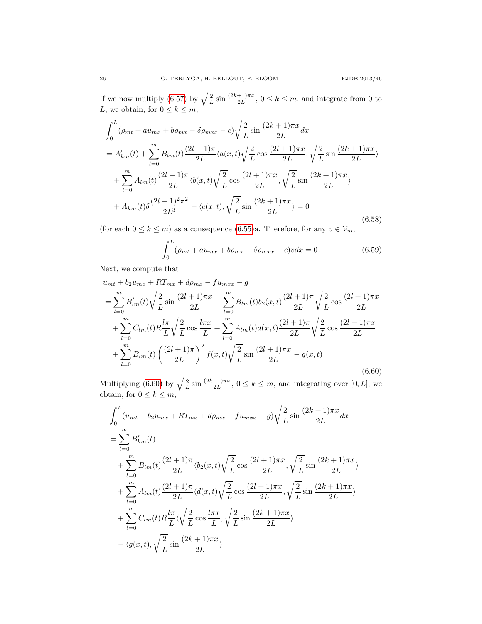If we now multiply [\(6.57\)](#page-24-1) by  $\sqrt{\frac{2}{L}} \sin \frac{(2k+1)\pi x}{2L}$ ,  $0 \le k \le m$ , and integrate from 0 to L, we obtain, for  $0 \leq k \leq m$ ,

$$
\int_{0}^{L} (\rho_{mt} + au_{mx} + b\rho_{mx} - \delta\rho_{mxx} - c) \sqrt{\frac{2}{L}} \sin \frac{(2k+1)\pi x}{2L} dx
$$
  
\n
$$
= A'_{km}(t) + \sum_{l=0}^{m} B_{lm}(t) \frac{(2l+1)\pi}{2L} \langle a(x,t) \sqrt{\frac{2}{L}} \cos \frac{(2l+1)\pi x}{2L}, \sqrt{\frac{2}{L}} \sin \frac{(2k+1)\pi x}{2L} \rangle
$$
  
\n
$$
+ \sum_{l=0}^{m} A_{lm}(t) \frac{(2l+1)\pi}{2L} \langle b(x,t) \sqrt{\frac{2}{L}} \cos \frac{(2l+1)\pi x}{2L}, \sqrt{\frac{2}{L}} \sin \frac{(2k+1)\pi x}{2L} \rangle
$$
  
\n
$$
+ A_{km}(t) \delta \frac{(2l+1)^2 \pi^2}{2L^3} - \langle c(x,t), \sqrt{\frac{2}{L}} \sin \frac{(2k+1)\pi x}{2L} \rangle = 0
$$
  
\n(6.58)

(for each  $0 \leq k \leq m$ ) as a consequence [\(6.55\)](#page-23-1)a. Therefore, for any  $v \in V_m$ ,

$$
\int_0^L (\rho_{mt} + au_{mx} + b\rho_{mx} - \delta\rho_{mxx} - c)v dx = 0.
$$
 (6.59)

Next, we compute that

<span id="page-25-0"></span>
$$
u_{mt} + b_2 u_{mx} + RT_{mx} + d\rho_{mx} - fu_{mxx} - g
$$
  
=  $\sum_{l=0}^{m} B'_{lm}(t) \sqrt{\frac{2}{L}} \sin \frac{(2l+1)\pi x}{2L} + \sum_{l=0}^{m} B_{lm}(t) b_2(x, t) \frac{(2l+1)\pi}{2L} \sqrt{\frac{2}{L}} \cos \frac{(2l+1)\pi x}{2L}$   
+  $\sum_{l=0}^{m} C_{lm}(t) R \frac{l\pi}{L} \sqrt{\frac{2}{L}} \cos \frac{l\pi x}{L} + \sum_{l=0}^{m} A_{lm}(t) d(x, t) \frac{(2l+1)\pi}{2L} \sqrt{\frac{2}{L}} \cos \frac{(2l+1)\pi x}{2L}$   
+  $\sum_{l=0}^{m} B_{lm}(t) \left(\frac{(2l+1)\pi}{2L}\right)^2 f(x, t) \sqrt{\frac{2}{L}} \sin \frac{(2l+1)\pi x}{2L} - g(x, t)$  (6.60)

Multiplying [\(6.60\)](#page-25-0) by  $\sqrt{\frac{2}{L}} \sin \frac{(2k+1)\pi x}{2L}$ ,  $0 \le k \le m$ , and integrating over [0, L], we obtain, for  $0 \leq k \leq m$ ,

$$
\int_{0}^{L} (u_{mt} + b_2 u_{mx} + RT_{mx} + d\rho_{mx} - fu_{mxx} - g) \sqrt{\frac{2}{L}} \sin \frac{(2k+1)\pi x}{2L} dx
$$
\n
$$
= \sum_{l=0}^{m} B'_{km}(t)
$$
\n
$$
+ \sum_{l=0}^{m} B_{lm}(t) \frac{(2l+1)\pi}{2L} \langle b_2(x, t) \sqrt{\frac{2}{L}} \cos \frac{(2l+1)\pi x}{2L}, \sqrt{\frac{2}{L}} \sin \frac{(2k+1)\pi x}{2L} \rangle
$$
\n
$$
+ \sum_{l=0}^{m} A_{lm}(t) \frac{(2l+1)\pi}{2L} \langle d(x, t) \sqrt{\frac{2}{L}} \cos \frac{(2l+1)\pi x}{2L}, \sqrt{\frac{2}{L}} \sin \frac{(2k+1)\pi x}{2L} \rangle
$$
\n
$$
+ \sum_{l=0}^{m} C_{lm}(t) R \frac{l\pi}{L} \langle \sqrt{\frac{2}{L}} \cos \frac{l\pi x}{L}, \sqrt{\frac{2}{L}} \sin \frac{(2k+1)\pi x}{2L} \rangle
$$
\n
$$
- \langle g(x, t), \sqrt{\frac{2}{L}} \sin \frac{(2k+1)\pi x}{2L} \rangle
$$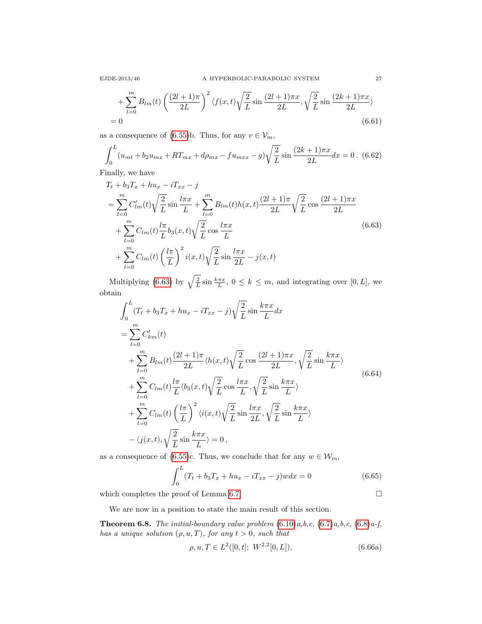$$
+\sum_{l=0}^{m} B_{lm}(t) \left(\frac{(2l+1)\pi}{2L}\right)^2 \langle f(x,t) \sqrt{\frac{2}{L}} \sin \frac{(2l+1)\pi x}{2L}, \sqrt{\frac{2}{L}} \sin \frac{(2k+1)\pi x}{2L} \rangle
$$
  
= 0 (6.61)

as a consequence of [\(6.55\)](#page-23-1)b. Thus, for any  $v \in V_m$ ,

$$
\int_0^L (u_{mt} + b_2 u_{mx} + RT_{mx} + d\rho_{mx} - fu_{mxx} - g) \sqrt{\frac{2}{L}} \sin \frac{(2k+1)\pi x}{2L} dx = 0.
$$
 (6.62)

Finally, we have

<span id="page-26-0"></span>
$$
T_t + b_3 T_x + h u_x - i T_{xx} - j
$$
  
= 
$$
\sum_{l=0}^{m} C'_{lm}(t) \sqrt{\frac{2}{L}} \sin \frac{l \pi x}{L} + \sum_{l=0}^{m} B_{lm}(t) h(x, t) \frac{(2l+1)\pi}{2L} \sqrt{\frac{2}{L}} \cos \frac{(2l+1)\pi x}{2L}
$$
  
+ 
$$
\sum_{l=0}^{m} C_{lm}(t) \frac{l \pi}{L} b_3(x, t) \sqrt{\frac{2}{L}} \cos \frac{l \pi x}{L}
$$
  
+ 
$$
\sum_{l=0}^{m} C_{lm}(t) \left(\frac{l \pi}{L}\right)^2 i(x, t) \sqrt{\frac{2}{L}} \sin \frac{l \pi x}{2L} - j(x, t)
$$
(6.63)

Multiplying [\(6.63\)](#page-26-0) by  $\sqrt{\frac{2}{L}} \sin \frac{k\pi x}{L}$ ,  $0 \le k \le m$ , and integrating over [0, L], we obtain

$$
\int_{0}^{L} (T_t + b_3 T_x + h u_x - i T_{xx} - j) \sqrt{\frac{2}{L}} \sin \frac{k \pi x}{L} dx
$$
\n
$$
= \sum_{l=0}^{m} C'_{km}(t)
$$
\n
$$
+ \sum_{l=0}^{m} B_{lm}(t) \frac{(2l+1)\pi}{2L} \langle h(x, t) \sqrt{\frac{2}{L}} \cos \frac{(2l+1)\pi x}{2L}, \sqrt{\frac{2}{L}} \sin \frac{k \pi x}{L} \rangle
$$
\n
$$
+ \sum_{l=0}^{m} C_{lm}(t) \frac{l \pi}{L} \langle b_3(x, t) \sqrt{\frac{2}{L}} \cos \frac{l \pi x}{L}, \sqrt{\frac{2}{L}} \sin \frac{k \pi x}{L} \rangle
$$
\n
$$
+ \sum_{l=0}^{m} C_{lm}(t) \left(\frac{l \pi}{L}\right)^2 \langle i(x, t) \sqrt{\frac{2}{L}} \sin \frac{l \pi x}{2L}, \sqrt{\frac{2}{L}} \sin \frac{k \pi x}{L} \rangle
$$
\n
$$
- \langle j(x, t), \sqrt{\frac{2}{L}} \sin \frac{k \pi x}{L} \rangle = 0,
$$
\n(6.64)

as a consequence of [\(6.55\)](#page-23-1)c. Thus, we conclude that for any  $w \in \mathcal{W}_m$ ,

$$
\int_{0}^{L} (T_t + b_3 T_x + h u_x - iT_{xx} - j) w dx = 0
$$
\n(6.65)

which completes the proof of Lemma [6.7](#page-24-2)

<span id="page-26-2"></span>
$$
\Box
$$

We are now in a position to state the main result of this section.

<span id="page-26-1"></span>**Theorem 6.8.** The initial-boundary value problem  $(6.10)a$  $(6.10)a$ , b, c,  $(6.7)a$  $(6.7)a$ , b, c,  $(6.8)a$  $(6.8)a$ -f, has a unique solution  $(\rho, u, T)$ , for any  $t > 0$ , such that

$$
\rho, u, T \in L^2([0, t]; W^{2,2}[0, L]), \tag{6.66a}
$$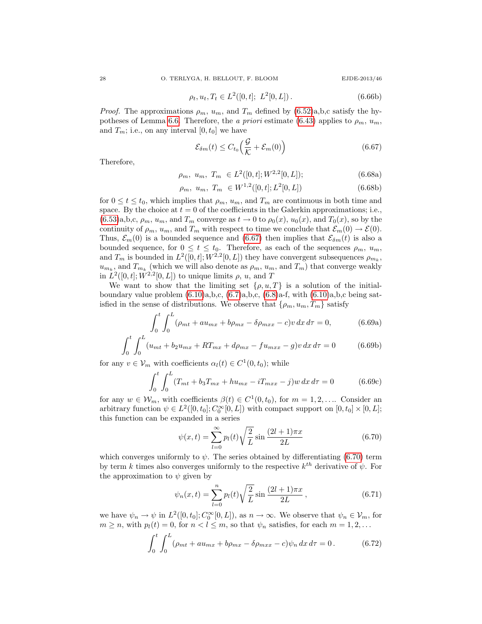$$
\rho_t, u_t, T_t \in L^2([0, t]; L^2[0, L]). \tag{6.66b}
$$

*Proof.* The approximations  $\rho_m$ ,  $u_m$ , and  $T_m$  defined by  $(6.52)a$ , b, c satisfy the hy-potheses of Lemma [6.6.](#page-21-3) Therefore, the a priori estimate [\(6.43\)](#page-22-0) applies to  $\rho_m$ ,  $u_m$ , and  $T_m$ ; i.e., on any interval  $[0, t_0]$  we have

<span id="page-27-0"></span>
$$
\mathcal{E}_{\delta m}(t) \le C_{t_0} \left( \frac{\mathcal{G}}{\mathcal{K}} + \mathcal{E}_m(0) \right) \tag{6.67}
$$

<span id="page-27-3"></span>Therefore,

$$
\rho_m, \ u_m, \ T_m \in L^2([0, t]; W^{2,2}[0, L]); \tag{6.68a}
$$

$$
\rho_m, \ u_m, \ T_m \in W^{1,2}([0,t];L^2[0,L]) \tag{6.68b}
$$

for  $0 \le t \le t_0$ , which implies that  $\rho_m$ ,  $u_m$ , and  $T_m$  are continuous in both time and space. By the choice at  $t = 0$  of the coefficients in the Galerkin approximations; i.e.,  $(6.53)a,b,c, \rho_m, u_m$  $(6.53)a,b,c, \rho_m, u_m$ , and  $T_m$  converge as  $t \to 0$  to  $\rho_0(x), u_0(x)$ , and  $T_0(x)$ , so by the continuity of  $\rho_m$ ,  $u_m$ , and  $T_m$  with respect to time we conclude that  $\mathcal{E}_m(0) \to \mathcal{E}(0)$ . Thus,  $\mathcal{E}_m(0)$  is a bounded sequence and [\(6.67\)](#page-27-0) then implies that  $\mathcal{E}_{\delta m}(t)$  is also a bounded sequence, for  $0 \le t \le t_0$ . Therefore, as each of the sequences  $\rho_m$ ,  $u_m$ , and  $T_m$  is bounded in  $L^2([0,t];W^{2,2}[0,L])$  they have convergent subsequences  $\rho_{m_k}$ ,  $u_{m_k}$ , and  $T_{m_k}$  (which we will also denote as  $\rho_m$ ,  $u_m$ , and  $T_m$ ) that converge weakly in  $L^2([0,t];W^{2,2}[0,L])$  to unique limits  $\rho, u$ , and T

We want to show that the limiting set  $\{\rho, u, T\}$  is a solution of the initialboundary value problem  $(6.10)a,b,c$ ,  $(6.7)a,b,c$ ,  $(6.8)a$ -f, with  $(6.10)a,b,c$  being satisfied in the sense of distributions. We observe that  $\{\rho_m, u_m, T_m\}$  satisfy

$$
\int_{0}^{t} \int_{0}^{L} (\rho_{mt} + au_{mx} + b\rho_{mx} - \delta\rho_{mxx} - c)v \, dx \, d\tau = 0, \tag{6.69a}
$$

$$
\int_0^t \int_0^L (u_{mt} + b_2 u_{mx} + RT_{mx} + d\rho_{mx} - fu_{mxx} - g)v \, dx \, d\tau = 0 \tag{6.69b}
$$

for any  $v \in V_m$  with coefficients  $\alpha_l(t) \in C^1(0, t_0)$ ; while

$$
\int_{0}^{t} \int_{0}^{L} (T_{mt} + b_3 T_{mx} + h u_{mx} - i T_{mxx} - j) w \, dx \, d\tau = 0 \tag{6.69c}
$$

for any  $w \in \mathcal{W}_m$ , with coefficients  $\beta(t) \in C^1(0, t_0)$ , for  $m = 1, 2, \dots$  Consider an arbitrary function  $\psi \in L^2([0, t_0]; C_0^{\infty}[0, L])$  with compact support on  $[0, t_0] \times [0, L]$ ; this function can be expanded in a series

<span id="page-27-1"></span>
$$
\psi(x,t) = \sum_{l=0}^{\infty} p_l(t) \sqrt{\frac{2}{L}} \sin \frac{(2l+1)\pi x}{2L}
$$
\n(6.70)

which converges uniformly to  $\psi$ . The series obtained by differentiating [\(6.70\)](#page-27-1) term by term k times also converges uniformly to the respective  $k^{th}$  derivative of  $\psi$ . For the approximation to  $\psi$  given by

$$
\psi_n(x,t) = \sum_{l=0}^n p_l(t) \sqrt{\frac{2}{L}} \sin \frac{(2l+1)\pi x}{2L},
$$
\n(6.71)

we have  $\psi_n \to \psi$  in  $L^2([0, t_0]; C_0^{\infty}[0, L])$ , as  $n \to \infty$ . We observe that  $\psi_n \in \mathcal{V}_m$ , for  $m \geq n$ , with  $p_l(t) = 0$ , for  $n < l \leq m$ , so that  $\psi_n$  satisfies, for each  $m = 1, 2, \ldots$ 

<span id="page-27-2"></span>
$$
\int_0^t \int_0^L (\rho_{mt} + au_{mx} + b\rho_{mx} - \delta\rho_{mxx} - c)\psi_n \, dx \, d\tau = 0. \tag{6.72}
$$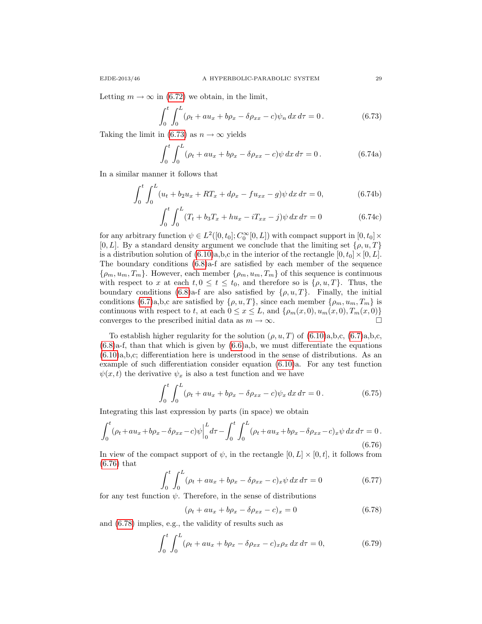<span id="page-28-0"></span>
$$
\int_0^t \int_0^L (\rho_t + au_x + b\rho_x - \delta\rho_{xx} - c)\psi_n \, dx \, d\tau = 0. \tag{6.73}
$$

Taking the limit in [\(6.73\)](#page-28-0) as  $n \to \infty$  yields

<span id="page-28-3"></span>
$$
\int_0^t \int_0^L (\rho_t + au_x + b\rho_x - \delta\rho_{xx} - c)\psi \, dx \, d\tau = 0. \tag{6.74a}
$$

In a similar manner it follows that

$$
\int_0^t \int_0^L (u_t + b_2 u_x + RT_x + d\rho_x - fu_{xx} - g)\psi \,dx \,d\tau = 0, \tag{6.74b}
$$

$$
\int_0^t \int_0^L (T_t + b_3 T_x + h u_x - iT_{xx} - j) \psi \, dx \, d\tau = 0 \tag{6.74c}
$$

for any arbitrary function  $\psi \in L^2([0, t_0]; C_0^{\infty}[0, L])$  with compact support in  $[0, t_0] \times$  $[0, L]$ . By a standard density argument we conclude that the limiting set  $\{\rho, u, T\}$ is a distribution solution of  $(6.10)a,b,c$  in the interior of the rectangle  $[0, t_0] \times [0, L]$ . The boundary conditions  $(6.8)a$ -f are satisfied by each member of the sequence  $\{\rho_m, u_m, T_m\}$ . However, each member  $\{\rho_m, u_m, T_m\}$  of this sequence is continuous with respect to x at each  $t, 0 \le t \le t_0$ , and therefore so is  $\{\rho, u, T\}$ . Thus, the boundary conditions [\(6.8\)](#page-15-2)a-f are also satisfied by  $\{\rho, u, T\}$ . Finally, the initial conditions [\(6.7\)](#page-15-1)a,b,c are satisfied by  $\{\rho, u, T\}$ , since each member  $\{\rho_m, u_m, T_m\}$  is continuous with respect to t, at each  $0 \le x \le L$ , and  $\{\rho_m(x, 0), u_m(x, 0), T_m(x, 0)\}\$ converges to the prescribed initial data as  $m \to \infty$ .

To establish higher regularity for the solution  $(\rho, u, T)$  of  $(6.10)a, b, c, (6.7)a, b, c$  $(6.10)a, b, c, (6.7)a, b, c$  $(6.10)a, b, c, (6.7)a, b, c$ ,  $(6.8)$ a-f, than that which is given by  $(6.6)$ a,b, we must differentiate the equations [\(6.10\)](#page-16-0)a,b,c; differentiation here is understood in the sense of distributions. As an example of such differentiation consider equation [\(6.10\)](#page-16-0)a. For any test function  $\psi(x, t)$  the derivative  $\psi_x$  is also a test function and we have

$$
\int_0^t \int_0^L (\rho_t + au_x + b\rho_x - \delta\rho_{xx} - c)\psi_x \, dx \, d\tau = 0. \tag{6.75}
$$

Integrating this last expression by parts (in space) we obtain

<span id="page-28-1"></span>
$$
\int_0^t (\rho_t + au_x + b\rho_x - \delta\rho_{xx} - c)\psi \Big|_0^L d\tau - \int_0^t \int_0^L (\rho_t + au_x + b\rho_x - \delta\rho_{xx} - c)_x \psi \, dx \, d\tau = 0. \tag{6.76}
$$

In view of the compact support of  $\psi$ , in the rectangle  $[0, L] \times [0, t]$ , it follows from [\(6.76\)](#page-28-1) that

$$
\int_{0}^{t} \int_{0}^{L} (\rho_t + au_x + b\rho_x - \delta\rho_{xx} - c)_x \psi \, dx \, d\tau = 0 \tag{6.77}
$$

for any test function  $\psi$ . Therefore, in the sense of distributions

<span id="page-28-2"></span>
$$
(\rho_t + au_x + b\rho_x - \delta\rho_{xx} - c)_x = 0 \tag{6.78}
$$

and [\(6.78\)](#page-28-2) implies, e.g., the validity of results such as

$$
\int_0^t \int_0^L (\rho_t + au_x + b\rho_x - \delta\rho_{xx} - c)_x \rho_x \, dx \, d\tau = 0,\tag{6.79}
$$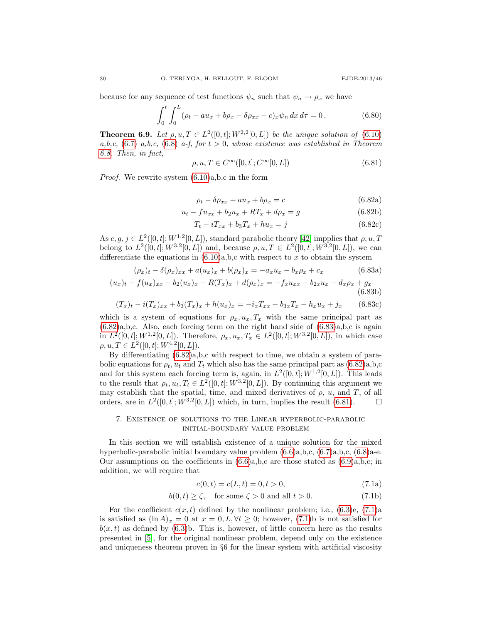because for any sequence of test functions  $\psi_n$  such that  $\psi_n \to \rho_x$  we have

$$
\int_0^t \int_0^L (\rho_t + au_x + b\rho_x - \delta\rho_{xx} - c)_x \psi_n \, dx \, d\tau = 0. \tag{6.80}
$$

<span id="page-29-4"></span>**Theorem 6.9.** Let  $\rho, u, T \in L^2([0, t]; W^{2,2}[0, L])$  be the unique solution of [\(6.10\)](#page-16-0) a,b,c, [\(6.7\)](#page-15-1) a,b,c, [\(6.8\)](#page-15-2) a-f, for  $t > 0$ , whose existence was established in Theorem [6.8.](#page-26-1) Then, in fact,

<span id="page-29-2"></span>
$$
\rho, u, T \in C^{\infty}([0, t]; C^{\infty}[0, L])
$$
\n(6.81)

<span id="page-29-0"></span>Proof. We rewrite system [\(6.10\)](#page-16-0)a,b,c in the form

$$
\rho_t - \delta \rho_{xx} + au_x + b\rho_x = c \tag{6.82a}
$$

$$
u_t - fu_{xx} + b_2 u_x + RT_x + d\rho_x = g \tag{6.82b}
$$

<span id="page-29-1"></span>
$$
T_t - iT_{xx} + b_3 T_x + h u_x = j \tag{6.82c}
$$

As  $c, g, j \in L^2([0, t]; W^{1,2}[0, L])$ , standard parabolic theory [\[42\]](#page-40-21) impplies that  $\rho, u, T$ belong to  $L^2([0,t]; W^{3,2}[0,L])$  and, because  $\rho, u, T \in L^2([0,t]; W^{3,2}[0,L])$ , we can differentiate the equations in  $(6.10)a,b,c$  with respect to x to obtain the system

$$
(\rho_x)_t - \delta(\rho_x)_{xx} + a(u_x)_x + b(\rho_x)_x = -a_x u_x - b_x \rho_x + c_x \tag{6.83a}
$$

$$
(u_x)_t - f(u_x)_{xx} + b_2(u_x)_x + R(T_x)_x + d(\rho_x)_x = -f_x u_{xx} - b_{2x} u_x - d_x \rho_x + g_x
$$
\n(6.83b)

$$
(T_x)_t - i(T_x)_{xx} + b_3(T_x)_x + h(u_x)_x = -i_x T_{xx} - b_3 x T_x - h_x u_x + j_x
$$
 (6.83c)

which is a system of equations for  $\rho_x, u_x, T_x$  with the same principal part as [\(6.82\)](#page-29-0)a,b,c. Also, each forcing term on the right hand side of [\(6.83\)](#page-29-1)a,b,c is again in  $L^2([0,t];W^{1,2}[0,L])$ . Therefore,  $\rho_x, u_x, T_x \in L^2([0,t];W^{3,2}[0,L])$ , in which case  $\rho, u, T \in L^2([0, t]; W^{4,2}[0, L]).$ 

By differentiating [\(6.82\)](#page-29-0)a,b,c with respect to time, we obtain a system of parabolic equations for  $\rho_t$ ,  $u_t$  and  $T_t$  which also has the same principal part as [\(6.82\)](#page-29-0)a,b,c and for this system each forcing term is, again, in  $L^2([0,t];W^{1,2}[0,L])$ . This leads to the result that  $\rho_t, u_t, T_t \in L^2([0, t]; W^{3,2}[0, L])$ . By continuing this argument we may establish that the spatial, time, and mixed derivatives of  $\rho$ ,  $u$ , and  $T$ , of all orders, are in  $L^2([0,t]; W^{3,2}[0,L])$  which, in turn, implies the result [\(6.81\)](#page-29-2).  $\Box$ 

## 7. Existence of solutions to the Linear hyperbolic-parabolic initial-boundary value problem

In this section we will establish existence of a unique solution for the mixed hyperbolic-parabolic initial boundary value problem [\(6.6\)](#page-15-0)a,b,c, [\(6.7\)](#page-15-1)a,b,c, [\(6.8\)](#page-15-2)a-e. Our assumptions on the coefficients in  $(6.6)a,b,c$  are those stated as  $(6.9)a,b,c;$  in addition, we will require that

<span id="page-29-3"></span>
$$
c(0,t) = c(L,t) = 0, t > 0,
$$
\n(7.1a)

$$
b(0, t) \ge \zeta, \quad \text{for some } \zeta > 0 \text{ and all } t > 0. \tag{7.1b}
$$

For the coefficient  $c(x, t)$  defined by the nonlinear problem; i.e.,  $(6.3)$ e,  $(7.1)$ a is satisfied as  $(\ln A)_x = 0$  at  $x = 0, L, \forall t \geq 0$ ; however, [\(7.1\)](#page-29-3)b is not satisfied for  $b(x, t)$  as defined by [\(6.3\)](#page-14-3)b. This is, however, of little concern here as the results presented in [\[5\]](#page-39-15), for the original nonlinear problem, depend only on the existence and uniqueness theorem proven in §6 for the linear system with artificial viscosity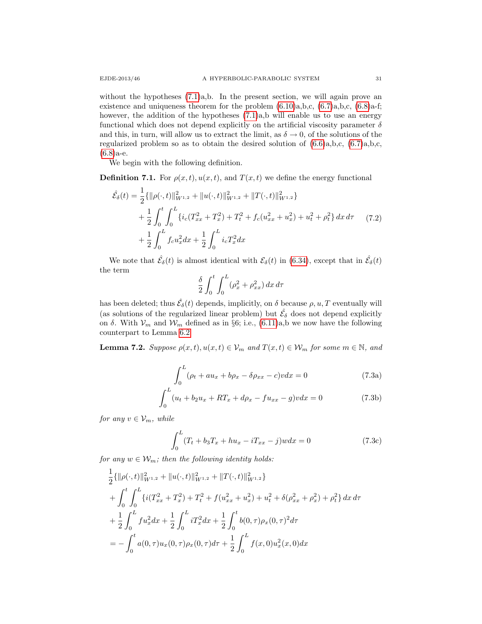without the hypotheses  $(7.1)a$ ,b. In the present section, we will again prove an existence and uniqueness theorem for the problem  $(6.10)a,b,c, (6.7)a,b,c, (6.8)a-f;$  $(6.10)a,b,c, (6.7)a,b,c, (6.8)a-f;$  $(6.10)a,b,c, (6.7)a,b,c, (6.8)a-f;$  $(6.10)a,b,c, (6.7)a,b,c, (6.8)a-f;$  $(6.10)a,b,c, (6.7)a,b,c, (6.8)a-f;$ however, the addition of the hypotheses  $(7.1)a$ , b will enable us to use an energy functional which does not depend explicitly on the artificial viscosity parameter  $\delta$ and this, in turn, will allow us to extract the limit, as  $\delta \to 0$ , of the solutions of the regularized problem so as to obtain the desired solution of  $(6.6)a,b,c, (6.7)a,b,c,$  $(6.6)a,b,c, (6.7)a,b,c,$  $(6.6)a,b,c, (6.7)a,b,c,$  $(6.8)a-e.$  $(6.8)a-e.$ 

We begin with the following definition.

**Definition 7.1.** For  $\rho(x, t)$ ,  $u(x, t)$ , and  $T(x, t)$  we define the energy functional

$$
\hat{\mathcal{E}}_{\delta}(t) = \frac{1}{2} \{ ||\rho(\cdot, t)||_{W^{1,2}}^2 + ||u(\cdot, t)||_{W^{1,2}}^2 + ||T(\cdot, t)||_{W^{1,2}}^2 \} \n+ \frac{1}{2} \int_0^t \int_0^L \{ i_c (T_{xx}^2 + T_x^2) + T_t^2 + f_c (u_{xx}^2 + u_x^2) + u_t^2 + \rho_t^2 \} dx d\tau \qquad (7.2) \n+ \frac{1}{2} \int_0^L f_c u_x^2 dx + \frac{1}{2} \int_0^L i_c T_x^2 dx
$$

We note that  $\hat{\mathcal{E}}_{\delta}(t)$  is almost identical with  $\mathcal{E}_{\delta}(t)$  in [\(6.34\)](#page-20-2), except that in  $\hat{\mathcal{E}}_{\delta}(t)$ the term

$$
\frac{\delta}{2} \int_0^t \int_0^L (\rho_x^2 + \rho_{xx}^2) \, dx \, d\tau
$$

has been deleted; thus  $\hat{\mathcal{E}}_{\delta}(t)$  depends, implicitly, on  $\delta$  because  $\rho, u, T$  eventually will (as solutions of the regularized linear problem) but  $\hat{\mathcal{E}}_{\delta}$  does not depend explicitly on δ. With  $V_m$  and  $W_m$  defined as in §6; i.e., [\(6.11\)](#page-16-4)a,b we now have the following counterpart to Lemma [6.2:](#page-16-1)

<span id="page-30-1"></span><span id="page-30-0"></span>**Lemma 7.2.** Suppose  $\rho(x, t), u(x, t) \in V_m$  and  $T(x, t) \in W_m$  for some  $m \in \mathbb{N}$ , and

$$
\int_0^L (\rho_t + au_x + b\rho_x - \delta\rho_{xx} - c)v dx = 0 \tag{7.3a}
$$

$$
\int_{0}^{L} (u_t + b_2 u_x + RT_x + d\rho_x - fu_{xx} - g)v dx = 0
$$
\n(7.3b)

for any  $v \in V_m$ , while

$$
\int_{0}^{L} (T_t + b_3 T_x + h u_x - i T_{xx} - j) w dx = 0
$$
\n(7.3c)

for any  $w \in \mathcal{W}_m$ ; then the following identity holds:

$$
\frac{1}{2} \{ ||\rho(\cdot,t)||_{W^{1,2}}^2 + ||u(\cdot,t)||_{W^{1,2}}^2 + ||T(\cdot,t)||_{W^{1,2}}^2 \}
$$
\n
$$
+ \int_0^t \int_0^L \{ i(T_{xx}^2 + T_x^2) + T_t^2 + f(u_{xx}^2 + u_x^2) + u_t^2 + \delta(\rho_{xx}^2 + \rho_x^2) + \rho_t^2 \} dx d\tau
$$
\n
$$
+ \frac{1}{2} \int_0^L f u_x^2 dx + \frac{1}{2} \int_0^L i T_x^2 dx + \frac{1}{2} \int_0^t b(0,\tau)\rho_x(0,\tau)^2 d\tau
$$
\n
$$
= - \int_0^t a(0,\tau)u_x(0,\tau)\rho_x(0,\tau) d\tau + \frac{1}{2} \int_0^L f(x,0)u_x^2(x,0) dx
$$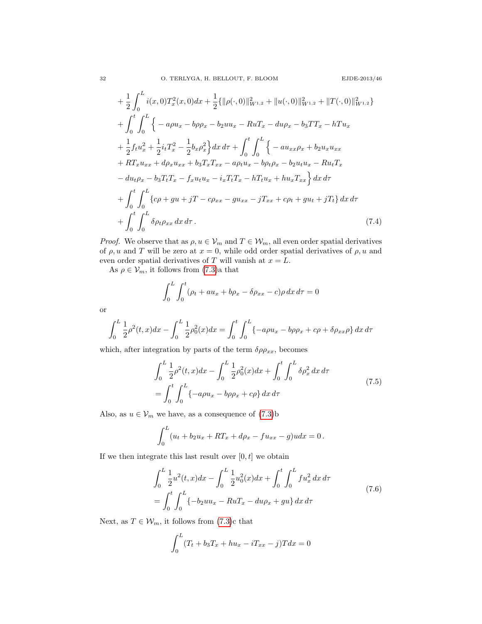$$
+\frac{1}{2}\int_{0}^{L} i(x,0)T_{x}^{2}(x,0)dx + \frac{1}{2}\{\|\rho(\cdot,0)\|_{W^{1,2}}^{2} + \|u(\cdot,0)\|_{W^{1,2}}^{2} + \|T(\cdot,0)\|_{W^{1,2}}^{2}\}+\int_{0}^{t}\int_{0}^{L} \{-a\rho u_{x} - b\rho\rho_{x} - b_{2}uu_{x} - RuT_{x} - du\rho_{x} - b_{3}TT_{x} - hTu_{x}+\frac{1}{2}f_{t}u_{x}^{2} + \frac{1}{2}i_{t}T_{x}^{2} - \frac{1}{2}b_{x}\rho_{x}^{2}\}dx d\tau + \int_{0}^{t}\int_{0}^{L} \{-au_{xx}\rho_{x} + b_{2}u_{x}u_{xx}+ RT_{x}u_{xx} + d\rho_{x}u_{xx} + b_{3}T_{x}T_{xx} - a\rho_{t}u_{x} - b\rho_{t}\rho_{x} - b_{2}u_{t}u_{x} - Ru_{t}T_{x}- du_{t}\rho_{x} - b_{3}T_{t}T_{x} - f_{x}u_{t}u_{x} - i_{x}T_{t}T_{x} - hT_{t}u_{x} + hu_{x}T_{xx}\}dx d\tau+ \int_{0}^{t}\int_{0}^{L} \{\epsilon\rho + gu + jT - c\rho_{xx} - gu_{xx} - jT_{xx} + c\rho_{t} + gu_{t} + jT_{t}\}dx d\tau+ \int_{0}^{t}\int_{0}^{L} \delta\rho_{t}\rho_{xx}dx d\tau.
$$
\n(7.4)

*Proof.* We observe that as  $\rho, u \in V_m$  and  $T \in \mathcal{W}_m$ , all even order spatial derivatives of  $\rho$ , u and T will be zero at  $x = 0$ , while odd order spatial derivatives of  $\rho$ , u and even order spatial derivatives of T will vanish at  $x = L$ .

As  $\rho \in \mathcal{V}_m$ , it follows from [\(7.3\)](#page-30-0)a that

<span id="page-31-2"></span>
$$
\int_0^L \int_0^t (\rho_t + au_x + b\rho_x - \delta\rho_{xx} - c)\rho \, dx \, d\tau = 0
$$

or

$$
\int_0^L \frac{1}{2} \rho^2(t, x) dx - \int_0^L \frac{1}{2} \rho_0^2(x) dx = \int_0^t \int_0^L \{-a\rho u_x - b\rho \rho_x + c\rho + \delta \rho_{xx} \rho\} dx d\tau
$$

which, after integration by parts of the term  $\delta \rho \rho_{xx}$ , becomes

<span id="page-31-0"></span>
$$
\int_{0}^{L} \frac{1}{2} \rho^{2}(t, x) dx - \int_{0}^{L} \frac{1}{2} \rho_{0}^{2}(x) dx + \int_{0}^{t} \int_{0}^{L} \delta \rho_{x}^{2} dx d\tau
$$
\n
$$
= \int_{0}^{t} \int_{0}^{L} \{-a\rho u_{x} - b\rho \rho_{x} + c\rho\} dx d\tau
$$
\n(7.5)

Also, as  $u \in V_m$  we have, as a consequence of [\(7.3\)](#page-30-0)b

$$
\int_0^L (u_t + b_2 u_x + RT_x + d\rho_x - fu_{xx} - g)u dx = 0.
$$

If we then integrate this last result over  $[0, t]$  we obtain

<span id="page-31-1"></span>
$$
\int_0^L \frac{1}{2} u^2(t, x) dx - \int_0^L \frac{1}{2} u_0^2(x) dx + \int_0^t \int_0^L f u_x^2 dx d\tau
$$
  
= 
$$
\int_0^t \int_0^L \{-b_2 u u_x - R u T_x - du \rho_x + gu\} dx d\tau
$$
 (7.6)

Next, as  $T \in \mathcal{W}_m$ , it follows from [\(7.3\)](#page-30-0)c that

$$
\int_0^L (T_t + b_3 T_x + h u_x - i T_{xx} - j) T dx = 0
$$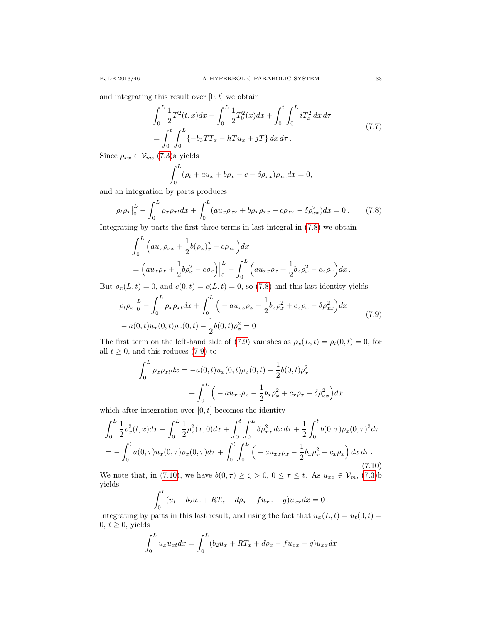and integrating this result over  $[0, t]$  we obtain

<span id="page-32-3"></span>
$$
\int_0^L \frac{1}{2} T^2(t, x) dx - \int_0^L \frac{1}{2} T_0^2(x) dx + \int_0^t \int_0^L i T_x^2 dx d\tau
$$
\n
$$
= \int_0^t \int_0^L \{-b_3 T T_x - h T u_x + jT\} dx d\tau.
$$
\n(7.7)

Since  $\rho_{xx} \in \mathcal{V}_m$ , [\(7.3\)](#page-30-0)a yields

$$
\int_0^L (\rho_t + au_x + b\rho_x - c - \delta\rho_{xx})\rho_{xx} dx = 0,
$$

and an integration by parts produces

<span id="page-32-0"></span>
$$
\rho_t \rho_x \Big|_0^L - \int_0^L \rho_x \rho_{xt} dx + \int_0^L (au_x \rho_{xx} + b \rho_x \rho_{xx} - c \rho_{xx} - \delta \rho_{xx}^2) dx = 0. \tag{7.8}
$$

Integrating by parts the first three terms in last integral in [\(7.8\)](#page-32-0) we obtain

$$
\int_0^L \left( a u_x \rho_{xx} + \frac{1}{2} b (\rho_x)_x^2 - c \rho_{xx} \right) dx
$$
  
=  $\left( a u_x \rho_x + \frac{1}{2} b \rho_x^2 - c \rho_x \right) \Big|_0^L - \int_0^L \left( a u_{xx} \rho_x + \frac{1}{2} b_x \rho_x^2 - c_x \rho_x \right) dx.$ 

But  $\rho_x(L, t) = 0$ , and  $c(0, t) = c(L, t) = 0$ , so [\(7.8\)](#page-32-0) and this last identity yields

<span id="page-32-1"></span>
$$
\rho_t \rho_x \Big|_0^L - \int_0^L \rho_x \rho_{xt} dx + \int_0^L \left( -au_{xx} \rho_x - \frac{1}{2} b_x \rho_x^2 + c_x \rho_x - \delta \rho_{xx}^2 \right) dx
$$
  
-  $a(0, t) u_x(0, t) \rho_x(0, t) - \frac{1}{2} b(0, t) \rho_x^2 = 0$  (7.9)

The first term on the left-hand side of [\(7.9\)](#page-32-1) vanishes as  $\rho_x(L, t) = \rho_t(0, t) = 0$ , for all  $t \geq 0$ , and this reduces [\(7.9\)](#page-32-1) to

$$
\int_0^L \rho_x \rho_{xt} dx = -a(0, t) u_x(0, t) \rho_x(0, t) - \frac{1}{2} b(0, t) \rho_x^2
$$

$$
+ \int_0^L \left( -au_{xx} \rho_x - \frac{1}{2} b_x \rho_x^2 + c_x \rho_x - \delta \rho_{xx}^2 \right) dx
$$

which after integration over  $[0, t]$  becomes the identity

<span id="page-32-2"></span>
$$
\int_0^L \frac{1}{2} \rho_x^2(t, x) dx - \int_0^L \frac{1}{2} \rho_x^2(x, 0) dx + \int_0^t \int_0^L \delta \rho_{xx}^2 dx d\tau + \frac{1}{2} \int_0^t b(0, \tau) \rho_x(0, \tau)^2 d\tau
$$
  
= 
$$
- \int_0^t a(0, \tau) u_x(0, \tau) \rho_x(0, \tau) d\tau + \int_0^t \int_0^L \left( -au_{xx} \rho_x - \frac{1}{2} b_x \rho_x^2 + c_x \rho_x \right) dx d\tau.
$$
(7.10)

We note that, in [\(7.10\)](#page-32-2), we have  $b(0, \tau) \ge \zeta > 0$ ,  $0 \le \tau \le t$ . As  $u_{xx} \in \mathcal{V}_m$ , [\(7.3\)](#page-30-0)b yields  $L$ 

$$
\int_0^L (u_t + b_2 u_x + RT_x + d\rho_x - fu_{xx} - g)u_{xx} dx = 0.
$$

Integrating by parts in this last result, and using the fact that  $u_x(L, t) = u_t(0, t) =$  $0, t \geq 0$ , yields

$$
\int_0^L u_x u_{xt} dx = \int_0^L (b_2 u_x + RT_x + d\rho_x - fu_{xx} - g) u_{xx} dx
$$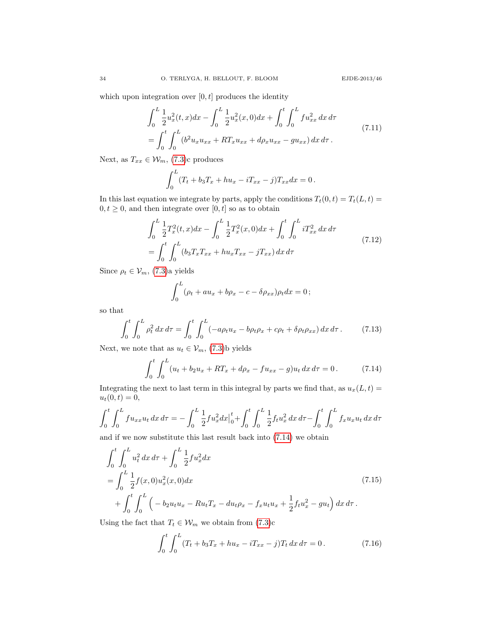which upon integration over  $[0, t]$  produces the identity

<span id="page-33-2"></span>
$$
\int_0^L \frac{1}{2} u_x^2(t, x) dx - \int_0^L \frac{1}{2} u_x^2(x, 0) dx + \int_0^t \int_0^L f u_{xx}^2 dx d\tau
$$
\n
$$
= \int_0^t \int_0^L (b^2 u_x u_{xx} + RT_x u_{xx} + d\rho_x u_{xx} - gu_{xx}) dx d\tau.
$$
\n(7.11)

Next, as  $T_{xx} \in \mathcal{W}_m$ , [\(7.3\)](#page-30-0)c produces

$$
\int_0^L (T_t + b_3 T_x + h u_x - iT_{xx} - j) T_{xx} dx = 0.
$$

In this last equation we integrate by parts, apply the conditions  $T_t(0, t) = T_t(L, t)$  $0, t \geq 0$ , and then integrate over  $[0, t]$  so as to obtain

<span id="page-33-3"></span>
$$
\int_{0}^{L} \frac{1}{2} T_{x}^{2}(t, x) dx - \int_{0}^{L} \frac{1}{2} T_{x}^{2}(x, 0) dx + \int_{0}^{t} \int_{0}^{L} i T_{xx}^{2} dx d\tau
$$
\n
$$
= \int_{0}^{t} \int_{0}^{L} (b_{3} T_{x} T_{xx} + h u_{x} T_{xx} - j T_{xx}) dx d\tau
$$
\n(7.12)

Since  $\rho_t \in \mathcal{V}_m$ , [\(7.3\)](#page-30-0)a yields

$$
\int_0^L (\rho_t + au_x + b\rho_x - c - \delta\rho_{xx})\rho_t dx = 0;
$$

so that

<span id="page-33-4"></span>
$$
\int_0^t \int_0^L \rho_t^2 \, dx \, d\tau = \int_0^t \int_0^L (-a\rho_t u_x - b\rho_t \rho_x + c\rho_t + \delta\rho_t \rho_{xx}) \, dx \, d\tau \,. \tag{7.13}
$$

Next, we note that as  $u_t \in \mathcal{V}_m$ , [\(7.3\)](#page-30-0)b yields

 $\mathbf{z}$ 

<span id="page-33-0"></span>
$$
\int_0^t \int_0^L (u_t + b_2 u_x + RT_x + d\rho_x - fu_{xx} - g)u_t dx d\tau = 0.
$$
 (7.14)

Integrating the next to last term in this integral by parts we find that, as  $u_x(L, t) =$  $u_t(0, t) = 0,$ 

$$
\int_0^t \int_0^L fu_{xx} u_t \, dx \, d\tau = -\int_0^L \frac{1}{2} f u_x^2 dx \Big|_0^t + \int_0^t \int_0^L \frac{1}{2} f_t u_x^2 \, dx \, d\tau - \int_0^t \int_0^L f_x u_x u_t \, dx \, d\tau
$$

and if we now substitute this last result back into [\(7.14\)](#page-33-0) we obtain

<span id="page-33-5"></span>
$$
\int_{0}^{t} \int_{0}^{L} u_{t}^{2} dx d\tau + \int_{0}^{L} \frac{1}{2} f u_{x}^{2} dx
$$
\n
$$
= \int_{0}^{L} \frac{1}{2} f(x, 0) u_{x}^{2}(x, 0) dx
$$
\n
$$
+ \int_{0}^{t} \int_{0}^{L} \left( -b_{2} u_{t} u_{x} - R u_{t} T_{x} - du_{t} \rho_{x} - f_{x} u_{t} u_{x} + \frac{1}{2} f_{t} u_{x}^{2} - g u_{t} \right) dx d\tau.
$$
\n(7.15)

Using the fact that  $T_t \in \mathcal{W}_m$  we obtain from [\(7.3\)](#page-30-0)c

<span id="page-33-1"></span>
$$
\int_0^t \int_0^L (T_t + b_3 T_x + h u_x - iT_{xx} - j) T_t dx d\tau = 0.
$$
 (7.16)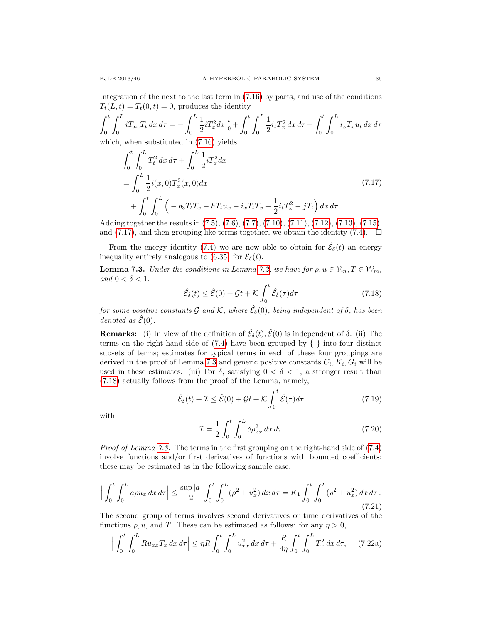Integration of the next to the last term in [\(7.16\)](#page-33-1) by parts, and use of the conditions  $T_t(L, t) = T_t(0, t) = 0$ , produces the identity

$$
\int_0^t \int_0^L i T_{xx} T_t \, dx \, d\tau = -\int_0^L \frac{1}{2} i T_x^2 dx \Big|_0^t + \int_0^t \int_0^L \frac{1}{2} i_t T_x^2 \, dx \, d\tau - \int_0^t \int_0^L i_x T_x u_t \, dx \, d\tau
$$
\nwhich, when substituted in (7.16) yields

<span id="page-34-0"></span>
$$
\int_{0}^{t} \int_{0}^{L} T_{t}^{2} dx d\tau + \int_{0}^{L} \frac{1}{2} i T_{x}^{2} dx
$$
\n
$$
= \int_{0}^{L} \frac{1}{2} i(x, 0) T_{x}^{2}(x, 0) dx
$$
\n
$$
+ \int_{0}^{t} \int_{0}^{L} \left( -b_{3} T_{t} T_{x} - h T_{t} u_{x} - i_{x} T_{t} T_{x} + \frac{1}{2} i_{t} T_{x}^{2} - j T_{t} \right) dx d\tau.
$$
\n(7.17)

Adding together the results in [\(7.5\)](#page-31-0), [\(7.6\)](#page-31-1), [\(7.7\)](#page-32-3), [\(7.10\)](#page-32-2), [\(7.11\)](#page-33-2), [\(7.12\)](#page-33-3), [\(7.13\)](#page-33-4), [\(7.15\)](#page-33-5), and [\(7.17\)](#page-34-0), and then grouping like terms together, we obtain the identity [\(7.4\)](#page-31-2).  $\Box$ 

From the energy identity [\(7.4\)](#page-31-2) we are now able to obtain for  $\hat{\mathcal{E}}_{\delta}(t)$  an energy inequality entirely analogous to [\(6.35\)](#page-20-0) for  $\mathcal{E}_{\delta}(t)$ .

<span id="page-34-1"></span>**Lemma 7.3.** Under the conditions in Lemma [7.2,](#page-30-1) we have for  $\rho, u \in \mathcal{V}_m, T \in \mathcal{W}_m$ , and  $0 < \delta < 1$ ,

<span id="page-34-2"></span>
$$
\hat{\mathcal{E}}_{\delta}(t) \le \hat{\mathcal{E}}(0) + \mathcal{G}t + \mathcal{K} \int_0^t \hat{\mathcal{E}}_{\delta}(\tau) d\tau \tag{7.18}
$$

for some positive constants G and K, where  $\hat{\mathcal{E}}_\delta(0)$ , being independent of  $\delta$ , has been denoted as  $\hat{\mathcal{E}}(0)$ .

**Remarks:** (i) In view of the definition of  $\hat{\mathcal{E}}_{\delta}(t), \hat{\mathcal{E}}(0)$  is independent of  $\delta$ . (ii) The terms on the right-hand side of  $(7.4)$  have been grouped by  $\{\}\$ into four distinct subsets of terms; estimates for typical terms in each of these four groupings are derived in the proof of Lemma [7.3](#page-34-1) and generic positive constants  $C_i, K_i, G_i$  will be used in these estimates. (iii) For  $\delta$ , satisfying  $0 < \delta < 1$ , a stronger result than [\(7.18\)](#page-34-2) actually follows from the proof of the Lemma, namely,

<span id="page-34-4"></span>
$$
\hat{\mathcal{E}}_{\delta}(t) + \mathcal{I} \le \hat{\mathcal{E}}(0) + \mathcal{G}t + \mathcal{K} \int_{0}^{t} \hat{\mathcal{E}}(\tau) d\tau
$$
\n(7.19)

with

<span id="page-34-3"></span>
$$
\mathcal{I} = \frac{1}{2} \int_0^t \int_0^L \delta \rho_{xx}^2 dx d\tau \tag{7.20}
$$

Proof of Lemma [7.3.](#page-34-1) The terms in the first grouping on the right-hand side of  $(7.4)$ involve functions and/or first derivatives of functions with bounded coefficients; these may be estimated as in the following sample case:

$$
\Big|\int_0^t \int_0^L a\rho u_x \, dx \, d\tau \Big| \le \frac{\sup |a|}{2} \int_0^t \int_0^L (\rho^2 + u_x^2) \, dx \, d\tau = K_1 \int_0^t \int_0^L (\rho^2 + u_x^2) \, dx \, d\tau. \tag{7.21}
$$

The second group of terms involves second derivatives or time derivatives of the functions  $\rho, u$ , and T. These can be estimated as follows: for any  $\eta > 0$ ,

$$
\Big|\int_0^t \int_0^L Ru_{xx}T_x\,dx\,d\tau\Big| \leq \eta R \int_0^t \int_0^L u_{xx}^2\,dx\,d\tau + \frac{R}{4\eta} \int_0^t \int_0^L T_x^2\,dx\,d\tau, \tag{7.22a}
$$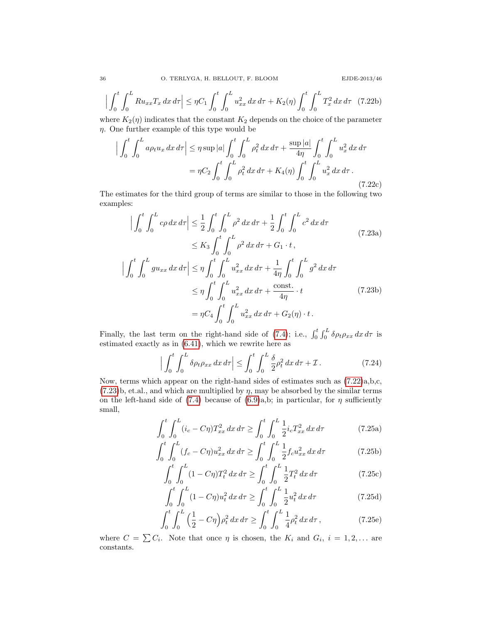$$
\left| \int_0^t \int_0^L Ru_{xx} T_x \, dx \, d\tau \right| \le \eta C_1 \int_0^t \int_0^L u_{xx}^2 \, dx \, d\tau + K_2(\eta) \int_0^t \int_0^L T_x^2 \, dx \, d\tau \tag{7.22b}
$$

where  $K_2(\eta)$  indicates that the constant  $K_2$  depends on the choice of the parameter  $\eta$ . One further example of this type would be

$$
\left| \int_0^t \int_0^L a \rho_t u_x \, dx \, d\tau \right| \leq \eta \sup |a| \int_0^t \int_0^L \rho_t^2 \, dx \, d\tau + \frac{\sup |a|}{4\eta} \int_0^t \int_0^L u_x^2 \, dx \, d\tau
$$

$$
= \eta C_2 \int_0^t \int_0^L \rho_t^2 \, dx \, d\tau + K_4(\eta) \int_0^t \int_0^L u_x^2 \, dx \, d\tau. \tag{7.22c}
$$

The estimates for the third group of terms are similar to those in the following two examples:

<span id="page-35-0"></span>
$$
\left| \int_{0}^{t} \int_{0}^{L} c\rho \, dx \, d\tau \right| \leq \frac{1}{2} \int_{0}^{t} \int_{0}^{L} \rho^{2} \, dx \, d\tau + \frac{1}{2} \int_{0}^{t} \int_{0}^{L} c^{2} \, dx \, d\tau
$$
\n
$$
\leq K_{3} \int_{0}^{t} \int_{0}^{L} \rho^{2} \, dx \, d\tau + G_{1} \cdot t \,,
$$
\n
$$
\left| \int_{0}^{t} \int_{0}^{L} g u_{xx} \, dx \, d\tau \right| \leq \eta \int_{0}^{t} \int_{0}^{L} u_{xx}^{2} \, dx \, d\tau + \frac{1}{4\eta} \int_{0}^{t} \int_{0}^{L} g^{2} \, dx \, d\tau
$$
\n
$$
\leq \eta \int_{0}^{t} \int_{0}^{L} u_{xx}^{2} \, dx \, d\tau + \frac{\text{const.}}{4\eta} \cdot t \qquad (7.23b)
$$
\n
$$
= \eta C_{4} \int_{0}^{t} \int_{0}^{L} u_{xx}^{2} \, dx \, d\tau + G_{2}(\eta) \cdot t \,.
$$

Finally, the last term on the right-hand side of [\(7.4\)](#page-31-2); i.e.,  $\int_0^t \int_0^L \delta \rho_t \rho_{xx} dx d\tau$  is estimated exactly as in [\(6.41\)](#page-21-1), which we rewrite here as

<span id="page-35-1"></span>
$$
\left| \int_0^t \int_0^L \delta \rho_t \rho_{xx} \, dx \, d\tau \right| \le \int_0^t \int_0^L \frac{\delta}{2} \rho_t^2 \, dx \, d\tau + \mathcal{I} \,. \tag{7.24}
$$

Now, terms which appear on the right-hand sides of estimates such as [\(7.22\)](#page-34-3)a,b,c,  $(7.23)$ b, et.al., and which are multiplied by  $\eta$ , may be absorbed by the similar terms on the left-hand side of  $(7.4)$  because of  $(6.9)$ a,b; in particular, for  $\eta$  sufficiently small,

$$
\int_0^t \int_0^L (i_c - C\eta) T_{xx}^2 dx d\tau \ge \int_0^t \int_0^L \frac{1}{2} i_c T_{xx}^2 dx d\tau \tag{7.25a}
$$

$$
\int_0^t \int_0^L (f_c - C\eta) u_{xx}^2 dx d\tau \ge \int_0^t \int_0^L \frac{1}{2} f_c u_{xx}^2 dx d\tau \tag{7.25b}
$$

$$
\int_0^t \int_0^L (1 - C\eta) T_t^2 \, dx \, d\tau \ge \int_0^t \int_0^L \frac{1}{2} T_t^2 \, dx \, d\tau \tag{7.25c}
$$

$$
\int_{0}^{t} \int_{0}^{L} (1 - C\eta) u_{t}^{2} dx d\tau \ge \int_{0}^{t} \int_{0}^{L} \frac{1}{2} u_{t}^{2} dx d\tau \tag{7.25d}
$$

$$
\int_0^t \int_0^L \left(\frac{1}{2} - C\eta\right) \rho_t^2 \, dx \, d\tau \ge \int_0^t \int_0^L \frac{1}{4} \rho_t^2 \, dx \, d\tau \,,\tag{7.25e}
$$

where  $C = \sum C_i$ . Note that once  $\eta$  is chosen, the  $K_i$  and  $G_i$ ,  $i = 1, 2, \ldots$  are constants.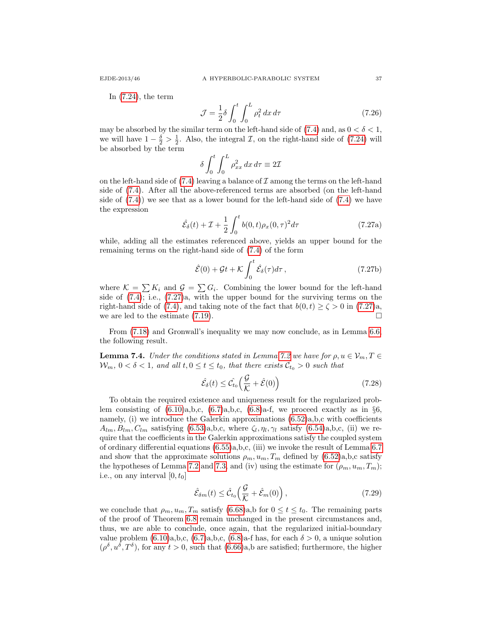In [\(7.24\)](#page-35-1), the term

$$
\mathcal{J} = \frac{1}{2}\delta \int_0^t \int_0^L \rho_t^2 dx d\tau \tag{7.26}
$$

may be absorbed by the similar term on the left-hand side of  $(7.4)$  and, as  $0 < \delta < 1$ , we will have  $1 - \frac{\delta}{2} > \frac{1}{2}$ . Also, the integral *T*, on the right-hand side of [\(7.24\)](#page-35-1) will be absorbed by the term

$$
\delta \int_0^t \int_0^L \rho_{xx}^2 dx d\tau \equiv 2\mathcal{I}
$$

on the left-hand side of  $(7.4)$  leaving a balance of  $\mathcal I$  among the terms on the left-hand side of [\(7.4\)](#page-31-2). After all the above-referenced terms are absorbed (on the left-hand side of  $(7.4)$  we see that as a lower bound for the left-hand side of  $(7.4)$  we have the expression

<span id="page-36-0"></span>
$$
\hat{\mathcal{E}}_{\delta}(t) + \mathcal{I} + \frac{1}{2} \int_0^t b(0, t) \rho_x(0, \tau)^2 d\tau \tag{7.27a}
$$

while, adding all the estimates referenced above, yields an upper bound for the remaining terms on the right-hand side of [\(7.4\)](#page-31-2) of the form

$$
\hat{\mathcal{E}}(0) + \mathcal{G}t + \mathcal{K} \int_0^t \hat{\mathcal{E}}_{\delta}(\tau) d\tau, \qquad (7.27b)
$$

where  $\mathcal{K} = \sum K_i$  and  $\mathcal{G} = \sum G_i$ . Combining the lower bound for the left-hand side of  $(7.4)$ ; i.e.,  $(7.27)a$ , with the upper bound for the surviving terms on the right-hand side of [\(7.4\)](#page-31-2), and taking note of the fact that  $b(0, t) \ge \zeta > 0$  in [\(7.27\)](#page-36-0)a, we are led to the estimate  $(7.19)$ .

From [\(7.18\)](#page-34-2) and Gronwall's inequality we may now conclude, as in Lemma [6.6,](#page-21-3) the following result.

**Lemma 7.4.** Under the conditions stated in Lemma [7.2](#page-30-1) we have for  $\rho, u \in V_m, T \in$  $W_m$ ,  $0 < \delta < 1$ , and all  $t, 0 \le t \le t_0$ , that there exists  $\hat{C_{t_0}} > 0$  such that

$$
\hat{\mathcal{E}}_{\delta}(t) \leq \hat{\mathcal{C}}_{t_0} \left( \frac{\mathcal{G}}{\mathcal{K}} + \hat{\mathcal{E}}(0) \right) \tag{7.28}
$$

To obtain the required existence and uniqueness result for the regularized problem consisting of  $(6.10)a,b,c, (6.7)a,b,c, (6.8)a-f$  $(6.10)a,b,c, (6.7)a,b,c, (6.8)a-f$  $(6.10)a,b,c, (6.7)a,b,c, (6.8)a-f$  $(6.10)a,b,c, (6.7)a,b,c, (6.8)a-f$  $(6.10)a,b,c, (6.7)a,b,c, (6.8)a-f$ , we proceed exactly as in  $\S6$ , namely, (i) we introduce the Galerkin approximations  $(6.52)a$ , b,c with coefficients  $A_{lm}, B_{lm}, C_{lm}$  satisfying [\(6.53\)](#page-23-3)a,b,c, where  $\zeta_l, \eta_l, \gamma_l$  satisfy [\(6.54\)](#page-23-0)a,b,c, (ii) we require that the coefficients in the Galerkin approximations satisfy the coupled system of ordinary differential equations [\(6.55\)](#page-23-1)a,b,c, (iii) we invoke the result of Lemma [6.7](#page-24-2) and show that the approximate solutions  $\rho_m, u_m, T_m$  defined by  $(6.52)a, b, c$  satisfy the hypotheses of Lemma [7.2](#page-30-1) and [7.3,](#page-34-1) and (iv) using the estimate for  $(\rho_m, u_m, T_m)$ ; i.e., on any interval  $[0, t_0]$ 

$$
\hat{\mathcal{E}}_{\delta m}(t) \leq \hat{\mathcal{C}}_{t_0} \left( \frac{\mathcal{G}}{\mathcal{K}} + \hat{\mathcal{E}}_m(0) \right),\tag{7.29}
$$

we conclude that  $\rho_m, u_m, T_m$  satisfy [\(6.68\)](#page-27-3)a,b for  $0 \le t \le t_0$ . The remaining parts of the proof of Theorem [6.8](#page-26-1) remain unchanged in the present circumstances and, thus, we are able to conclude, once again, that the regularized initial-boundary value problem  $(6.10)a,b,c, (6.7)a,b,c, (6.8)a-f$  $(6.10)a,b,c, (6.7)a,b,c, (6.8)a-f$  $(6.10)a,b,c, (6.7)a,b,c, (6.8)a-f$  $(6.10)a,b,c, (6.7)a,b,c, (6.8)a-f$  $(6.10)a,b,c, (6.7)a,b,c, (6.8)a-f$  has, for each  $\delta > 0$ , a unique solution  $(\rho^{\delta}, u^{\delta}, T^{\delta})$ , for any  $t > 0$ , such that  $(6.66)$ a,b are satisfied; furthermore, the higher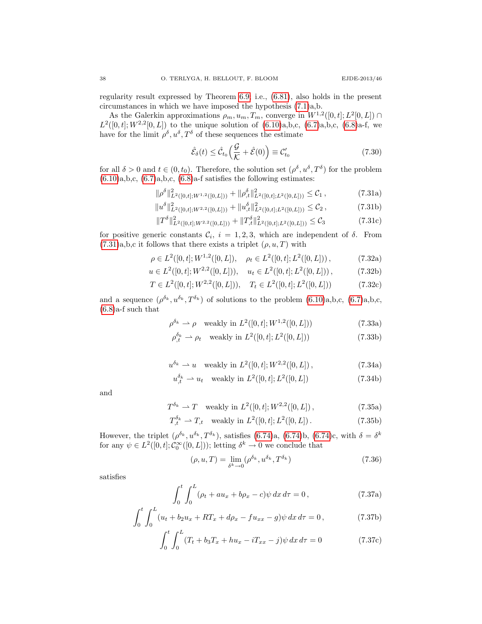regularity result expressed by Theorem [6.9;](#page-29-4) i.e., [\(6.81\)](#page-29-2), also holds in the present circumstances in which we have imposed the hypothesis [\(7.1\)](#page-29-3)a,b.

As the Galerkin approximations  $\rho_m, u_m, T_m$ , converge in  $W^{1,2}([0,t]; L^2[0,L]) \cap$  $L^2([0,t];W^{2,2}[0,L])$  to the unique solution of  $(6.10)a,b,c, (6.7)a,b,c, (6.8)a-f,$  $(6.10)a,b,c, (6.7)a,b,c, (6.8)a-f,$  $(6.10)a,b,c, (6.7)a,b,c, (6.8)a-f,$  $(6.10)a,b,c, (6.7)a,b,c, (6.8)a-f,$  $(6.10)a,b,c, (6.7)a,b,c, (6.8)a-f,$  we have for the limit  $\rho^{\delta}, u^{\delta}, T^{\delta}$  of these sequences the estimate

<span id="page-37-1"></span><span id="page-37-0"></span>
$$
\hat{\mathcal{E}}_{\delta}(t) \le \hat{\mathcal{C}}_{t_0} \left( \frac{\mathcal{G}}{\mathcal{K}} + \hat{\mathcal{E}}(0) \right) \equiv \mathcal{C}'_{t_0} \tag{7.30}
$$

for all  $\delta > 0$  and  $t \in (0, t_0)$ . Therefore, the solution set  $(\rho^{\delta}, u^{\delta}, T^{\delta})$  for the problem  $(6.10)a,b,c, (6.7)a,b,c, (6.8)a-f$  $(6.10)a,b,c, (6.7)a,b,c, (6.8)a-f$  $(6.10)a,b,c, (6.7)a,b,c, (6.8)a-f$  $(6.10)a,b,c, (6.7)a,b,c, (6.8)a-f$  $(6.10)a,b,c, (6.7)a,b,c, (6.8)a-f$  $(6.10)a,b,c, (6.7)a,b,c, (6.8)a-f$  satisfies the following estimates:

$$
\|\rho^{\delta}\|_{L^{2}([0,t];W^{1,2}([0,L]))}^{2} + \|\rho^{\delta}_{,t}\|_{L^{2}([0,t];L^{2}([0,L]))}^{2} \leq C_{1},
$$
\n(7.31a)\n
$$
\|\rho^{\delta}\|_{L^{2}([0,t];W^{1,2}([0,L]))}^{2} \leq C_{1},
$$
\n(7.31b)

$$
||u^{\delta}||_{L^{2}([0,t];W^{2,2}([0,L]))}^{2} + ||u^{\delta}_{,t}||_{L^{2}([0,t];L^{2}([0,L]))}^{2} \leq C_{2},
$$
\n(7.31b)

$$
||T^{\delta}||_{L^{2}([0,t];W^{2,2}([0,L]))}^{2} + ||T^{\delta}_{,t}||_{L^{2}([0,t];L^{2}([0,L]))}^{2} \leq C_{3}
$$
\n(7.31c)

for positive generic constants  $C_i$ ,  $i = 1, 2, 3$ , which are independent of  $\delta$ . From  $(7.31)a,b,c$  $(7.31)a,b,c$  it follows that there exists a triplet  $(\rho, u, T)$  with

$$
\rho \in L^2([0, t]; W^{1,2}([0, L]), \quad \rho_t \in L^2([0, t]; L^2([0, L]))\,,\tag{7.32a}
$$

$$
u \in L^{2}([0, t]; W^{2,2}([0, L])), \quad u_t \in L^{2}([0, t]; L^{2}([0, L]))\,,\tag{7.32b}
$$

$$
T \in L^{2}([0, t]; W^{2,2}([0, L])), \quad T_{t} \in L^{2}([0, t]; L^{2}([0, L])) \tag{7.32c}
$$

and a sequence  $(\rho^{\delta_k}, u^{\delta_k}, T^{\delta_k})$  of solutions to the problem  $(6.10)a, b, c, (6.7)a, b, c$  $(6.10)a, b, c, (6.7)a, b, c$  $(6.10)a, b, c, (6.7)a, b, c$ ,  $(6.8)$ a-f such that

$$
\rho^{\delta_k} \rightharpoonup \rho \quad \text{weakly in } L^2([0, t]; W^{1,2}([0, L])) \tag{7.33a}
$$

$$
\rho_{,t}^{\delta_k} \rightharpoonup \rho_t \quad \text{weakly in } L^2([0,t]; L^2([0,L])) \tag{7.33b}
$$

$$
u^{\delta_k} \rightharpoonup u \quad \text{weakly in } L^2([0, t]; W^{2,2}([0, L]) \,, \tag{7.34a}
$$

$$
u_{,t}^{\delta_k} \rightharpoonup u_t \quad \text{weakly in } L^2([0,t]; L^2([0,L]) \tag{7.34b}
$$

and

$$
T^{\delta_k} \rightharpoonup T \quad \text{weakly in } L^2([0, t]; W^{2,2}([0, L]), \tag{7.35a}
$$

$$
T_{,t}^{\delta_k} \rightharpoonup T_{,t} \quad \text{weakly in } L^2([0,t]; L^2([0,L]) \,. \tag{7.35b}
$$

However, the triplet  $(\rho^{\delta_k}, u^{\delta_k}, T^{\delta_k})$ , satisfies [\(6.74\)](#page-28-3)a, (6.74)b, (6.74)c, with  $\delta = \delta^k$ for any  $\psi \in L^2([0,t]; \mathcal{C}_0^{\infty}([0,L]))$ ; letting  $\delta^k \to 0$  we conclude that

$$
(\rho, u, T) = \lim_{\delta^k \to 0} (\rho^{\delta_k}, u^{\delta_k}, T^{\delta_k})
$$
\n(7.36)

satisfies

$$
\int_0^t \int_0^L (\rho_t + au_x + b\rho_x - c)\psi \, dx \, d\tau = 0, \tag{7.37a}
$$

$$
\int_0^t \int_0^L (u_t + b_2 u_x + RT_x + d\rho_x - fu_{xx} - g)\psi \,dx \,d\tau = 0, \qquad (7.37b)
$$

$$
\int_{0}^{t} \int_{0}^{L} (T_t + b_3 T_x + h u_x - iT_{xx} - j) \psi \, dx \, d\tau = 0 \tag{7.37c}
$$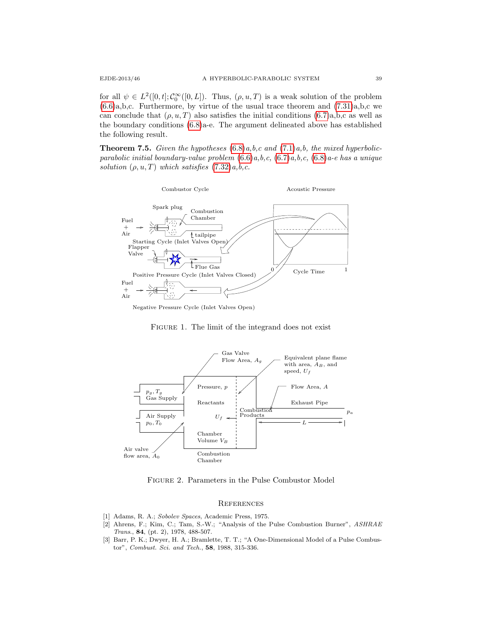for all  $\psi \in L^2([0,t];\mathcal{C}_0^{\infty}([0,L])$ . Thus,  $(\rho, u, T)$  is a weak solution of the problem  $(6.6)a,b,c.$  $(6.6)a,b,c.$  Furthermore, by virtue of the usual trace theorem and  $(7.31)a,b,c$  we can conclude that  $(\rho, u, T)$  also satisfies the initial conditions  $(6.7)a, b, c$  as well as the boundary conditions [\(6.8\)](#page-15-2)a-e. The argument delineated above has established the following result.

**Theorem 7.5.** Given the hypotheses  $(6.8)a$  $(6.8)a$ , b, c and  $(7.1)a$  $(7.1)a$ , b, the mixed hyperbolicparabolic initial boundary-value problem  $(6.6)a,b,c, (6.7)a,b,c, (6.8)a$  $(6.6)a,b,c, (6.7)a,b,c, (6.8)a$  $(6.6)a,b,c, (6.7)a,b,c, (6.8)a$  $(6.6)a,b,c, (6.7)a,b,c, (6.8)a$  $(6.6)a,b,c, (6.7)a,b,c, (6.8)a$  $(6.6)a,b,c, (6.7)a,b,c, (6.8)a$ -e has a unique solution  $(\rho, u, T)$  which satisfies  $(7.32)a, b, c$  $(7.32)a, b, c$ .



Negative Pressure Cycle (Inlet Valves Open)



<span id="page-38-0"></span>FIGURE 1. The limit of the integrand does not exist

Figure 2. Parameters in the Pulse Combustor Model

### <span id="page-38-1"></span>**REFERENCES**

- <span id="page-38-4"></span>[1] Adams, R. A.; Sobolev Spaces, Academic Press, 1975.
- <span id="page-38-2"></span>[2] Ahrens, F.; Kim, C.; Tam, S.-W.; "Analysis of the Pulse Combustion Burner", ASHRAE Trans., 84, (pt. 2), 1978, 488-507.
- <span id="page-38-3"></span>[3] Barr, P. K.; Dwyer, H. A.; Bramlette, T. T.; "A One-Dimensional Model of a Pulse Combustor", Combust. Sci. and Tech., 58, 1988, 315-336.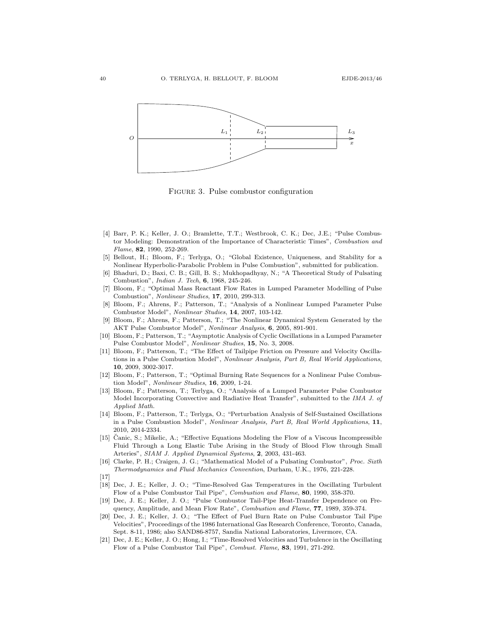

<span id="page-39-0"></span>Figure 3. Pulse combustor configuration

- [4] Barr, P. K.; Keller, J. O.; Bramlette, T.T.; Westbrook, C. K.; Dec, J.E.; "Pulse Combustor Modeling: Demonstration of the Importance of Characteristic Times", Combustion and Flame, 82, 1990, 252-269.
- <span id="page-39-15"></span>[5] Bellout, H.; Bloom, F.; Terlyga, O.; "Global Existence, Uniqueness, and Stability for a Nonlinear Hyperbolic-Parabolic Problem in Pulse Combustion", submitted for publication.
- <span id="page-39-1"></span>[6] Bhaduri, D.; Baxi, C. B.; Gill, B. S.; Mukhopadhyay, N.; "A Theoretical Study of Pulsating Combustion", Indian J. Tech, 6, 1968, 245-246.
- <span id="page-39-9"></span>[7] Bloom, F.; "Optimal Mass Reactant Flow Rates in Lumped Parameter Modelling of Pulse Combustion", Nonlinear Studies, 17, 2010, 299-313.
- <span id="page-39-7"></span>[8] Bloom, F.; Ahrens, F.; Patterson, T.; "Analysis of a Nonlinear Lumped Parameter Pulse Combustor Model", Nonlinear Studies, 14, 2007, 103-142.
- <span id="page-39-8"></span>[9] Bloom, F.; Ahrens, F.; Patterson, T.; "The Nonlinear Dynamical System Generated by the AKT Pulse Combustor Model", Nonlinear Analysis, 6, 2005, 891-901.
- <span id="page-39-10"></span>[10] Bloom, F.; Patterson, T.; "Asymptotic Analysis of Cyclic Oscillations in a Lumped Parameter Pulse Combustor Model", Nonlinear Studies, 15, No. 3, 2008.
- <span id="page-39-11"></span>[11] Bloom, F.; Patterson, T.; "The Effect of Tailpipe Friction on Pressure and Velocity Oscillations in a Pulse Combustion Model", Nonlinear Analysis, Part B, Real World Applications, 10, 2009, 3002-3017.
- <span id="page-39-12"></span>[12] Bloom, F.; Patterson, T.; "Optimal Burning Rate Sequences for a Nonlinear Pulse Combustion Model", Nonlinear Studies, 16, 2009, 1-24.
- <span id="page-39-13"></span>[13] Bloom, F.; Patterson, T.; Terlyga, O.; "Analysis of a Lumped Parameter Pulse Combustor Model Incorporating Convective and Radiative Heat Transfer", submitted to the IMA J. of Applied Math.
- <span id="page-39-14"></span>[14] Bloom, F.; Patterson, T.; Terlyga, O.; "Perturbation Analysis of Self-Sustained Oscillations in a Pulse Combustion Model", Nonlinear Analysis, Part B, Real World Applications, 11, 2010, 2014-2334.
- <span id="page-39-16"></span>[15] Canic, S.; Mikelic, A.; "Effective Equations Modeling the Flow of a Viscous Incompressible Fluid Through a Long Elastic Tube Arising in the Study of Blood Flow through Small Arteries", SIAM J. Applied Dynamical Systems, 2, 2003, 431-463.
- <span id="page-39-2"></span>[16] Clarke, P. H.; Craigen, J. G.; "Mathematical Model of a Pulsating Combustor", Proc. Sixth Thermodynamics and Fluid Mechanics Convention, Durham, U.K., 1976, 221-228.
- $[17]$
- <span id="page-39-3"></span>[18] Dec, J. E.; Keller, J. O.; "Time-Resolved Gas Temperatures in the Oscillating Turbulent Flow of a Pulse Combustor Tail Pipe", Combustion and Flame, 80, 1990, 358-370.
- <span id="page-39-4"></span>[19] Dec, J. E.; Keller, J. O.; "Pulse Combustor Tail-Pipe Heat-Transfer Dependence on Frequency, Amplitude, and Mean Flow Rate", Combustion and Flame, 77, 1989, 359-374.
- <span id="page-39-5"></span>[20] Dec, J. E.; Keller, J. O.; "The Effect of Fuel Burn Rate on Pulse Combustor Tail Pipe Velocities", Proceedings of the 1986 International Gas Research Conference, Toronto, Canada, Sept. 8-11, 1986; also SAND86-8757, Sandia National Laboratories, Livermore, CA.
- <span id="page-39-6"></span>[21] Dec, J. E.; Keller, J. O.; Hong, I.; "Time-Resolved Velocities and Turbulence in the Oscillating Flow of a Pulse Combustor Tail Pipe", Combust. Flame, 83, 1991, 271-292.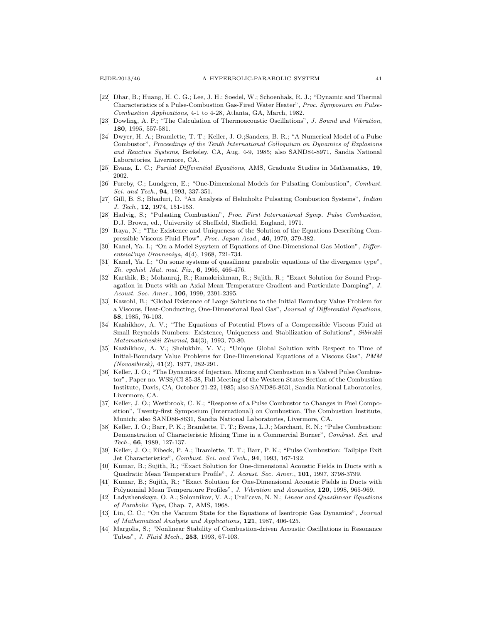- <span id="page-40-0"></span>[22] Dhar, B.; Huang, H. C. G.; Lee, J. H.; Soedel, W.; Schoenhals, R. J.; "Dynamic and Thermal Characteristics of a Pulse-Combustion Gas-Fired Water Heater", Proc. Symposium on Pulse-Combustion Applications, 4-1 to 4-28, Atlanta, GA, March, 1982.
- <span id="page-40-9"></span>[23] Dowling, A. P.; "The Calculation of Thermoacoustic Oscillations", J. Sound and Vibration, 180, 1995, 557-581.
- <span id="page-40-1"></span>[24] Dwyer, H. A.; Bramlette, T. T.; Keller, J. O.;Sanders, B. R.; "A Numerical Model of a Pulse Combustor", Proceedings of the Tenth International Colloquium on Dynamics of Explosions and Reactive Systems, Berkeley, CA, Aug. 4-9, 1985; also SAND84-8971, Sandia National Laboratories, Livermore, CA.
- <span id="page-40-20"></span>[25] Evans, L. C.; Partial Differential Equations, AMS, Graduate Studies in Mathematics, 19, 2002.
- <span id="page-40-2"></span>[26] Fureby, C.; Lundgren, E.; "One-Dimensional Models for Pulsating Combustion", Combust. Sci. and Tech., 94, 1993, 337-351.
- <span id="page-40-3"></span>[27] Gill, B. S.; Bhaduri, D. "An Analysis of Helmholtz Pulsating Combustion Systems", Indian J. Tech., **12**, 1974, 151-153.
- <span id="page-40-4"></span>[28] Hadvig, S.; "Pulsating Combustion", Proc. First International Symp. Pulse Combustion, D.J. Brown, ed., University of Sheffield, Sheffield, England, 1971.
- <span id="page-40-14"></span>[29] Itaya, N.; "The Existence and Uniqueness of the Solution of the Equations Describing Compressible Viscous Fluid Flow", Proc. Japan Acad., 46, 1970, 379-382.
- <span id="page-40-15"></span>[30] Kanel, Ya. I.; "On a Model Sysytem of Equations of One-Dimensional Gas Motion", Differentsial'nye Uravneniya, 4(4), 1968, 721-734.
- <span id="page-40-16"></span>[31] Kanel, Ya. I.; "On some systems of quasilinear parabolic equations of the divergence type", Zh. vychisl. Mat. mat. Fiz., 6, 1966, 466-476.
- <span id="page-40-10"></span>[32] Karthik, B.; Mohanraj, R.; Ramakrishman, R.; Sujith, R.; "Exact Solution for Sound Propagation in Ducts with an Axial Mean Temperature Gradient and Particulate Damping", J. Acoust. Soc. Amer., 106, 1999, 2391-2395.
- <span id="page-40-17"></span>[33] Kawohl, B.; "Global Existence of Large Solutions to the Initial Boundary Value Problem for a Viscous, Heat-Conducting, One-Dimensional Real Gas", Journal of Differential Equations, 58, 1985, 76-103.
- [34] Kazhikhov, A. V.; "The Equations of Potential Flows of a Compressible Viscous Fluid at Small Reynolds Numbers: Existence, Uniqueness and Stabilization of Solutions", Sibirskii Matematicheskii Zhurnal, 34(3), 1993, 70-80.
- <span id="page-40-18"></span>[35] Kazhikhov, A. V.; Shelukhin, V. V.; "Unique Global Solution with Respect to Time of Initial-Boundary Value Problems for One-Dimensional Equations of a Viscous Gas", PMM (Novosibirsk), 41(2), 1977, 282-291.
- <span id="page-40-5"></span>[36] Keller, J. O.; "The Dynamics of Injection, Mixing and Combustion in a Valved Pulse Combustor", Paper no. WSS/CI 85-38, Fall Meeting of the Western States Section of the Combustion Institute, Davis, CA, October 21-22, 1985; also SAND86-8631, Sandia National Laboratories, Livermore, CA.
- <span id="page-40-6"></span>[37] Keller, J. O.; Westbrook, C. K.; "Response of a Pulse Combustor to Changes in Fuel Composition", Twenty-first Symposium (International) on Combustion, The Combustion Institute, Munich; also SAND86-8631, Sandia National Laboratories, Livermore, CA.
- <span id="page-40-7"></span>[38] Keller, J. O.; Barr, P. K.; Bramlette, T. T.; Evens, L.J.; Marchant, R. N.; "Pulse Combustion: Demonstration of Characteristic Mixing Time in a Commercial Burner", Combust. Sci. and Tech., 66, 1989, 127-137.
- <span id="page-40-8"></span>[39] Keller, J. O.; Eibeck, P. A.; Bramlette, T. T.; Barr, P. K.; "Pulse Combustion: Tailpipe Exit Jet Characteristics", Combust. Sci. and Tech., 94, 1993, 167-192.
- <span id="page-40-11"></span>[40] Kumar, B.; Sujith, R.; "Exact Solution for One-dimensional Acoustic Fields in Ducts with a Quadratic Mean Temperature Profile", J. Acoust. Soc. Amer., 101, 1997, 3798-3799.
- <span id="page-40-12"></span>[41] Kumar, B.; Sujith, R.; "Exact Solution for One-Dimensional Acoustic Fields in Ducts with Polynomial Mean Temperature Profiles", J. Vibration and Acoustics, 120, 1998, 965-969.
- <span id="page-40-21"></span>[42] Ladyzhenskaya, O. A.; Solonnikov, V. A.; Ural'ceva, N. N.; Linear and Quasilinear Equations of Parabolic Type, Chap. 7, AMS, 1968.
- <span id="page-40-19"></span>[43] Lin, C. C.; "On the Vacuum State for the Equations of Isentropic Gas Dynamics", Journal of Mathematical Analysis and Applications, 121, 1987, 406-425.
- <span id="page-40-13"></span>[44] Margolis, S.; "Nonlinear Stability of Combustion-driven Acoustic Oscillations in Resonance Tubes", J. Fluid Mech., 253, 1993, 67-103.